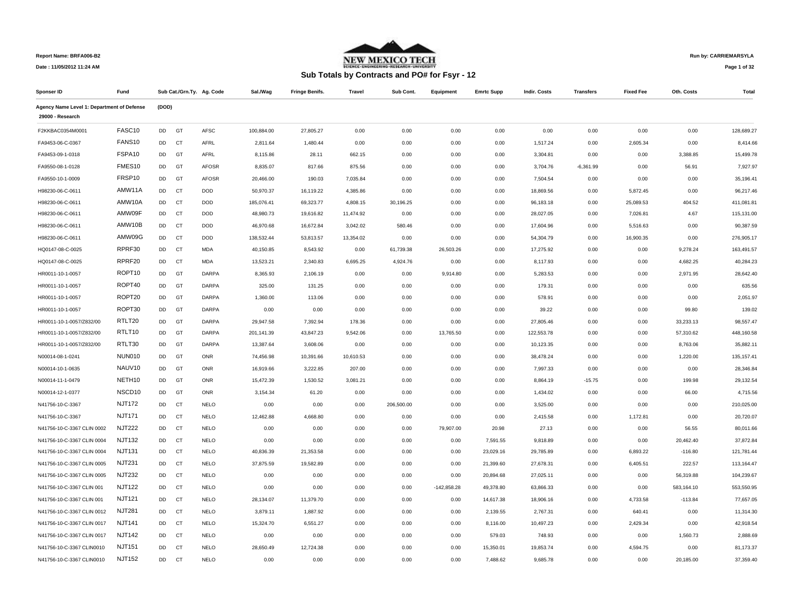

**Run by: CARRIEMARSYLA**

**Date : 11/05/2012 11:24 AM**

|  |  | Sub Totals by Contracts and PO# for Fsyr - 12 |
|--|--|-----------------------------------------------|
|--|--|-----------------------------------------------|

**Page 1 of 32** 

| Sponser ID                                 | Fund               |           |           | Sub Cat./Grn.Ty. Ag. Code | Sal./Wag   | <b>Fringe Benifs.</b> | Travel    | Sub Cont.  | Equipment     | <b>Emrtc Supp</b> | Indir. Costs | Transfers   | <b>Fixed Fee</b> | Oth. Costs | Total       |
|--------------------------------------------|--------------------|-----------|-----------|---------------------------|------------|-----------------------|-----------|------------|---------------|-------------------|--------------|-------------|------------------|------------|-------------|
| Agency Name Level 1: Department of Defense |                    | (DOD)     |           |                           |            |                       |           |            |               |                   |              |             |                  |            |             |
| 29000 - Research                           |                    |           |           |                           |            |                       |           |            |               |                   |              |             |                  |            |             |
| F2KKBAC0354M0001                           | FASC10             | DD        | GT        | <b>AFSC</b>               | 100,884.00 | 27,805.27             | 0.00      | 0.00       | 0.00          | 0.00              | 0.00         | 0.00        | 0.00             | 0.00       | 128,689.27  |
| FA9453-06-C-0367                           | FANS10             | DD        | CT        | AFRL                      | 2,811.64   | 1,480.44              | 0.00      | 0.00       | 0.00          | 0.00              | 1,517.24     | 0.00        | 2,605.34         | 0.00       | 8,414.66    |
| FA9453-09-1-0318                           | FSPA10             | DD        | GT        | AFRL                      | 8,115.86   | 28.11                 | 662.15    | 0.00       | 0.00          | 0.00              | 3,304.81     | 0.00        | 0.00             | 3,388.85   | 15,499.78   |
| FA9550-08-1-0128                           | FMES10             | DD        | GT        | <b>AFOSR</b>              | 8,835.07   | 817.66                | 875.56    | 0.00       | 0.00          | 0.00              | 3,704.76     | $-6,361.99$ | 0.00             | 56.91      | 7,927.97    |
| FA9550-10-1-0009                           | FRSP10             | DD        | GT        | AFOSR                     | 20,466.00  | 190.03                | 7,035.84  | 0.00       | 0.00          | 0.00              | 7,504.54     | 0.00        | 0.00             | 0.00       | 35,196.41   |
| H98230-06-C-0611                           | AMW11A             | DD        | <b>CT</b> | <b>DOD</b>                | 50,970.37  | 16,119.22             | 4,385.86  | 0.00       | 0.00          | 0.00              | 18,869.56    | 0.00        | 5,872.45         | 0.00       | 96,217.46   |
| H98230-06-C-0611                           | AMW10A             | DD        | <b>CT</b> | DOD                       | 185,076.41 | 69,323.77             | 4,808.15  | 30,196.25  | 0.00          | 0.00              | 96,183.18    | 0.00        | 25,089.53        | 404.52     | 411,081.81  |
| H98230-06-C-0611                           | AMW09F             | DD        | CT        | DOD                       | 48,980.73  | 19,616.82             | 11,474.92 | 0.00       | 0.00          | 0.00              | 28,027.05    | 0.00        | 7,026.81         | 4.67       | 115,131.00  |
| H98230-06-C-0611                           | AMW10B             | DD        | CT        | <b>DOD</b>                | 46,970.68  | 16,672.84             | 3,042.02  | 580.46     | 0.00          | 0.00              | 17,604.96    | 0.00        | 5,516.63         | 0.00       | 90,387.59   |
| H98230-06-C-0611                           | AMW09G             | DD        | CT        | <b>DOD</b>                | 138,532.44 | 53,813.57             | 13,354.02 | 0.00       | 0.00          | 0.00              | 54,304.79    | 0.00        | 16,900.35        | 0.00       | 276,905.17  |
| HQ0147-08-C-0025                           | RPRF30             | DD        | CT        | <b>MDA</b>                | 40,150.85  | 8,543.92              | 0.00      | 61,739.38  | 26,503.26     | 0.00              | 17,275.92    | 0.00        | 0.00             | 9,278.24   | 163,491.57  |
| HQ0147-08-C-0025                           | RPRF20             | DD        | <b>CT</b> | <b>MDA</b>                | 13,523.21  | 2,340.83              | 6,695.25  | 4,924.76   | 0.00          | 0.00              | 8,117.93     | 0.00        | 0.00             | 4,682.25   | 40,284.23   |
| HR0011-10-1-0057                           | ROPT10             | DD        | GT        | DARPA                     | 8,365.93   | 2,106.19              | 0.00      | 0.00       | 9,914.80      | 0.00              | 5,283.53     | 0.00        | 0.00             | 2,971.95   | 28,642.40   |
| HR0011-10-1-0057                           | ROPT40             | <b>DD</b> | GT        | <b>DARPA</b>              | 325.00     | 131.25                | 0.00      | 0.00       | 0.00          | 0.00              | 179.31       | 0.00        | 0.00             | 0.00       | 635.56      |
| HR0011-10-1-0057                           | ROPT20             | DD        | GT        | DARPA                     | 1,360.00   | 113.06                | 0.00      | 0.00       | 0.00          | 0.00              | 578.91       | 0.00        | 0.00             | 0.00       | 2,051.97    |
| HR0011-10-1-0057                           | ROPT30             | DD        | GT        | DARPA                     | 0.00       | 0.00                  | 0.00      | 0.00       | 0.00          | 0.00              | 39.22        | 0.00        | 0.00             | 99.80      | 139.02      |
| HR0011-10-1-0057/Z832/00                   | RTLT20             | DD        | GT        | DARPA                     | 29,947.58  | 7,392.94              | 178.36    | 0.00       | 0.00          | 0.00              | 27,805.46    | 0.00        | 0.00             | 33,233.13  | 98.557.47   |
| HR0011-10-1-0057/Z832/00                   | RTLT10             | DD        | GT        | DARPA                     | 201,141.39 | 43,847.23             | 9,542.06  | 0.00       | 13,765.50     | 0.00              | 122,553.78   | 0.00        | 0.00             | 57,310.62  | 448,160.58  |
| HR0011-10-1-0057/Z832/00                   | RTLT30             | DD        | GT        | DARPA                     | 13,387.64  | 3,608.06              | 0.00      | 0.00       | 0.00          | 0.00              | 10,123.35    | 0.00        | 0.00             | 8,763.06   | 35,882.11   |
| N00014-08-1-0241                           | <b>NUN010</b>      | DD        | GT        | ONR                       | 74,456.98  | 10,391.66             | 10,610.53 | 0.00       | 0.00          | 0.00              | 38,478.24    | 0.00        | 0.00             | 1,220.00   | 135, 157.41 |
| N00014-10-1-0635                           | NAUV <sub>10</sub> | <b>DD</b> | GT        | ONR                       | 16,919.66  | 3,222.85              | 207.00    | 0.00       | 0.00          | 0.00              | 7,997.33     | 0.00        | 0.00             | 0.00       | 28.346.84   |
| N00014-11-1-0479                           | NETH10             | DD        | GT        | ONR                       | 15,472.39  | 1,530.52              | 3,081.21  | 0.00       | 0.00          | 0.00              | 8,864.19     | $-15.75$    | 0.00             | 199.98     | 29,132.54   |
| N00014-12-1-0377                           | NSCD10             | DD        | GT        | ONR                       | 3,154.34   | 61.20                 | 0.00      | 0.00       | 0.00          | 0.00              | 1,434.02     | 0.00        | 0.00             | 66.00      | 4,715.56    |
| N41756-10-C-3367                           | <b>NJT172</b>      | DD        | CT        | <b>NELO</b>               | 0.00       | 0.00                  | 0.00      | 206,500.00 | 0.00          | 0.00              | 3,525.00     | 0.00        | 0.00             | 0.00       | 210,025.00  |
| N41756-10-C-3367                           | <b>NJT171</b>      | DD        | CT        | <b>NELO</b>               | 12,462.88  | 4,668.80              | 0.00      | 0.00       | 0.00          | 0.00              | 2,415.58     | 0.00        | 1,172.81         | 0.00       | 20,720.07   |
| N41756-10-C-3367 CLIN 0002                 | <b>NJT222</b>      | <b>DD</b> | <b>CT</b> | <b>NELO</b>               | 0.00       | 0.00                  | 0.00      | 0.00       | 79,907.00     | 20.98             | 27.13        | 0.00        | 0.00             | 56.55      | 80,011.66   |
| N41756-10-C-3367 CLIN 0004                 | <b>NJT132</b>      | DD        | <b>CT</b> | <b>NELO</b>               | 0.00       | 0.00                  | 0.00      | 0.00       | 0.00          | 7,591.55          | 9,818.89     | 0.00        | 0.00             | 20,462.40  | 37,872.84   |
| N41756-10-C-3367 CLIN 0004                 | <b>NJT131</b>      | DD        | CT        | <b>NELO</b>               | 40,836.39  | 21,353.58             | 0.00      | 0.00       | 0.00          | 23,029.16         | 29,785.89    | 0.00        | 6,893.22         | $-116.80$  | 121,781.44  |
| N41756-10-C-3367 CLIN 0005                 | <b>NJT231</b>      | DD        | <b>CT</b> | <b>NELO</b>               | 37,875.59  | 19,582.89             | 0.00      | 0.00       | 0.00          | 21,399.60         | 27,678.31    | 0.00        | 6,405.51         | 222.57     | 113,164.47  |
| N41756-10-C-3367 CLIN 0005                 | <b>NJT232</b>      | DD        | CT        | <b>NELO</b>               | 0.00       | 0.00                  | 0.00      | 0.00       | 0.00          | 20,894.68         | 27,025.11    | 0.00        | 0.00             | 56,319.88  | 104,239.67  |
| N41756-10-C-3367 CLIN 001                  | <b>NJT122</b>      | DD        | <b>CT</b> | <b>NELO</b>               | 0.00       | 0.00                  | 0.00      | 0.00       | $-142,858.28$ | 49,378.80         | 63,866.33    | 0.00        | 0.00             | 583,164.10 | 553,550.95  |
| N41756-10-C-3367 CLIN 001                  | <b>NJT121</b>      | DD        | CT        | <b>NELO</b>               | 28,134.07  | 11,379.70             | 0.00      | 0.00       | 0.00          | 14,617.38         | 18,906.16    | 0.00        | 4,733.58         | $-113.84$  | 77,657.05   |
| N41756-10-C-3367 CLIN 0012                 | <b>NJT281</b>      | DD        | <b>CT</b> | <b>NELO</b>               | 3,879.11   | 1,887.92              | 0.00      | 0.00       | 0.00          | 2,139.55          | 2,767.31     | 0.00        | 640.41           | 0.00       | 11,314.30   |
| N41756-10-C-3367 CLIN 0017                 | <b>NJT141</b>      | DD        | <b>CT</b> | <b>NELO</b>               | 15,324.70  | 6,551.27              | 0.00      | 0.00       | 0.00          | 8,116.00          | 10,497.23    | 0.00        | 2,429.34         | 0.00       | 42,918.54   |
| N41756-10-C-3367 CLIN 0017                 | <b>NJT142</b>      | DD        | CT        | <b>NELO</b>               | 0.00       | 0.00                  | 0.00      | 0.00       | 0.00          | 579.03            | 748.93       | 0.00        | 0.00             | 1,560.73   | 2,888.69    |
| N41756-10-C-3367 CLIN0010                  | <b>NJT151</b>      | DD        | <b>CT</b> | <b>NELO</b>               | 28,650.49  | 12,724.38             | 0.00      | 0.00       | 0.00          | 15,350.01         | 19,853.74    | 0.00        | 4,594.75         | 0.00       | 81,173.37   |
| N41756-10-C-3367 CLIN0010                  | <b>NJT152</b>      | <b>DD</b> | <b>CT</b> | <b>NELO</b>               | 0.00       | 0.00                  | 0.00      | 0.00       | 0.00          | 7.488.62          | 9.685.78     | 0.00        | 0.00             | 20.185.00  | 37.359.40   |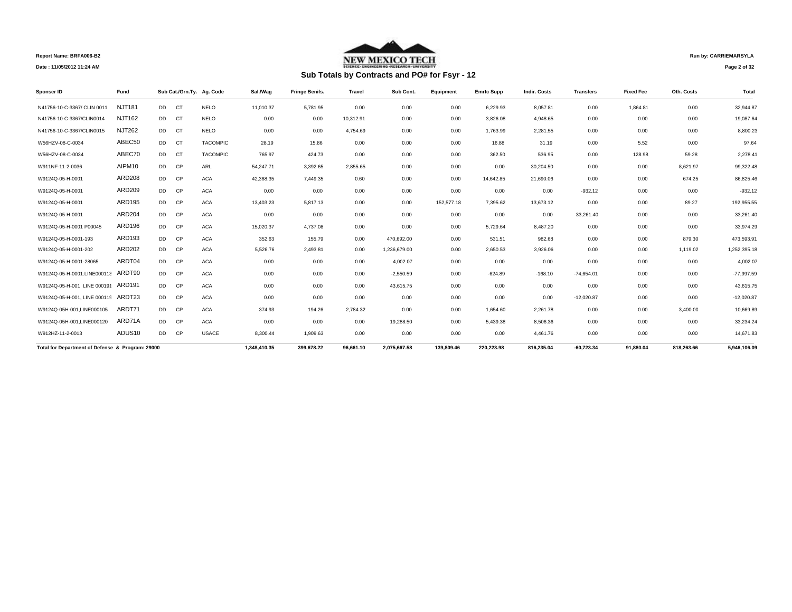

# **Sub Totals by Contracts and PO# for Fsyr - 12**

**Run by: CARRIEMARSYLA**

**Page 2 of 32** 

| Sponser ID                                       | Fund          |           |           | Sub Cat./Grn.Ty. Ag. Code | Sal./Wag     | <b>Fringe Benifs.</b> | <b>Travel</b> | Sub Cont.    | Equipment  | <b>Emrtc Supp</b> | <b>Indir. Costs</b> | <b>Transfers</b> | <b>Fixed Fee</b> | Oth. Costs | Total        |
|--------------------------------------------------|---------------|-----------|-----------|---------------------------|--------------|-----------------------|---------------|--------------|------------|-------------------|---------------------|------------------|------------------|------------|--------------|
| N41756-10-C-3367/ CLIN 0011                      | <b>NJT181</b> | DD -      | <b>CT</b> | <b>NELO</b>               | 11.010.37    | 5.781.95              | 0.00          | 0.00         | 0.00       | 6.229.93          | 8.057.81            | 0.00             | 1.864.81         | 0.00       | 32.944.87    |
| N41756-10-C-3367/CLIN0014                        | <b>NJT162</b> | <b>DD</b> | CT        | <b>NELO</b>               | 0.00         | 0.00                  | 10.312.91     | 0.00         | 0.00       | 3.826.08          | 4.948.65            | 0.00             | 0.00             | 0.00       | 19.087.64    |
| N41756-10-C-3367/CLIN0015                        | <b>NJT262</b> | <b>DD</b> | <b>CT</b> | <b>NELO</b>               | 0.00         | 0.00                  | 4.754.69      | 0.00         | 0.00       | 1.763.99          | 2.281.55            | 0.00             | 0.00             | 0.00       | 8,800.23     |
| W56HZV-08-C-0034                                 | ABEC50        | <b>DD</b> | CT        | <b>TACOMPIC</b>           | 28.19        | 15.86                 | 0.00          | 0.00         | 0.00       | 16.88             | 31.19               | 0.00             | 5.52             | 0.00       | 97.64        |
| W56HZV-08-C-0034                                 | ABEC70        | <b>DD</b> | <b>CT</b> | <b>TACOMPIC</b>           | 765.97       | 424.73                | 0.00          | 0.00         | 0.00       | 362.50            | 536.95              | 0.00             | 128.98           | 59.28      | 2.278.41     |
| W911NF-11-2-0036                                 | AIPM10        | <b>DD</b> | <b>CP</b> | ARL                       | 54.247.71    | 3.392.65              | 2,855.65      | 0.00         | 0.00       | 0.00              | 30.204.50           | 0.00             | 0.00             | 8.621.97   | 99.322.48    |
| W9124Q-05-H-0001                                 | <b>ARD208</b> | <b>DD</b> | <b>CP</b> | <b>ACA</b>                | 42,368.35    | 7,449.35              | 0.60          | 0.00         | 0.00       | 14,642.85         | 21,690.06           | 0.00             | 0.00             | 674.25     | 86,825.46    |
| W9124Q-05-H-0001                                 | ARD209        | <b>DD</b> | CP        | <b>ACA</b>                | 0.00         | 0.00                  | 0.00          | 0.00         | 0.00       | 0.00              | 0.00                | $-932.12$        | 0.00             | 0.00       | $-932.12$    |
| W9124Q-05-H-0001                                 | ARD195        | <b>DD</b> | <b>CP</b> | <b>ACA</b>                | 13,403.23    | 5.817.13              | 0.00          | 0.00         | 152,577.18 | 7.395.62          | 13,673.12           | 0.00             | 0.00             | 89.27      | 192,955.55   |
| W9124Q-05-H-0001                                 | ARD204        | <b>DD</b> | <b>CP</b> | <b>ACA</b>                | 0.00         | 0.00                  | 0.00          | 0.00         | 0.00       | 0.00              | 0.00                | 33,261.40        | 0.00             | 0.00       | 33,261.40    |
| W9124Q-05-H-0001 P00045                          | ARD196        | <b>DD</b> | <b>CP</b> | <b>ACA</b>                | 15.020.37    | 4.737.08              | 0.00          | 0.00         | 0.00       | 5.729.64          | 8.487.20            | 0.00             | 0.00             | 0.00       | 33,974.29    |
| W9124Q-05-H-0001-193                             | ARD193        | <b>DD</b> | CP        | <b>ACA</b>                | 352.63       | 155.79                | 0.00          | 470.692.00   | 0.00       | 531.51            | 982.68              | 0.00             | 0.00             | 879.30     | 473.593.91   |
| W9124Q-05-H-0001-202                             | ARD202        | <b>DD</b> | <b>CP</b> | <b>ACA</b>                | 5,526.76     | 2,493.81              | 0.00          | 1,236,679.00 | 0.00       | 2,650.53          | 3.926.06            | 0.00             | 0.00             | 1,119.02   | 1,252,395.18 |
| W9124Q-05-H-0001-28065                           | ARDT04        | DD.       | CP        | <b>ACA</b>                | 0.00         | 0.00                  | 0.00          | 4.002.07     | 0.00       | 0.00              | 0.00                | 0.00             | 0.00             | 0.00       | 4.002.07     |
| W9124Q-05-H-0001:LINE000113                      | ARDT90        | DD.       | <b>CP</b> | <b>ACA</b>                | 0.00         | 0.00                  | 0.00          | $-2.550.59$  | 0.00       | $-624.89$         | $-168.10$           | $-74.654.01$     | 0.00             | 0.00       | -77.997.59   |
| W9124Q-05-H-001 LINE 000191                      | ARD191        | <b>DD</b> | CP        | <b>ACA</b>                | 0.00         | 0.00                  | 0.00          | 43,615.75    | 0.00       | 0.00              | 0.00                | 0.00             | 0.00             | 0.00       | 43,615.75    |
| W9124Q-05-H-001, LINE 000119                     | ARDT23        | <b>DD</b> | <b>CP</b> | <b>ACA</b>                | 0.00         | 0.00                  | 0.00          | 0.00         | 0.00       | 0.00              | 0.00                | $-12,020.87$     | 0.00             | 0.00       | $-12,020.87$ |
| W9124Q-05H-001.LINE000105                        | ARDT71        | <b>DD</b> | CP        | <b>ACA</b>                | 374.93       | 194.26                | 2,784.32      | 0.00         | 0.00       | 1.654.60          | 2,261.78            | 0.00             | 0.00             | 3,400.00   | 10,669.89    |
| W9124Q-05H-001.LINE000120                        | ARD71A        | <b>DD</b> | CP        | <b>ACA</b>                | 0.00         | 0.00                  | 0.00          | 19.288.50    | 0.00       | 5,439.38          | 8.506.36            | 0.00             | 0.00             | 0.00       | 33,234.24    |
| W912HZ-11-2-0013                                 | ADUS10        | DD        | <b>CP</b> | <b>USACE</b>              | 8.300.44     | 1.909.63              | 0.00          | 0.00         | 0.00       | 0.00              | 4,461.76            | 0.00             | 0.00             | 0.00       | 14,671.83    |
| Total for Department of Defense & Program: 29000 |               |           |           |                           | 1.348.410.35 | 399.678.22            | 96.661.10     | 2.075.667.58 | 139.809.46 | 220.223.98        | 816.235.04          | $-60.723.34$     | 91.880.04        | 818.263.66 | 5.946.106.09 |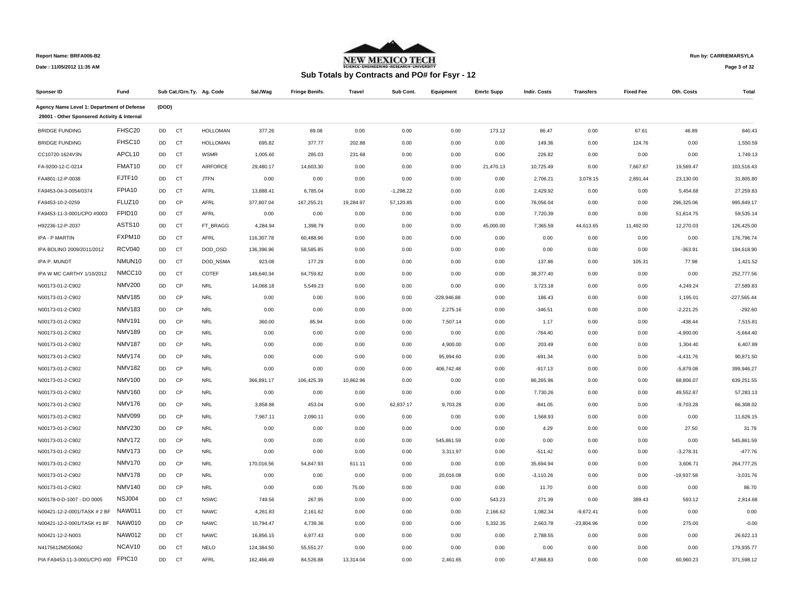

## **Run by: CARRIEMARSYLA**

**Page 3 of 32** 

| Sponser ID                                  | Fund               |           |           | Sub Cat./Grn.Ty. Ag. Code | Sal./Wag   | <b>Fringe Benifs</b> | <b>Travel</b> | Sub Cont.   | Equipment     | <b>Emrtc Supp</b> | <b>Indir. Costs</b> | <b>Transfers</b> | <b>Fixed Fee</b> | Oth. Costs   | Total         |
|---------------------------------------------|--------------------|-----------|-----------|---------------------------|------------|----------------------|---------------|-------------|---------------|-------------------|---------------------|------------------|------------------|--------------|---------------|
| Agency Name Level 1: Department of Defense  |                    | (DOD)     |           |                           |            |                      |               |             |               |                   |                     |                  |                  |              |               |
| 29001 - Other Sponsered Activity & Internal |                    |           |           |                           |            |                      |               |             |               |                   |                     |                  |                  |              |               |
| <b>BRIDGE FUNDING</b>                       | FHSC20             | DD        | <b>CT</b> | <b>HOLLOMAN</b>           | 377.26     | 89.08                | 0.00          | 0.00        | 0.00          | 173.12            | 86.47               | 0.00             | 67.61            | 46.89        | 840.43        |
| <b>BRIDGE FUNDING</b>                       | FHSC10             | DD        | CT        | <b>HOLLOMAN</b>           | 695.82     | 377.77               | 202.88        | 0.00        | 0.00          | 0.00              | 149.36              | 0.00             | 124.76           | 0.00         | 1,550.59      |
| CC10720-1624V3N                             | APCL10             | DD        | CT        | <b>WSMR</b>               | 1,005.60   | 285.03               | 231.68        | 0.00        | 0.00          | 0.00              | 226.82              | 0.00             | 0.00             | 0.00         | 1,749.13      |
| FA-9200-12-C-0214                           | FMAT10             | DD        | CT        | <b>AIRFORCE</b>           | 29,480.17  | 14,603.30            | 0.00          | 0.00        | 0.00          | 21,470.13         | 10,725.49           | 0.00             | 7,667.87         | 19,569.47    | 103,516.43    |
| FA4801-12-P-0038                            | FJTF10             | DD        | CT        | <b>JTFN</b>               | 0.00       | 0.00                 | 0.00          | 0.00        | 0.00          | 0.00              | 2,706.21            | 3,078.15         | 2,891.44         | 23,130.00    | 31,805.80     |
| FA9453-04-3-0054/0374                       | FPIA10             | DD        | CT        | AFRL                      | 13,888.41  | 6,785.04             | 0.00          | $-1,298.22$ | 0.00          | 0.00              | 2,429.92            | 0.00             | 0.00             | 5,454.68     | 27,259.83     |
| FA9453-10-2-0259                            | FLUZ10             | DD        | CP        | AFRL                      | 377,807.04 | 167,255.21           | 19,284.97     | 57,120.85   | 0.00          | 0.00              | 78,056.04           | 0.00             | 0.00             | 296,325.06   | 995,849.17    |
| FA9453-11-3-0001/CPO #0003                  | FPID <sub>10</sub> | DD        | CT        | AFRL                      | 0.00       | 0.00                 | 0.00          | 0.00        | 0.00          | 0.00              | 7,720.39            | 0.00             | 0.00             | 51,814.75    | 59,535.14     |
| H92236-12-P-2037                            | ASTS10             | DD        | CT        | FT BRAGG                  | 4,284.94   | 1,398.79             | 0.00          | 0.00        | 0.00          | 45,000.00         | 7,365.59            | 44,613.65        | 11,492.00        | 12,270.03    | 126,425.00    |
| IPA - P MARTIN                              | FXPM10             | DD        | CT        | AFRL                      | 116,307.78 | 60,488.96            | 0.00          | 0.00        | 0.00          | 0.00              | 0.00                | 0.00             | 0.00             | 0.00         | 176,796.74    |
| IPA BOLINO 2009/2011/2012                   | <b>RCV040</b>      | DD        | <b>CT</b> | DOD OSD                   | 136,396.96 | 58,585.85            | 0.00          | 0.00        | 0.00          | 0.00              | 0.00                | 0.00             | 0.00             | $-363.91$    | 194,618.90    |
| IPA P. MUNDT                                | NMUN10             | DD        | CT        | DOD_NSMA                  | 923.08     | 177.29               | 0.00          | 0.00        | 0.00          | 0.00              | 137.86              | 0.00             | 105.31           | 77.98        | 1,421.52      |
| IPA W MC CARTHY 1/10/2012                   | NMCC10             | DD        | CT        | COTEF                     | 149,640.34 | 64,759.82            | 0.00          | 0.00        | 0.00          | 0.00              | 38,377.40           | 0.00             | 0.00             | 0.00         | 252,777.56    |
| N00173-01-2-C902                            | <b>NMV200</b>      | DD        | CP        | <b>NRL</b>                | 14,068.18  | 5,549.23             | 0.00          | 0.00        | 0.00          | 0.00              | 3,723.18            | 0.00             | 0.00             | 4,249.24     | 27,589.83     |
| N00173-01-2-C902                            | <b>NMV185</b>      | <b>DD</b> | CP        | <b>NRL</b>                | 0.00       | 0.00                 | 0.00          | 0.00        | $-228,946.88$ | 0.00              | 186.43              | 0.00             | 0.00             | 1,195.01     | $-227,565.44$ |
| N00173-01-2-C902                            | <b>NMV183</b>      | DD        | CP        | <b>NRL</b>                | 0.00       | 0.00                 | 0.00          | 0.00        | 2,275.16      | 0.00              | $-346.51$           | 0.00             | 0.00             | $-2,221.25$  | $-292.60$     |
| N00173-01-2-C902                            | <b>NMV191</b>      | DD        | CP        | <b>NRL</b>                | 360.00     | 85.94                | 0.00          | 0.00        | 7,507.14      | 0.00              | 1.17                | 0.00             | 0.00             | $-438.44$    | 7,515.81      |
| N00173-01-2-C902                            | <b>NMV189</b>      | DD        | CP        | <b>NRL</b>                | 0.00       | 0.00                 | 0.00          | 0.00        | 0.00          | 0.00              | $-764.40$           | 0.00             | 0.00             | $-4,900.00$  | $-5,664.40$   |
| N00173-01-2-C902                            | <b>NMV187</b>      | DD        | CP        | <b>NRL</b>                | 0.00       | 0.00                 | 0.00          | 0.00        | 4,900.00      | 0.00              | 203.49              | 0.00             | 0.00             | 1,304.40     | 6,407.89      |
| N00173-01-2-C902                            | <b>NMV174</b>      | DD        | CP        | <b>NRL</b>                | 0.00       | 0.00                 | 0.00          | 0.00        | 95,994.60     | 0.00              | $-691.34$           | 0.00             | 0.00             | $-4,431.76$  | 90,871.50     |
| N00173-01-2-C902                            | <b>NMV182</b>      | DD        | CP        | <b>NRL</b>                | 0.00       | 0.00                 | 0.00          | 0.00        | 406,742.48    | 0.00              | $-917.13$           | 0.00             | 0.00             | $-5,879.08$  | 399,946.27    |
| N00173-01-2-C902                            | <b>NMV100</b>      | DD        | CP        | <b>NRL</b>                | 366,891.17 | 106,425.39           | 10,862.96     | 0.00        | 0.00          | 0.00              | 86,265.96           | 0.00             | 0.00             | 68,806.07    | 639,251.55    |
| N00173-01-2-C902                            | <b>NMV160</b>      | <b>DD</b> | CP        | <b>NRL</b>                | 0.00       | 0.00                 | 0.00          | 0.00        | 0.00          | 0.00              | 7,730.26            | 0.00             | 0.00             | 49,552.87    | 57,283.13     |
| N00173-01-2-C902                            | <b>NMV176</b>      | DD        | CP        | <b>NRL</b>                | 3,858.86   | 453.04               | 0.00          | 62,837.17   | 9,703.28      | 0.00              | $-841.05$           | 0.00             | 0.00             | $-9,703.28$  | 66,308.02     |
| N00173-01-2-C902                            | <b>NMV099</b>      | DD        | CP        | <b>NRL</b>                | 7,967.11   | 2,090.11             | 0.00          | 0.00        | 0.00          | 0.00              | 1,568.93            | 0.00             | 0.00             | 0.00         | 11,626.15     |
| N00173-01-2-C902                            | <b>NMV230</b>      | <b>DD</b> | CP        | <b>NRL</b>                | 0.00       | 0.00                 | 0.00          | 0.00        | 0.00          | 0.00              | 4.29                | 0.00             | 0.00             | 27.50        | 31.79         |
| N00173-01-2-C902                            | <b>NMV172</b>      | DD        | CP        | <b>NRL</b>                | 0.00       | 0.00                 | 0.00          | 0.00        | 545,861.59    | 0.00              | 0.00                | 0.00             | 0.00             | 0.00         | 545,861.59    |
| N00173-01-2-C902                            | <b>NMV173</b>      | DD        | CP        | <b>NRL</b>                | 0.00       | 0.00                 | 0.00          | 0.00        | 3,311.97      | 0.00              | $-511.42$           | 0.00             | 0.00             | $-3,278.31$  | $-477.76$     |
| N00173-01-2-C902                            | <b>NMV170</b>      | DD        | CP        | <b>NRL</b>                | 170,016.56 | 54,847.93            | 611.11        | 0.00        | 0.00          | 0.00              | 35,694.94           | 0.00             | 0.00             | 3,606.71     | 264,777.25    |
| N00173-01-2-C902                            | <b>NMV178</b>      | DD        | CP        | <b>NRL</b>                | 0.00       | 0.00                 | 0.00          | 0.00        | 20,016.08     | 0.00              | $-3,110.26$         | 0.00             | 0.00             | $-19,937.58$ | $-3,031.76$   |
| N00173-01-2-C902                            | <b>NMV140</b>      | DD        | CP        | <b>NRL</b>                | 0.00       | 0.00                 | 75.00         | 0.00        | 0.00          | 0.00              | 11.70               | 0.00             | 0.00             | 0.00         | 86.70         |
| N00178-0-D-1007 - DO 0005                   | <b>NSJ004</b>      | DD        | CT        | <b>NSWC</b>               | 749.56     | 267.95               | 0.00          | 0.00        | 0.00          | 543.23            | 271.39              | 0.00             | 389.43           | 593.12       | 2,814.68      |
| N00421-12-2-0001/TASK # 2 BF                | <b>NAW011</b>      | DD        | CT        | <b>NAWC</b>               | 4,261.83   | 2,161.62             | 0.00          | 0.00        | 0.00          | 2,166.62          | 1,082.34            | $-9,672.41$      | 0.00             | 0.00         | 0.00          |
| N00421-12-2-0001/TASK #1 BF                 | <b>NAW010</b>      | DD        | CP        | <b>NAWC</b>               | 10,794.47  | 4,739.36             | 0.00          | 0.00        | 0.00          | 5,332.35          | 2,663.78            | $-23,804.96$     | 0.00             | 275.00       | $-0.00$       |
| N00421-12-2-N003                            | <b>NAW012</b>      | DD        | CT        | <b>NAWC</b>               | 16,856.15  | 6,977.43             | 0.00          | 0.00        | 0.00          | 0.00              | 2,788.55            | 0.00             | 0.00             | 0.00         | 26,622.13     |
| N4175612MD50062                             | NCAV10             | DD        | CT        | <b>NELO</b>               | 124,384.50 | 55,551.27            | 0.00          | 0.00        | 0.00          | 0.00              | 0.00                | 0.00             | 0.00             | 0.00         | 179,935.77    |
| PIA FA9453-11-3-0001/CPO #00                | FPIC10             | <b>DD</b> | <b>CT</b> | AFRL                      | 162,466.49 | 84,526.88            | 13,314.04     | 0.00        | 2,461.65      | 0.00              | 47.868.83           | 0.00             | 0.00             | 60,960.23    | 371,598.12    |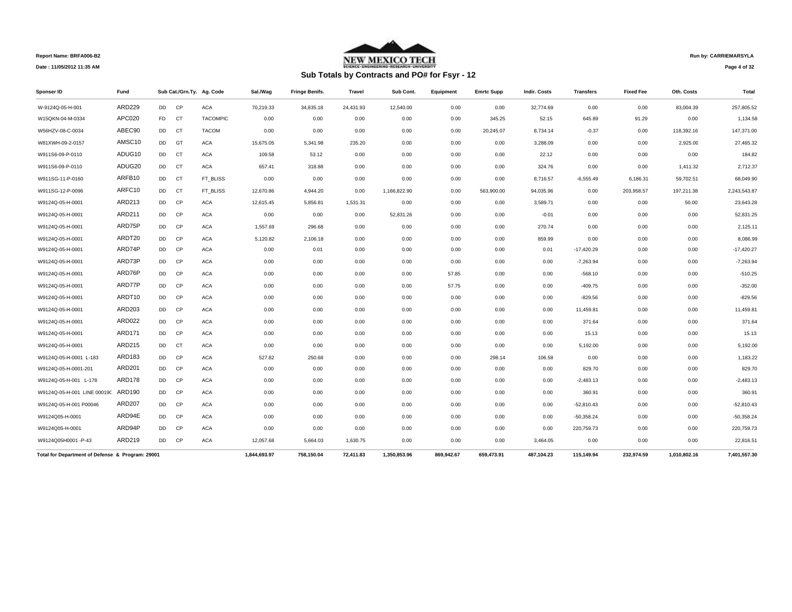

**Run by: CARRIEMARSYLA**

**Page 4 of 32** 

| <b>Sponser ID</b>                                | Fund          |           |           | Sub Cat./Grn.Ty. Ag. Code | Sal./Wag     | Fringe Benifs. | Travel    | Sub Cont.    | <b>Equipment</b> | <b>Emrtc Supp</b> | <b>Indir. Costs</b> | Transfers    | <b>Fixed Fee</b> | Oth. Costs   | Total        |
|--------------------------------------------------|---------------|-----------|-----------|---------------------------|--------------|----------------|-----------|--------------|------------------|-------------------|---------------------|--------------|------------------|--------------|--------------|
| W-9124Q-05-H-001                                 | <b>ARD229</b> | <b>DD</b> | CP        | <b>ACA</b>                | 70.219.33    | 34.835.18      | 24.431.93 | 12,540.00    | 0.00             | 0.00              | 32,774.69           | 0.00         | 0.00             | 83.004.39    | 257.805.52   |
| W15QKN-04-M-0334                                 | APC020        | FD.       | CT        | <b>TACOMPIC</b>           | 0.00         | 0.00           | 0.00      | 0.00         | 0.00             | 345.25            | 52.15               | 645.89       | 91.29            | 0.00         | 1,134.58     |
| W56HZV-08-C-0034                                 | ABEC90        | DD        | CT        | <b>TACOM</b>              | 0.00         | 0.00           | 0.00      | 0.00         | 0.00             | 20,245.07         | 8,734.14            | $-0.37$      | 0.00             | 118,392.16   | 147,371.00   |
| W81XWH-09-2-0157                                 | AMSC10        | DD        | GT        | <b>ACA</b>                | 15,675.05    | 5,341.98       | 235.20    | 0.00         | 0.00             | 0.00              | 3,288.09            | 0.00         | 0.00             | 2,925.00     | 27,465.32    |
| W911S6-09-P-0110                                 | ADUG10        | DD        | <b>CT</b> | <b>ACA</b>                | 109.58       | 53.12          | 0.00      | 0.00         | 0.00             | 0.00              | 22.12               | 0.00         | 0.00             | 0.00         | 184.82       |
| W911S6-09-P-0110                                 | ADUG20        | DD        | <b>CT</b> | <b>ACA</b>                | 657.41       | 318.88         | 0.00      | 0.00         | 0.00             | 0.00              | 324.76              | 0.00         | 0.00             | 1,411.32     | 2,712.37     |
| W911SG-11-P-0160                                 | ARFB10        | DD        | <b>CT</b> | FT BLISS                  | 0.00         | 0.00           | 0.00      | 0.00         | 0.00             | 0.00              | 8,716.57            | $-6,555.49$  | 6,186.31         | 59,702.51    | 68,049.90    |
| W911SG-12-P-0096                                 | ARFC10        | DD        | CT        | FT_BLISS                  | 12,670.86    | 4,944.20       | 0.00      | 1,166,822.90 | 0.00             | 563,900.00        | 94,035.96           | 0.00         | 203,958.57       | 197,211.38   | 2,243,543.87 |
| W9124Q-05-H-0001                                 | ARD213        | DD        | CP        | <b>ACA</b>                | 12,615.45    | 5,856.81       | 1,531.31  | 0.00         | 0.00             | 0.00              | 3,589.71            | 0.00         | 0.00             | 50.00        | 23,643.28    |
| W9124Q-05-H-0001                                 | ARD211        | DD        | CP        | <b>ACA</b>                | 0.00         | 0.00           | 0.00      | 52,831.26    | 0.00             | 0.00              | $-0.01$             | 0.00         | 0.00             | 0.00         | 52,831.25    |
| W9124Q-05-H-0001                                 | ARD75P        | DD        | CP        | <b>ACA</b>                | 1,557.69     | 296.68         | 0.00      | 0.00         | 0.00             | 0.00              | 270.74              | 0.00         | 0.00             | 0.00         | 2,125.11     |
| W9124Q-05-H-0001                                 | ARDT20        | DD        | CP        | <b>ACA</b>                | 5,120.82     | 2,106.18       | 0.00      | 0.00         | 0.00             | 0.00              | 859.99              | 0.00         | 0.00             | 0.00         | 8,086.99     |
| W9124Q-05-H-0001                                 | ARD74P        | DD        | CP        | <b>ACA</b>                | 0.00         | 0.01           | 0.00      | 0.00         | 0.00             | 0.00              | 0.01                | $-17,420.29$ | 0.00             | 0.00         | $-17,420.27$ |
| W9124Q-05-H-0001                                 | ARD73P        | <b>DD</b> | CP        | <b>ACA</b>                | 0.00         | 0.00           | 0.00      | 0.00         | 0.00             | 0.00              | 0.00                | $-7,263.94$  | 0.00             | 0.00         | $-7,263.94$  |
| W9124Q-05-H-0001                                 | ARD76P        | DD        | CP        | <b>ACA</b>                | 0.00         | 0.00           | 0.00      | 0.00         | 57.85            | 0.00              | 0.00                | $-568.10$    | 0.00             | 0.00         | $-510.25$    |
| W9124Q-05-H-0001                                 | ARD77P        | DD        | CP        | <b>ACA</b>                | 0.00         | 0.00           | 0.00      | 0.00         | 57.75            | 0.00              | 0.00                | $-409.75$    | 0.00             | 0.00         | $-352.00$    |
| W9124Q-05-H-0001                                 | ARDT10        | DD        | CP        | <b>ACA</b>                | 0.00         | 0.00           | 0.00      | 0.00         | 0.00             | 0.00              | 0.00                | $-829.56$    | 0.00             | 0.00         | $-829.56$    |
| W9124Q-05-H-0001                                 | <b>ARD203</b> | DD        | CP        | <b>ACA</b>                | 0.00         | 0.00           | 0.00      | 0.00         | 0.00             | 0.00              | 0.00                | 11,459.81    | 0.00             | 0.00         | 11,459.81    |
| W9124Q-05-H-0001                                 | <b>ARD022</b> | DD        | CP        | <b>ACA</b>                | 0.00         | 0.00           | 0.00      | 0.00         | 0.00             | 0.00              | 0.00                | 371.64       | 0.00             | 0.00         | 371.64       |
| W9124Q-05-H-0001                                 | <b>ARD171</b> | DD        | CP        | <b>ACA</b>                | 0.00         | 0.00           | 0.00      | 0.00         | 0.00             | 0.00              | 0.00                | 15.13        | 0.00             | 0.00         | 15.13        |
| W9124Q-05-H-0001                                 | ARD215        | DD        | CT        | <b>ACA</b>                | 0.00         | 0.00           | 0.00      | 0.00         | 0.00             | 0.00              | 0.00                | 5,192.00     | 0.00             | 0.00         | 5,192.00     |
| W9124Q-05-H-0001 L-183                           | ARD183        | DD        | CP        | <b>ACA</b>                | 527.82       | 250.68         | 0.00      | 0.00         | 0.00             | 298.14            | 106.58              | 0.00         | 0.00             | 0.00         | 1,183.22     |
| W9124Q-05-H-0001-201                             | <b>ARD201</b> | DD        | CP        | <b>ACA</b>                | 0.00         | 0.00           | 0.00      | 0.00         | 0.00             | 0.00              | 0.00                | 829.70       | 0.00             | 0.00         | 829.70       |
| W9124Q-05-H-001 L-178                            | <b>ARD178</b> | DD        | CP        | <b>ACA</b>                | 0.00         | 0.00           | 0.00      | 0.00         | 0.00             | 0.00              | 0.00                | $-2,483.13$  | 0.00             | 0.00         | $-2,483.13$  |
| W9124Q-05-H-001 LINE 00019(                      | ARD190        | DD        | CP        | <b>ACA</b>                | 0.00         | 0.00           | 0.00      | 0.00         | 0.00             | 0.00              | 0.00                | 360.91       | 0.00             | 0.00         | 360.91       |
| W9124Q-05-H-001 P00046                           | <b>ARD207</b> | DD        | CP        | <b>ACA</b>                | 0.00         | 0.00           | 0.00      | 0.00         | 0.00             | 0.00              | 0.00                | $-52,810.43$ | 0.00             | 0.00         | $-52,810.43$ |
| W9124Q05-H-0001                                  | ARD94E        | DD        | <b>CP</b> | <b>ACA</b>                | 0.00         | 0.00           | 0.00      | 0.00         | 0.00             | 0.00              | 0.00                | $-50,358.24$ | 0.00             | 0.00         | $-50,358.24$ |
| W9124Q05-H-0001                                  | ARD94P        | <b>DD</b> | <b>CP</b> | <b>ACA</b>                | 0.00         | 0.00           | 0.00      | 0.00         | 0.00             | 0.00              | 0.00                | 220,759.73   | 0.00             | 0.00         | 220,759.73   |
| W9124Q05H0001 -P-43                              | ARD219        | <b>DD</b> | <b>CP</b> | <b>ACA</b>                | 12,057.68    | 5,664.03       | 1,630.75  | 0.00         | 0.00             | 0.00              | 3,464.05            | 0.00         | 0.00             | 0.00         | 22,816.51    |
| Total for Department of Defense & Program: 29001 |               |           |           |                           | 1.844.693.97 | 758,150.04     | 72.411.83 | 1.350.853.96 | 869.942.67       | 659.473.91        | 487.104.23          | 115,149.94   | 232.974.59       | 1,010,802.16 | 7,401,557.30 |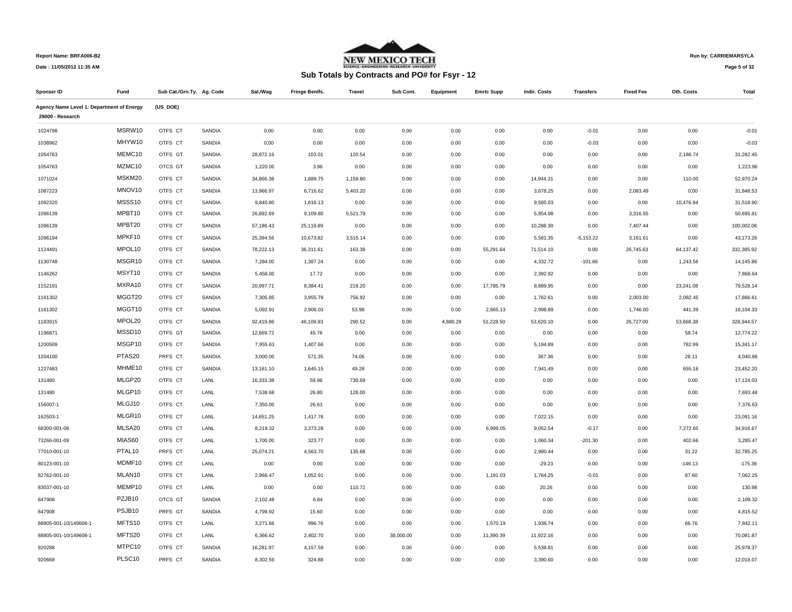

## **Run by: CARRIEMARSYLA**

**Page 5 of 32** 

| Sponser ID                                | Fund               | Sub Cat./Grn.Ty. Ag. Code |        | Sal./Wag  | <b>Fringe Benifs.</b> | Travel   | Sub Cont. | Equipment | <b>Emrtc Supp</b> | <b>Indir. Costs</b> | <b>Transfers</b> | <b>Fixed Fee</b> | Oth. Costs | Total      |
|-------------------------------------------|--------------------|---------------------------|--------|-----------|-----------------------|----------|-----------|-----------|-------------------|---------------------|------------------|------------------|------------|------------|
| Agency Name Level 1: Department of Energy |                    | (US_DOE)                  |        |           |                       |          |           |           |                   |                     |                  |                  |            |            |
| 29000 - Research                          |                    |                           |        |           |                       |          |           |           |                   |                     |                  |                  |            |            |
| 1024798                                   | MSRW10             | OTFS CT                   | SANDIA | 0.00      | 0.00                  | 0.00     | 0.00      | 0.00      | 0.00              | 0.00                | $-0.01$          | 0.00             | 0.00       | $-0.01$    |
| 1038962                                   | MHYW10             | OTFS CT                   | SANDIA | 0.00      | 0.00                  | 0.00     | 0.00      | 0.00      | 0.00              | 0.00                | $-0.03$          | 0.00             | 0.00       | $-0.03$    |
| 1054763                                   | MEMC10             | OTFS GT                   | SANDIA | 28,872.16 | 103.01                | 120.54   | 0.00      | 0.00      | 0.00              | 0.00                | 0.00             | 0.00             | 2,186.74   | 31,282.45  |
| 1054763                                   | MZMC10             | OTCS GT                   | SANDIA | 1,220.00  | 3.96                  | 0.00     | 0.00      | 0.00      | 0.00              | 0.00                | 0.00             | 0.00             | 0.00       | 1,223.96   |
| 1071024                                   | MSKM20             | OTFS CT                   | SANDIA | 34,866.38 | 1,889.75              | 1,159.80 | 0.00      | 0.00      | 0.00              | 14,944.31           | 0.00             | 0.00             | 110.00     | 52,970.24  |
| 1087223                                   | MNOV10             | OTFS CT                   | SANDIA | 13,966.97 | 6,716.62              | 5,403.20 | 0.00      | 0.00      | 0.00              | 3,678.25            | 0.00             | 2,083.49         | 0.00       | 31,848.53  |
| 1092320                                   | MSSS10             | OTFS CT                   | SANDIA | 9,840.80  | 1,616.13              | 0.00     | 0.00      | 0.00      | 0.00              | 9,585.03            | 0.00             | 0.00             | 10,476.94  | 31,518.90  |
| 1096139                                   | MPBT10             | OTFS CT                   | SANDIA | 26,892.69 | 9,109.80              | 5,521.79 | 0.00      | 0.00      | 0.00              | 5,854.98            | 0.00             | 3,316.55         | 0.00       | 50,695.81  |
| 1096139                                   | MPBT20             | OTFS CT                   | SANDIA | 57,186.43 | 25,119.89             | 0.00     | 0.00      | 0.00      | 0.00              | 10,288.30           | 0.00             | 7,407.44         | 0.00       | 100,002.06 |
| 1096194                                   | MPKF10             | OTFS CT                   | SANDIA | 25,394.56 | 10,673.82             | 3,515.14 | 0.00      | 0.00      | 0.00              | 5,581.35            | $-5,153.22$      | 3,161.61         | 0.00       | 43,173.26  |
| 1124491                                   | MPOL10             | OTFS CT                   | SANDIA | 78,222.13 | 36,311.61             | 163.39   | 0.00      | 0.00      | 55,291.64         | 71,514.10           | 0.00             | 26,745.63        | 64,137.42  | 332,385.92 |
| 1130748                                   | MSGR10             | OTFS CT                   | SANDIA | 7,284.00  | 1,387.24              | 0.00     | 0.00      | 0.00      | 0.00              | 4,332.72            | $-101.66$        | 0.00             | 1,243.56   | 14,145.86  |
| 1146262                                   | MSYT10             | OTFS CT                   | SANDIA | 5,458.00  | 17.72                 | 0.00     | 0.00      | 0.00      | 0.00              | 2,392.92            | 0.00             | 0.00             | 0.00       | 7,868.64   |
| 1152191                                   | MXRA10             | OTFS CT                   | SANDIA | 20,997.71 | 8,384.41              | 219.20   | 0.00      | 0.00      | 17,795.79         | 8,889.95            | 0.00             | 0.00             | 23,241.08  | 79,528.14  |
| 1161302                                   | MGGT20             | OTFS CT                   | SANDIA | 7,305.85  | 3,955.78              | 756.92   | 0.00      | 0.00      | 0.00              | 1,762.61            | 0.00             | 2,003.00         | 2,082.45   | 17,866.61  |
| 1161302                                   | MGGT10             | OTFS CT                   | SANDIA | 5,092.91  | 2,906.03              | 53.98    | 0.00      | 0.00      | 2,865.13          | 2,998.89            | 0.00             | 1,746.00         | 441.39     | 16,104.33  |
| 1183915                                   | MPOL20             | OTFS CT                   | SANDIA | 92,419.86 | 46,109.93             | 290.52   | 0.00      | 4,880.28  | 51,228.50         | 53,620.10           | 0.00             | 26,727.00        | 53,668.38  | 328,944.57 |
| 1196871                                   | MSSD10             | OTFS GT                   | SANDIA | 12,669.72 | 45.76                 | 0.00     | 0.00      | 0.00      | 0.00              | 0.00                | 0.00             | 0.00             | 58.74      | 12,774.22  |
| 1200509                                   | MSGP10             | OTFS CT                   | SANDIA | 7,955.63  | 1,407.66              | 0.00     | 0.00      | 0.00      | 0.00              | 5,194.89            | 0.00             | 0.00             | 782.99     | 15,341.17  |
| 1204100                                   | PTAS20             | PRFS CT                   | SANDIA | 3,000.00  | 571.35                | 74.06    | 0.00      | 0.00      | 0.00              | 367.36              | 0.00             | 0.00             | 28.11      | 4,040.88   |
| 1227483                                   | MHME10             | OTFS CT                   | SANDIA | 13,161.10 | 1,645.15              | 49.28    | 0.00      | 0.00      | 0.00              | 7,941.49            | 0.00             | 0.00             | 655.18     | 23,452.20  |
| 131480                                    | MLGP20             | OTFS CT                   | LANL   | 16,333.38 | 59.96                 | 730.69   | 0.00      | 0.00      | 0.00              | 0.00                | 0.00             | 0.00             | 0.00       | 17,124.03  |
| 131480                                    | MLGP10             | OTFS CT                   | LANL   | 7,538.68  | 26.80                 | 128.00   | 0.00      | 0.00      | 0.00              | 0.00                | 0.00             | 0.00             | 0.00       | 7.693.48   |
| 156007-1                                  | MLGJ10             | OTFS CT                   | LANL   | 7,350.00  | 26.63                 | 0.00     | 0.00      | 0.00      | 0.00              | 0.00                | 0.00             | 0.00             | 0.00       | 7,376.63   |
| 162503-1                                  | MLGR10             | OTFS CT                   | LANL   | 14,651.25 | 1,417.76              | 0.00     | 0.00      | 0.00      | 0.00              | 7,022.15            | 0.00             | 0.00             | 0.00       | 23,091.16  |
| 68300-001-08                              | MLSA20             | OTFS CT                   | LANL   | 8,219.32  | 3,373.28              | 0.00     | 0.00      | 0.00      | 6,999.05          | 9,052.54            | $-0.17$          | 0.00             | 7,272.65   | 34,916.67  |
| 73266-001-09                              | MIAS60             | OTFS CT                   | LANL   | 1,700.00  | 323.77                | 0.00     | 0.00      | 0.00      | 0.00              | 1,060.34            | $-201.30$        | 0.00             | 402.66     | 3,285.47   |
| 77010-001-10                              | PTAL <sub>10</sub> | PRFS CT                   | LANL   | 25,074.21 | 4,563.70              | 135.68   | 0.00      | 0.00      | 0.00              | 2,980.44            | 0.00             | 0.00             | 31.22      | 32,785.25  |
| 80123-001-10                              | MDMF10             | OTFS CT                   | LANL   | 0.00      | 0.00                  | 0.00     | 0.00      | 0.00      | 0.00              | $-29.23$            | 0.00             | 0.00             | $-146.13$  | $-175.36$  |
| 82762-001-10                              | MLAN10             | OTFS CT                   | LANL   | 2,966.47  | 1,052.91              | 0.00     | 0.00      | 0.00      | 1,191.03          | 1,764.25            | $-0.01$          | 0.00             | 87.60      | 7,062.25   |
| 83037-001-10                              | MEMP10             | OTFS CT                   | LANL   | 0.00      | 0.00                  | 110.72   | 0.00      | 0.00      | 0.00              | 20.26               | 0.00             | 0.00             | 0.00       | 130.98     |
| 847908                                    | PZJB10             | OTCS GT                   | SANDIA | 2,102.48  | 6.84                  | 0.00     | 0.00      | 0.00      | 0.00              | 0.00                | 0.00             | 0.00             | 0.00       | 2,109.32   |
| 847908                                    | PSJB10             | PRFS GT                   | SANDIA | 4,799.92  | 15.60                 | 0.00     | 0.00      | 0.00      | 0.00              | 0.00                | 0.00             | 0.00             | 0.00       | 4,815.52   |
| 88805-001-10/149608-1                     | MFTS10             | OTFS CT                   | LANL   | 3,271.66  | 996.76                | 0.00     | 0.00      | 0.00      | 1,570.19          | 1,936.74            | 0.00             | 0.00             | 66.76      | 7,842.11   |
| 88805-001-10/149608-1                     | MFTS20             | OTFS CT                   | LANL   | 6,366.62  | 2,402.70              | 0.00     | 38,000.00 | 0.00      | 11,390.39         | 11,922.16           | 0.00             | 0.00             | 0.00       | 70,081.87  |
| 920288                                    | MTPC10             | OTFS CT                   | SANDIA | 16,281.97 | 4,157.59              | 0.00     | 0.00      | 0.00      | 0.00              | 5,538.81            | 0.00             | 0.00             | 0.00       | 25,978.37  |
| 920668                                    | PLSC10             | PRFS CT                   | SANDIA | 8,302.59  | 324.88                | 0.00     | 0.00      | 0.00      | 0.00              | 3,390.60            | 0.00             | 0.00             | 0.00       | 12,018.07  |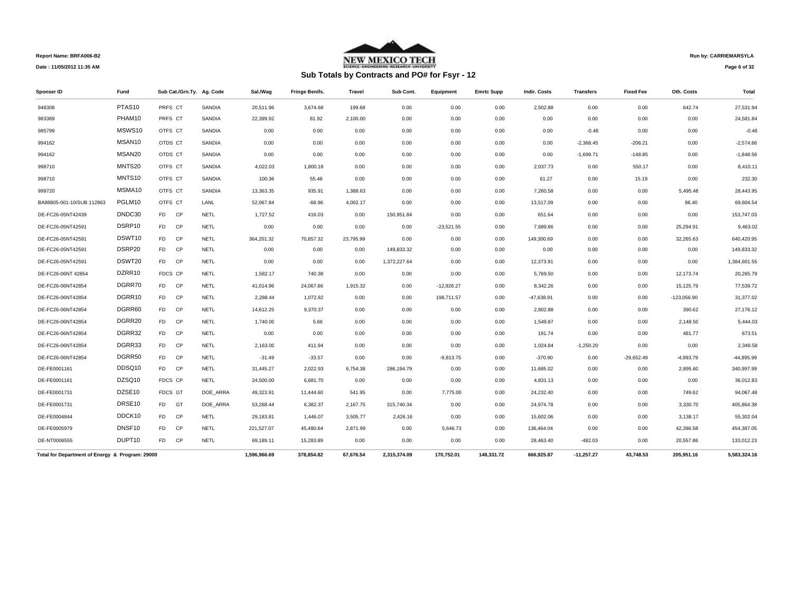

# **Sub Totals by Contracts and PO# for Fsyr - 12**

**Run by: CARRIEMARSYLA**

**Page 6 of 32** 

| <b>Sponser ID</b>                               | Fund               | Sub Cat./Grn.Ty. Ag. Code |             | Sal./Wag     | <b>Fringe Benifs.</b> | <b>Travel</b> | Sub Cont.    | Equipment    | <b>Emrtc Supp</b> | Indir. Costs | <b>Transfers</b> | <b>Fixed Fee</b> | Oth. Costs    | Total        |
|-------------------------------------------------|--------------------|---------------------------|-------------|--------------|-----------------------|---------------|--------------|--------------|-------------------|--------------|------------------|------------------|---------------|--------------|
| 948308                                          | PTAS <sub>10</sub> | PRFS CT                   | SANDIA      | 20,511.96    | 3,674.68              | 199.68        | 0.00         | 0.00         | 0.00              | 2,502.88     | 0.00             | 0.00             | 642.74        | 27,531.94    |
| 983389                                          | PHAM10             | PRFS CT                   | SANDIA      | 22,399.92    | 81.92                 | 2,100.00      | 0.00         | 0.00         | 0.00              | 0.00         | 0.00             | 0.00             | 0.00          | 24,581.84    |
| 985799                                          | MSWS10             | OTFS CT                   | SANDIA      | 0.00         | 0.00                  | 0.00          | 0.00         | 0.00         | 0.00              | 0.00         | $-0.48$          | 0.00             | 0.00          | $-0.48$      |
| 994162                                          | MSAN10             | OTDS CT                   | SANDIA      | 0.00         | 0.00                  | 0.00          | 0.00         | 0.00         | 0.00              | 0.00         | $-2,368.45$      | $-206.21$        | 0.00          | $-2,574.66$  |
| 994162                                          | MSAN <sub>20</sub> | OTDS CT                   | SANDIA      | 0.00         | 0.00                  | 0.00          | 0.00         | 0.00         | 0.00              | 0.00         | $-1,699.71$      | $-148.85$        | 0.00          | $-1,848.56$  |
| 998710                                          | MNTS20             | OTFS CT                   | SANDIA      | 4,022.03     | 1,800.18              | 0.00          | 0.00         | 0.00         | 0.00              | 2,037.73     | 0.00             | 550.17           | 0.00          | 8,410.11     |
| 998710                                          | MNTS10             | OTFS CT                   | SANDIA      | 100.36       | 55.48                 | 0.00          | 0.00         | 0.00         | 0.00              | 61.27        | 0.00             | 15.19            | 0.00          | 232.30       |
| 999720                                          | MSMA10             | OTFS CT                   | SANDIA      | 13,363.35    | 935.91                | 1,388.63      | 0.00         | 0.00         | 0.00              | 7,260.58     | 0.00             | 0.00             | 5,495.48      | 28,443.95    |
| BA88805-001-10/SUB 112863                       | PGLM10             | OTFS CT                   | LANL        | 52,067.84    | $-68.96$              | 4,002.17      | 0.00         | 0.00         | 0.00              | 13,517.09    | 0.00             | 0.00             | 86.40         | 69,604.54    |
| DE-FC26-05NT42439                               | DNDC30             | FD.<br>CP                 | <b>NETL</b> | 1,727.52     | 416.03                | 0.00          | 150,951.84   | 0.00         | 0.00              | 651.64       | 0.00             | 0.00             | 0.00          | 153,747.03   |
| DE-FC26-05NT42591                               | DSRP10             | <b>FD</b><br>CP           | <b>NETL</b> | 0.00         | 0.00                  | 0.00          | 0.00         | $-23,521.55$ | 0.00              | 7,689.66     | 0.00             | 0.00             | 25,294.91     | 9,463.02     |
| DE-FC26-05NT42591                               | DSWT10             | <b>FD</b><br><b>CP</b>    | <b>NETL</b> | 364,201.32   | 70,857.32             | 23,795.99     | 0.00         | 0.00         | 0.00              | 149,300.69   | 0.00             | 0.00             | 32,265.63     | 640,420.95   |
| DE-FC26-05NT42591                               | DSRP20             | <b>FD</b><br>CP           | NETL        | 0.00         | 0.00                  | 0.00          | 149,833.32   | 0.00         | 0.00              | 0.00         | 0.00             | 0.00             | 0.00          | 149,833.32   |
| DE-FC26-05NT42591                               | DSWT20             | FD -<br>CP                | <b>NETL</b> | 0.00         | 0.00                  | 0.00          | 1,372,227.64 | 0.00         | 0.00              | 12,373.91    | 0.00             | 0.00             | 0.00          | 1,384,601.55 |
| DE-FC26-06NT 42854                              | DZRR10             | FDCS CP                   | <b>NETL</b> | 1,582.17     | 740.38                | 0.00          | 0.00         | 0.00         | 0.00              | 5,769.50     | 0.00             | 0.00             | 12,173.74     | 20,265.79    |
| DE-FC26-06NT42854                               | DGRR70             | FD.<br>CP                 | <b>NETL</b> | 41,014.96    | 24,067.66             | 1,915.32      | 0.00         | $-12,926.27$ | 0.00              | 8,342.26     | 0.00             | 0.00             | 15,125.79     | 77,539.72    |
| DE-FC26-06NT42854                               | DGRR10             | <b>FD</b><br><b>CP</b>    | <b>NETL</b> | 2,288.44     | 1,072.82              | 0.00          | 0.00         | 198,711.57   | 0.00              | -47,638.91   | 0.00             | 0.00             | $-123,056.90$ | 31,377.02    |
| DE-FC26-06NT42854                               | DGRR60             | <b>FD</b><br>CP           | <b>NETL</b> | 14,612.25    | 9,370.37              | 0.00          | 0.00         | 0.00         | 0.00              | 2,802.88     | 0.00             | 0.00             | 390.62        | 27,176.12    |
| DE-FC26-06NT42854                               | DGRR20             | FD.<br>CP                 | <b>NETL</b> | 1,740.00     | 5.66                  | 0.00          | 0.00         | 0.00         | 0.00              | 1,549.87     | 0.00             | 0.00             | 2,148.50      | 5,444.03     |
| DE-FC26-06NT42854                               | DGRR32             | <b>FD</b><br><b>CP</b>    | <b>NETL</b> | 0.00         | 0.00                  | 0.00          | 0.00         | 0.00         | 0.00              | 191.74       | 0.00             | 0.00             | 481.77        | 673.51       |
| DE-FC26-06NT42854                               | DGRR33             | <b>FD</b><br>CP           | <b>NETL</b> | 2,163.00     | 411.94                | 0.00          | 0.00         | 0.00         | 0.00              | 1,024.84     | $-1,250.20$      | 0.00             | 0.00          | 2,349.58     |
| DE-FC26-06NT42854                               | DGRR50             | FD<br>CP                  | <b>NETL</b> | $-31.49$     | $-33.57$              | 0.00          | 0.00         | $-9,813.75$  | 0.00              | $-370.90$    | 0.00             | $-29,652.49$     | $-4,993.79$   | $-44,895.99$ |
| DE-FE0001161                                    | DDSQ10             | F <sub>D</sub><br>CP      | <b>NETL</b> | 31,445.27    | 2,022.93              | 6,754.38      | 286,194.79   | 0.00         | 0.00              | 11,685.02    | 0.00             | 0.00             | 2,895.60      | 340,997.99   |
| DE-FE0001161                                    | DZSQ10             | FDCS CP                   | <b>NETL</b> | 24,500.00    | 6,681.70              | 0.00          | 0.00         | 0.00         | 0.00              | 4,831.13     | 0.00             | 0.00             | 0.00          | 36,012.83    |
| DE-FE0001731                                    | DZSE10             | FDCS GT                   | DOE ARRA    | 49,323.91    | 11,444.60             | 541.95        | 0.00         | 7,775.00     | 0.00              | 24,232.40    | 0.00             | 0.00             | 749.62        | 94,067.48    |
| DE-FE0001731                                    | DRSE10             | <b>FD</b><br>GT           | DOE ARRA    | 53,268.44    | 6,382.37              | 2,167.75      | 315,740.34   | 0.00         | 0.00              | 24,974.78    | 0.00             | 0.00             | 3,330.70      | 405,864.38   |
| DE-FE0004844                                    | DDCK10             | <b>FD</b><br>CP           | <b>NETL</b> | 29,183.81    | 1,446.07              | 3,505.77      | 2,426.16     | 0.00         | 0.00              | 15,602.06    | 0.00             | 0.00             | 3,138.17      | 55,302.04    |
| DE-FE0005979                                    | DNSF10             | <b>CP</b><br>FD.          | <b>NETL</b> | 221,527.07   | 45,480.64             | 2,871.99      | 0.00         | 5,646.73     | 0.00              | 136,464.04   | 0.00             | 0.00             | 42,396.58     | 454,387.05   |
| DE-NT0006555                                    | DUPT10             | F <sub>D</sub><br>CP      | <b>NETL</b> | 69,189.11    | 15,283.89             | 0.00          | 0.00         | 0.00         | 0.00              | 28,463.40    | $-482.03$        | 0.00             | 20,557.86     | 133,012.23   |
| Total for Department of Energy & Program: 29000 |                    |                           |             | 1,596,966.69 | 378.854.82            | 67.676.54     | 2,315,374.09 | 170.752.01   | 148,331.72        | 666.925.87   | $-11,257.27$     | 43.748.53        | 205,951.16    | 5,583,324.16 |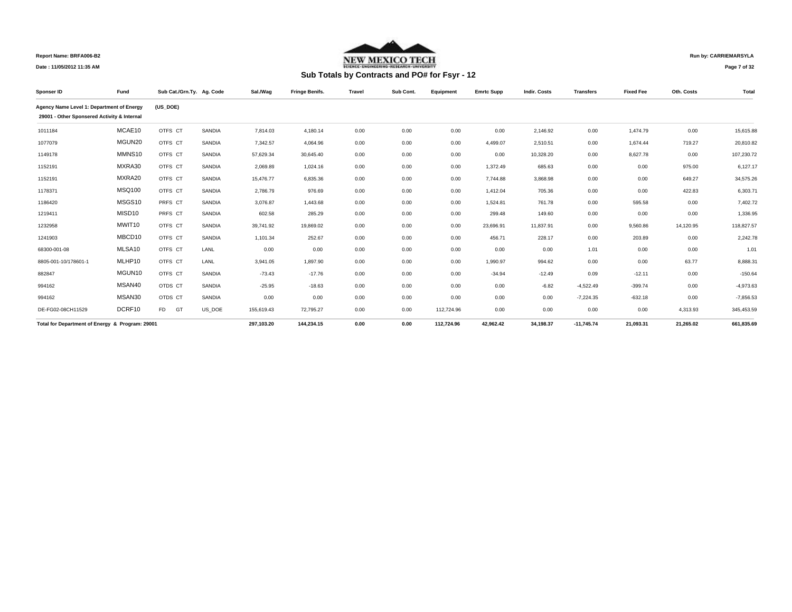

## **Run by: CARRIEMARSYLA**

**Date : 11/05/2012 11:35 AM**

# **Sub Totals by Contracts and PO# for Fsyr - 12**

**Page 7 of 32** 

| Sponser ID                                      | Fund          |                      | Sub Cat./Grn.Ty. Ag. Code | Sal./Wag   | <b>Fringe Benifs.</b> | Travel | Sub Cont. | Equipment  | <b>Emrtc Supp</b> | <b>Indir. Costs</b> | <b>Transfers</b> | <b>Fixed Fee</b> | Oth. Costs | Total       |
|-------------------------------------------------|---------------|----------------------|---------------------------|------------|-----------------------|--------|-----------|------------|-------------------|---------------------|------------------|------------------|------------|-------------|
| Agency Name Level 1: Department of Energy       |               | (US DOE)             |                           |            |                       |        |           |            |                   |                     |                  |                  |            |             |
| 29001 - Other Sponsered Activity & Internal     |               |                      |                           |            |                       |        |           |            |                   |                     |                  |                  |            |             |
| 1011184                                         | MCAE10        | OTFS CT              | SANDIA                    | 7,814.03   | 4,180.14              | 0.00   | 0.00      | 0.00       | 0.00              | 2,146.92            | 0.00             | 1,474.79         | 0.00       | 15,615.88   |
| 1077079                                         | MGUN20        | OTFS CT              | SANDIA                    | 7,342.57   | 4,064.96              | 0.00   | 0.00      | 0.00       | 4,499.07          | 2,510.51            | 0.00             | 1,674.44         | 719.27     | 20,810.82   |
| 1149178                                         | MMNS10        | OTFS CT              | SANDIA                    | 57,629.34  | 30,645.40             | 0.00   | 0.00      | 0.00       | 0.00              | 10,328.20           | 0.00             | 8,627.78         | 0.00       | 107,230.72  |
| 1152191                                         | MXRA30        | OTFS CT              | SANDIA                    | 2,069.89   | 1,024.16              | 0.00   | 0.00      | 0.00       | 1,372.49          | 685.63              | 0.00             | 0.00             | 975.00     | 6,127.17    |
| 1152191                                         | MXRA20        | OTFS CT              | SANDIA                    | 15,476.77  | 6,835.36              | 0.00   | 0.00      | 0.00       | 7,744.88          | 3,868.98            | 0.00             | 0.00             | 649.27     | 34,575.26   |
| 1178371                                         | <b>MSQ100</b> | OTFS CT              | SANDIA                    | 2.786.79   | 976.69                | 0.00   | 0.00      | 0.00       | 1.412.04          | 705.36              | 0.00             | 0.00             | 422.83     | 6.303.71    |
| 1186420                                         | MSGS10        | PRFS CT              | SANDIA                    | 3.076.87   | 1.443.68              | 0.00   | 0.00      | 0.00       | 1.524.81          | 761.78              | 0.00             | 595.58           | 0.00       | 7,402.72    |
| 1219411                                         | MISD10        | PRFS CT              | SANDIA                    | 602.58     | 285.29                | 0.00   | 0.00      | 0.00       | 299.48            | 149.60              | 0.00             | 0.00             | 0.00       | 1,336.95    |
| 1232958                                         | MWIT10        | OTFS CT              | SANDIA                    | 39,741.92  | 19,869.02             | 0.00   | 0.00      | 0.00       | 23,696.91         | 11,837.91           | 0.00             | 9,560.86         | 14,120.95  | 118,827.57  |
| 1241903                                         | MBCD10        | OTFS CT              | SANDIA                    | 1,101.34   | 252.67                | 0.00   | 0.00      | 0.00       | 456.71            | 228.17              | 0.00             | 203.89           | 0.00       | 2,242.78    |
| 68300-001-08                                    | MLSA10        | OTFS CT              | LANL                      | 0.00       | 0.00                  | 0.00   | 0.00      | 0.00       | 0.00              | 0.00                | 1.01             | 0.00             | 0.00       | 1.01        |
| 8805-001-10/178601-1                            | MLHP10        | OTFS CT              | LANL                      | 3.941.05   | 1.897.90              | 0.00   | 0.00      | 0.00       | 1,990.97          | 994.62              | 0.00             | 0.00             | 63.77      | 8.888.31    |
| 882847                                          | MGUN10        | OTFS CT              | SANDIA                    | $-73.43$   | $-17.76$              | 0.00   | 0.00      | 0.00       | $-34.94$          | $-12.49$            | 0.09             | $-12.11$         | 0.00       | $-150.64$   |
| 994162                                          | MSAN40        | OTDS CT              | SANDIA                    | $-25.95$   | $-18.63$              | 0.00   | 0.00      | 0.00       | 0.00              | $-6.82$             | $-4,522.49$      | $-399.74$        | 0.00       | $-4,973.63$ |
| 994162                                          | MSAN30        | OTDS CT              | SANDIA                    | 0.00       | 0.00                  | 0.00   | 0.00      | 0.00       | 0.00              | 0.00                | $-7,224.35$      | $-632.18$        | 0.00       | $-7,856.53$ |
| DE-FG02-08CH11529                               | DCRF10        | GT<br>F <sub>D</sub> | US DOE                    | 155,619.43 | 72,795.27             | 0.00   | 0.00      | 112,724.96 | 0.00              | 0.00                | 0.00             | 0.00             | 4,313.93   | 345,453.59  |
| Total for Department of Energy & Program: 29001 |               |                      |                           | 297.103.20 | 144.234.15            | 0.00   | 0.00      | 112,724.96 | 42.962.42         | 34.198.37           | $-11,745.74$     | 21.093.31        | 21.265.02  | 661.835.69  |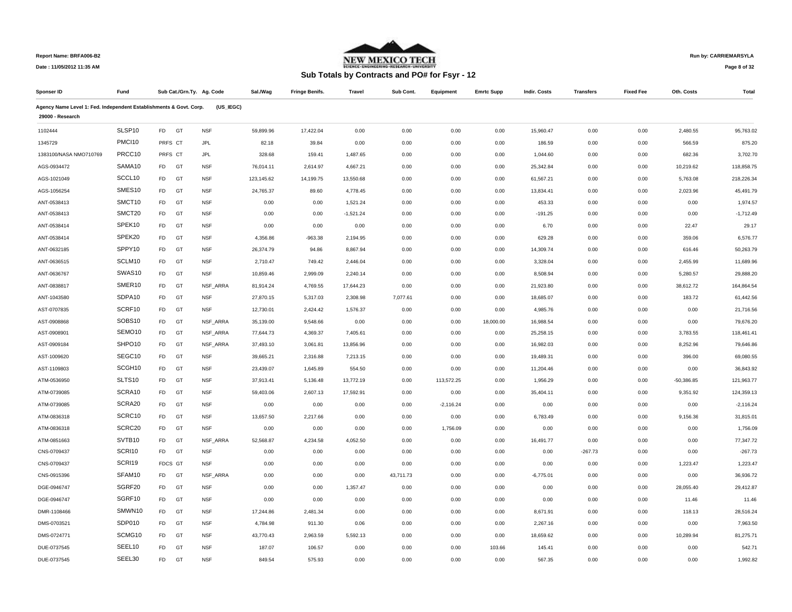

## **Run by: CARRIEMARSYLA**

**Page 8 of 32** 

| Sponser ID                                                         | Fund   | Sub Cat./Grn.Ty. Ag. Code |            | Sal./Wag   | <b>Fringe Benifs.</b> | Travel      | Sub Cont. | Equipment   | <b>Emrtc Supp</b> | Indir. Costs | <b>Transfers</b> | <b>Fixed Fee</b> | Oth. Costs   | Total       |
|--------------------------------------------------------------------|--------|---------------------------|------------|------------|-----------------------|-------------|-----------|-------------|-------------------|--------------|------------------|------------------|--------------|-------------|
| Agency Name Level 1: Fed. Independent Establishments & Govt. Corp. |        |                           | (US IEGC)  |            |                       |             |           |             |                   |              |                  |                  |              |             |
| 29000 - Research                                                   |        |                           |            |            |                       |             |           |             |                   |              |                  |                  |              |             |
| 1102444                                                            | SLSP10 | <b>FD</b><br>GT           | <b>NSF</b> | 59,899.96  | 17,422.04             | 0.00        | 0.00      | 0.00        | 0.00              | 15,960.47    | 0.00             | 0.00             | 2,480.55     | 95,763.02   |
| 1345729                                                            | PMCI10 | PRFS CT                   | <b>JPL</b> | 82.18      | 39.84                 | 0.00        | 0.00      | 0.00        | 0.00              | 186.59       | 0.00             | 0.00             | 566.59       | 875.20      |
| 1383100/NASA NMO710769                                             | PRCC10 | PRFS CT                   | JPL        | 328.68     | 159.41                | 1,487.65    | 0.00      | 0.00        | 0.00              | 1,044.60     | 0.00             | 0.00             | 682.36       | 3,702.70    |
| AGS-0934472                                                        | SAMA10 | <b>FD</b><br>GT           | <b>NSF</b> | 76,014.11  | 2,614.97              | 4,667.21    | 0.00      | 0.00        | 0.00              | 25,342.84    | 0.00             | 0.00             | 10,219.62    | 118,858.75  |
| AGS-1021049                                                        | SCCL10 | <b>FD</b><br>GT           | <b>NSF</b> | 123,145.62 | 14,199.75             | 13,550.68   | 0.00      | 0.00        | 0.00              | 61,567.21    | 0.00             | 0.00             | 5,763.08     | 218,226.34  |
| AGS-1056254                                                        | SMES10 | FD<br>GT                  | <b>NSF</b> | 24,765.37  | 89.60                 | 4,778.45    | 0.00      | 0.00        | 0.00              | 13,834.41    | 0.00             | 0.00             | 2,023.96     | 45,491.79   |
| ANT-0538413                                                        | SMCT10 | <b>FD</b><br>GT           | <b>NSF</b> | 0.00       | 0.00                  | 1,521.24    | 0.00      | 0.00        | 0.00              | 453.33       | 0.00             | 0.00             | 0.00         | 1,974.57    |
| ANT-0538413                                                        | SMCT20 | FD<br>GT                  | <b>NSF</b> | 0.00       | 0.00                  | $-1,521.24$ | 0.00      | 0.00        | 0.00              | $-191.25$    | 0.00             | 0.00             | 0.00         | $-1,712.49$ |
| ANT-0538414                                                        | SPEK10 | <b>FD</b><br>GT           | <b>NSF</b> | 0.00       | 0.00                  | 0.00        | 0.00      | 0.00        | 0.00              | 6.70         | 0.00             | 0.00             | 22.47        | 29.17       |
| ANT-0538414                                                        | SPEK20 | <b>FD</b><br>GT           | <b>NSF</b> | 4,356.86   | $-963.38$             | 2,194.95    | 0.00      | 0.00        | 0.00              | 629.28       | 0.00             | 0.00             | 359.06       | 6,576.77    |
| ANT-0632185                                                        | SPPY10 | FD<br>GT                  | <b>NSF</b> | 26,374.79  | 94.86                 | 8,867.94    | 0.00      | 0.00        | 0.00              | 14,309.74    | 0.00             | 0.00             | 616.46       | 50,263.79   |
| ANT-0636515                                                        | SCLM10 | <b>FD</b><br>GT           | <b>NSF</b> | 2,710.47   | 749.42                | 2,446.04    | 0.00      | 0.00        | 0.00              | 3,328.04     | 0.00             | 0.00             | 2,455.99     | 11,689.96   |
| ANT-0636767                                                        | SWAS10 | FD<br>GT                  | <b>NSF</b> | 10,859.46  | 2,999.09              | 2,240.14    | 0.00      | 0.00        | 0.00              | 8,508.94     | 0.00             | 0.00             | 5,280.57     | 29,888.20   |
| ANT-0838817                                                        | SMER10 | FD<br>GT                  | NSF_ARRA   | 81,914.24  | 4,769.55              | 17,644.23   | 0.00      | 0.00        | 0.00              | 21,923.80    | 0.00             | 0.00             | 38,612.72    | 164,864.54  |
| ANT-1043580                                                        | SDPA10 | <b>FD</b><br>GT           | <b>NSF</b> | 27,870.15  | 5,317.03              | 2,308.98    | 7,077.61  | 0.00        | 0.00              | 18,685.07    | 0.00             | 0.00             | 183.72       | 61,442.56   |
| AST-0707835                                                        | SCRF10 | FD<br>GT                  | <b>NSF</b> | 12,730.01  | 2,424.42              | 1,576.37    | 0.00      | 0.00        | 0.00              | 4,985.76     | 0.00             | 0.00             | 0.00         | 21,716.56   |
| AST-0908868                                                        | SOBS10 | <b>FD</b><br>GT           | NSF_ARRA   | 35,139.00  | 9,548.66              | 0.00        | 0.00      | 0.00        | 18,000.00         | 16,988.54    | 0.00             | 0.00             | 0.00         | 79,676.20   |
| AST-0908901                                                        | SEMO10 | FD<br>GT                  | NSF_ARRA   | 77,644.73  | 4,369.37              | 7,405.61    | 0.00      | 0.00        | 0.00              | 25,258.15    | 0.00             | 0.00             | 3,783.55     | 118,461.41  |
| AST-0909184                                                        | SHPO10 | FD<br>GT                  | NSF_ARRA   | 37,493.10  | 3,061.81              | 13,856.96   | 0.00      | 0.00        | 0.00              | 16,982.03    | 0.00             | 0.00             | 8,252.96     | 79,646.86   |
| AST-1009620                                                        | SEGC10 | <b>FD</b><br>GT           | <b>NSF</b> | 39,665.21  | 2,316.88              | 7,213.15    | 0.00      | 0.00        | 0.00              | 19,489.31    | 0.00             | 0.00             | 396.00       | 69,080.55   |
| AST-1109803                                                        | SCGH10 | <b>FD</b><br>GT           | <b>NSF</b> | 23,439.07  | 1,645.89              | 554.50      | 0.00      | 0.00        | 0.00              | 11,204.46    | 0.00             | 0.00             | 0.00         | 36,843.92   |
| ATM-0536950                                                        | SLTS10 | <b>FD</b><br>GT           | <b>NSF</b> | 37,913.41  | 5,136.48              | 13,772.19   | 0.00      | 113,572.25  | 0.00              | 1,956.29     | 0.00             | 0.00             | $-50,386.85$ | 121,963.77  |
| ATM-0739085                                                        | SCRA10 | FD<br>GT                  | <b>NSF</b> | 59,403.06  | 2,607.13              | 17,592.91   | 0.00      | 0.00        | 0.00              | 35,404.11    | 0.00             | 0.00             | 9,351.92     | 124,359.13  |
| ATM-0739085                                                        | SCRA20 | <b>FD</b><br>GT           | <b>NSF</b> | 0.00       | 0.00                  | 0.00        | 0.00      | $-2,116.24$ | 0.00              | 0.00         | 0.00             | 0.00             | 0.00         | $-2,116.24$ |
| ATM-0836318                                                        | SCRC10 | FD<br>GT                  | <b>NSF</b> | 13,657.50  | 2,217.66              | 0.00        | 0.00      | 0.00        | 0.00              | 6,783.49     | 0.00             | 0.00             | 9,156.36     | 31,815.01   |
| ATM-0836318                                                        | SCRC20 | <b>FD</b><br>GT           | <b>NSF</b> | 0.00       | 0.00                  | 0.00        | 0.00      | 1,756.09    | 0.00              | 0.00         | 0.00             | 0.00             | 0.00         | 1.756.09    |
| ATM-0851663                                                        | SVTB10 | <b>FD</b><br>GT           | NSF ARRA   | 52,568.87  | 4,234.58              | 4,052.50    | 0.00      | 0.00        | 0.00              | 16,491.77    | 0.00             | 0.00             | 0.00         | 77,347.72   |
| CNS-0709437                                                        | SCRI10 | <b>FD</b><br>GT           | <b>NSF</b> | 0.00       | 0.00                  | 0.00        | 0.00      | 0.00        | 0.00              | 0.00         | $-267.73$        | 0.00             | 0.00         | $-267.73$   |
| CNS-0709437                                                        | SCRI19 | FDCS GT                   | <b>NSF</b> | 0.00       | 0.00                  | 0.00        | 0.00      | 0.00        | 0.00              | 0.00         | 0.00             | 0.00             | 1,223.47     | 1,223.47    |
| CNS-0915396                                                        | SFAM10 | <b>FD</b><br>GT           | NSF_ARRA   | 0.00       | 0.00                  | 0.00        | 43,711.73 | 0.00        | 0.00              | $-6,775.01$  | 0.00             | 0.00             | 0.00         | 36,936.72   |
| DGE-0946747                                                        | SGRF20 | <b>FD</b><br>GT           | <b>NSF</b> | 0.00       | 0.00                  | 1,357.47    | 0.00      | 0.00        | 0.00              | 0.00         | 0.00             | 0.00             | 28,055.40    | 29.412.87   |
| DGE-0946747                                                        | SGRF10 | <b>FD</b><br>GT           | <b>NSF</b> | 0.00       | 0.00                  | 0.00        | 0.00      | 0.00        | 0.00              | 0.00         | 0.00             | 0.00             | 11.46        | 11.46       |
| DMR-1108466                                                        | SMWN10 | FD<br>GT                  | <b>NSF</b> | 17,244.86  | 2,481.34              | 0.00        | 0.00      | 0.00        | 0.00              | 8,671.91     | 0.00             | 0.00             | 118.13       | 28,516.24   |
| DMS-0703521                                                        | SDP010 | <b>FD</b><br>GT           | <b>NSF</b> | 4,784.98   | 911.30                | 0.06        | 0.00      | 0.00        | 0.00              | 2,267.16     | 0.00             | 0.00             | 0.00         | 7,963.50    |
| DMS-0724771                                                        | SCMG10 | <b>FD</b><br>GT           | <b>NSF</b> | 43,770.43  | 2,963.59              | 5,592.13    | 0.00      | 0.00        | 0.00              | 18,659.62    | 0.00             | 0.00             | 10,289.94    | 81,275.71   |
| DUE-0737545                                                        | SEEL10 | <b>FD</b><br>GT           | <b>NSF</b> | 187.07     | 106.57                | 0.00        | 0.00      | 0.00        | 103.66            | 145.41       | 0.00             | 0.00             | 0.00         | 542.71      |
| DUE-0737545                                                        | SEEL30 | <b>FD</b><br>GT           | <b>NSF</b> | 849.54     | 575.93                | 0.00        | 0.00      | 0.00        | 0.00              | 567.35       | 0.00             | 0.00             | 0.00         | 1.992.82    |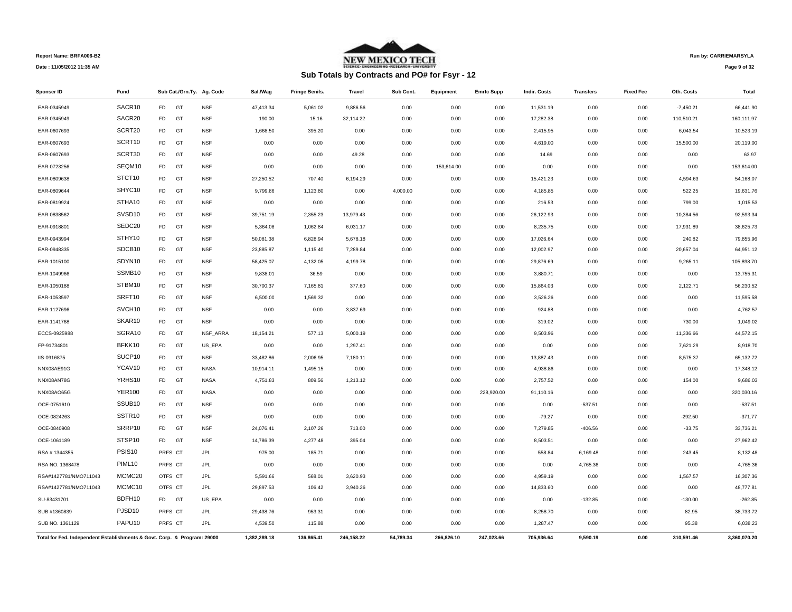

# **Sub Totals by Contracts and PO# for Fsyr - 12**

**Run by: CARRIEMARSYLA**

**Page 9 of 32** 

| Sponser ID                                                               | Fund               |                |         | Sub Cat./Grn.Ty. Ag. Code | Sal./Wag     | <b>Fringe Benifs.</b> | Travel     | Sub Cont. | <b>Equipment</b> | <b>Emrtc Supp</b> | Indir. Costs | <b>Transfers</b> | <b>Fixed Fee</b> | Oth. Costs  | Total        |
|--------------------------------------------------------------------------|--------------------|----------------|---------|---------------------------|--------------|-----------------------|------------|-----------|------------------|-------------------|--------------|------------------|------------------|-------------|--------------|
| EAR-0345949                                                              | SACR10             | <b>FD</b>      | GT      | <b>NSF</b>                | 47,413.34    | 5,061.02              | 9,886.56   | 0.00      | 0.00             | 0.00              | 11,531.19    | 0.00             | 0.00             | $-7,450.21$ | 66,441.90    |
| EAR-0345949                                                              | SACR20             | <b>FD</b>      | GT      | <b>NSF</b>                | 190.00       | 15.16                 | 32,114.22  | 0.00      | 0.00             | 0.00              | 17,282.38    | 0.00             | 0.00             | 110,510.21  | 160,111.97   |
| EAR-0607693                                                              | SCRT20             | <b>FD</b>      | GT      | <b>NSF</b>                | 1,668.50     | 395.20                | 0.00       | 0.00      | 0.00             | 0.00              | 2,415.95     | 0.00             | 0.00             | 6,043.54    | 10,523.19    |
| EAR-0607693                                                              | SCRT10             | <b>FD</b>      | GT      | <b>NSF</b>                | 0.00         | 0.00                  | 0.00       | 0.00      | 0.00             | 0.00              | 4,619.00     | 0.00             | 0.00             | 15,500.00   | 20,119.00    |
| EAR-0607693                                                              | SCRT30             | <b>FD</b>      | GT      | <b>NSF</b>                | 0.00         | 0.00                  | 49.28      | 0.00      | 0.00             | 0.00              | 14.69        | 0.00             | 0.00             | 0.00        | 63.97        |
| EAR-0723256                                                              | SEQM10             | <b>FD</b>      | GT      | <b>NSF</b>                | 0.00         | 0.00                  | 0.00       | 0.00      | 153,614.00       | 0.00              | 0.00         | 0.00             | 0.00             | 0.00        | 153,614.00   |
| EAR-0809638                                                              | STCT10             | <b>FD</b>      | GT      | <b>NSF</b>                | 27,250.52    | 707.40                | 6,194.29   | 0.00      | 0.00             | 0.00              | 15,421.23    | 0.00             | 0.00             | 4,594.63    | 54,168.07    |
| EAR-0809644                                                              | SHYC10             | <b>FD</b>      | GT      | <b>NSF</b>                | 9,799.86     | 1,123.80              | 0.00       | 4,000.00  | 0.00             | 0.00              | 4,185.85     | 0.00             | 0.00             | 522.25      | 19,631.76    |
| EAR-0819924                                                              | STHA10             | <b>FD</b>      | GT      | <b>NSF</b>                | 0.00         | 0.00                  | 0.00       | 0.00      | 0.00             | 0.00              | 216.53       | 0.00             | 0.00             | 799.00      | 1,015.53     |
| EAR-0838562                                                              | SVSD10             | <b>FD</b>      | GT      | <b>NSF</b>                | 39,751.19    | 2,355.23              | 13,979.43  | 0.00      | 0.00             | 0.00              | 26,122.93    | 0.00             | 0.00             | 10,384.56   | 92,593.34    |
| EAR-0918801                                                              | SEDC20             | <b>FD</b>      | GT      | <b>NSF</b>                | 5,364.08     | 1,062.84              | 6,031.17   | 0.00      | 0.00             | 0.00              | 8,235.75     | 0.00             | 0.00             | 17,931.89   | 38,625.73    |
| EAR-0943994                                                              | STHY10             | <b>FD</b>      | GT      | <b>NSF</b>                | 50,081.38    | 6,828.94              | 5,678.18   | 0.00      | 0.00             | 0.00              | 17,026.64    | 0.00             | 0.00             | 240.82      | 79,855.96    |
| EAR-0948335                                                              | SDCB10             | <b>FD</b>      | GT      | <b>NSF</b>                | 23,885.87    | 1,115.40              | 7,289.84   | 0.00      | 0.00             | 0.00              | 12,002.97    | 0.00             | 0.00             | 20,657.04   | 64,951.12    |
| EAR-1015100                                                              | SDYN10             | <b>FD</b>      | GT      | <b>NSF</b>                | 58,425.07    | 4,132.05              | 4,199.78   | 0.00      | 0.00             | 0.00              | 29,876.69    | 0.00             | 0.00             | 9,265.11    | 105,898.70   |
| EAR-1049966                                                              | SSMB10             | <b>FD</b>      | GT      | <b>NSF</b>                | 9,838.01     | 36.59                 | 0.00       | 0.00      | 0.00             | 0.00              | 3,880.71     | 0.00             | 0.00             | 0.00        | 13,755.31    |
| EAR-1050188                                                              | STBM10             | <b>FD</b>      | GT      | <b>NSF</b>                | 30,700.37    | 7,165.81              | 377.60     | 0.00      | 0.00             | 0.00              | 15,864.03    | 0.00             | 0.00             | 2,122.71    | 56,230.52    |
| EAR-1053597                                                              | SRFT10             | F <sub>D</sub> | GT      | <b>NSF</b>                | 6,500.00     | 1,569.32              | 0.00       | 0.00      | 0.00             | 0.00              | 3,526.26     | 0.00             | 0.00             | 0.00        | 11,595.58    |
| EAR-1127696                                                              | SVCH10             | F <sub>D</sub> | GT      | <b>NSF</b>                | 0.00         | 0.00                  | 3,837.69   | 0.00      | 0.00             | 0.00              | 924.88       | 0.00             | 0.00             | 0.00        | 4,762.57     |
| EAR-1141768                                                              | SKAR10             | <b>FD</b>      | GT      | <b>NSF</b>                | 0.00         | 0.00                  | 0.00       | 0.00      | 0.00             | 0.00              | 319.02       | 0.00             | 0.00             | 730.00      | 1,049.02     |
| ECCS-0925988                                                             | SGRA10             | <b>FD</b>      | GT      | NSF_ARRA                  | 18,154.21    | 577.13                | 5,000.19   | 0.00      | 0.00             | 0.00              | 9,503.96     | 0.00             | 0.00             | 11,336.66   | 44,572.15    |
| FP-91734801                                                              | BFKK10             | <b>FD</b>      | GT      | US_EPA                    | 0.00         | 0.00                  | 1,297.41   | 0.00      | 0.00             | 0.00              | 0.00         | 0.00             | 0.00             | 7,621.29    | 8,918.70     |
| IIS-0916875                                                              | SUCP10             | <b>FD</b>      | GT      | <b>NSF</b>                | 33,482.86    | 2,006.95              | 7,180.11   | 0.00      | 0.00             | 0.00              | 13,887.43    | 0.00             | 0.00             | 8,575.37    | 65,132.72    |
| NNX08AE91G                                                               | YCAV10             | <b>FD</b>      | GT      | <b>NASA</b>               | 10,914.11    | 1,495.15              | 0.00       | 0.00      | 0.00             | 0.00              | 4,938.86     | 0.00             | 0.00             | 0.00        | 17,348.12    |
| NNX08AN78G                                                               | YRHS10             | <b>FD</b>      | GT      | <b>NASA</b>               | 4,751.83     | 809.56                | 1,213.12   | 0.00      | 0.00             | 0.00              | 2,757.52     | 0.00             | 0.00             | 154.00      | 9,686.03     |
| NNX08AO65G                                                               | <b>YER100</b>      | <b>FD</b>      | GT      | <b>NASA</b>               | 0.00         | 0.00                  | 0.00       | 0.00      | 0.00             | 228,920.00        | 91,110.16    | 0.00             | 0.00             | 0.00        | 320,030.16   |
| OCE-0751610                                                              | SSUB <sub>10</sub> | <b>FD</b>      | GT      | <b>NSF</b>                | 0.00         | 0.00                  | 0.00       | 0.00      | 0.00             | 0.00              | 0.00         | $-537.51$        | 0.00             | 0.00        | $-537.51$    |
| OCE-0824263                                                              | SSTR10             | <b>FD</b>      | GT      | <b>NSF</b>                | 0.00         | 0.00                  | 0.00       | 0.00      | 0.00             | 0.00              | $-79.27$     | 0.00             | 0.00             | $-292.50$   | $-371.77$    |
| OCE-0840908                                                              | SRRP10             | FD             | GT      | <b>NSF</b>                | 24,076.41    | 2,107.26              | 713.00     | 0.00      | 0.00             | 0.00              | 7,279.85     | $-406.56$        | 0.00             | $-33.75$    | 33,736.21    |
| OCE-1061189                                                              | STSP10             | <b>FD</b>      | GT      | <b>NSF</b>                | 14,786.39    | 4,277.48              | 395.04     | 0.00      | 0.00             | 0.00              | 8,503.51     | 0.00             | 0.00             | 0.00        | 27,962.42    |
| RSA #1344355                                                             | PSIS <sub>10</sub> |                | PRFS CT | <b>JPL</b>                | 975.00       | 185.71                | 0.00       | 0.00      | 0.00             | 0.00              | 558.84       | 6,169.48         | 0.00             | 243.45      | 8,132.48     |
| RSA NO. 1368478                                                          | PIML10             |                | PRFS CT | <b>JPL</b>                | 0.00         | 0.00                  | 0.00       | 0.00      | 0.00             | 0.00              | 0.00         | 4,765.36         | 0.00             | 0.00        | 4,765.36     |
| RSA#1427781/NMO711043                                                    | MCMC20             |                | OTFS CT | <b>JPL</b>                | 5,591.66     | 568.01                | 3,620.93   | 0.00      | 0.00             | 0.00              | 4,959.19     | 0.00             | 0.00             | 1,567.57    | 16,307.36    |
| RSA#1427781/NMO711043                                                    | MCMC10             |                | OTFS CT | <b>JPL</b>                | 29,897.53    | 106.42                | 3,940.26   | 0.00      | 0.00             | 0.00              | 14,833.60    | 0.00             | 0.00             | 0.00        | 48,777.81    |
| SU-83431701                                                              | BDFH10             | F <sub>D</sub> | GT      | US_EPA                    | 0.00         | 0.00                  | 0.00       | 0.00      | 0.00             | 0.00              | 0.00         | $-132.85$        | 0.00             | $-130.00$   | $-262.85$    |
| SUB #1360839                                                             | PJSD10             |                | PRFS CT | <b>JPL</b>                | 29,438.76    | 953.31                | 0.00       | 0.00      | 0.00             | 0.00              | 8,258.70     | 0.00             | 0.00             | 82.95       | 38,733.72    |
| SUB NO. 1361129                                                          | PAPU10             |                | PRFS CT | JPL                       | 4,539.50     | 115.88                | 0.00       | 0.00      | 0.00             | 0.00              | 1,287.47     | 0.00             | 0.00             | 95.38       | 6.038.23     |
| Total for Fed. Independent Establishments & Govt. Corp. & Program: 29000 |                    |                |         |                           | 1,382,289.18 | 136.865.41            | 246.158.22 | 54.789.34 | 266.826.10       | 247.023.66        | 705,936.64   | 9.590.19         | 0.00             | 310.591.46  | 3,360,070.20 |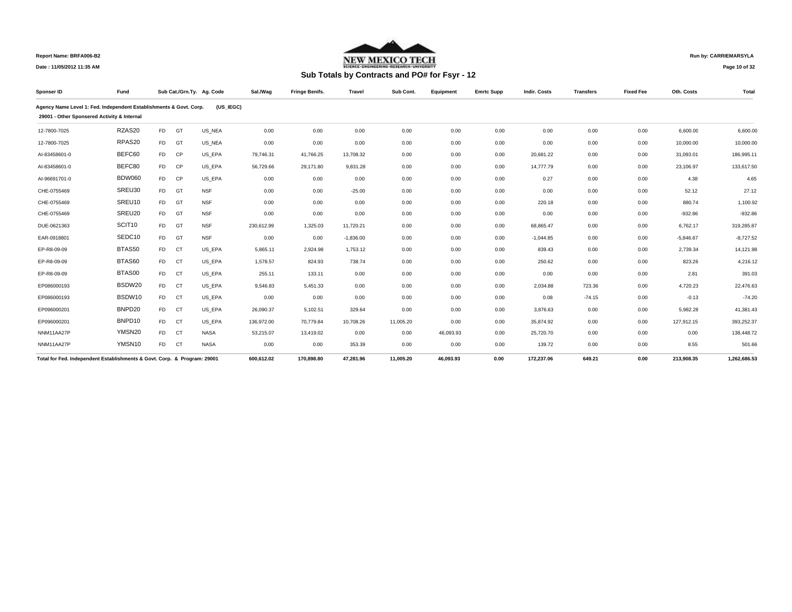

## **Run by: CARRIEMARSYLA**

**Page 10 of 32** 

| Sponser ID                                                               | Fund          |                |           | Sub Cat./Grn.Ty. Ag. Code | Sal./Wag   | <b>Fringe Benifs.</b> | <b>Travel</b> | Sub Cont. | Equipment | <b>Emrtc Supp</b> | Indir. Costs | <b>Transfers</b> | <b>Fixed Fee</b> | Oth. Costs  | Total        |
|--------------------------------------------------------------------------|---------------|----------------|-----------|---------------------------|------------|-----------------------|---------------|-----------|-----------|-------------------|--------------|------------------|------------------|-------------|--------------|
| Agency Name Level 1: Fed. Independent Establishments & Govt. Corp.       |               |                |           | (US IEGC)                 |            |                       |               |           |           |                   |              |                  |                  |             |              |
| 29001 - Other Sponsered Activity & Internal                              |               |                |           |                           |            |                       |               |           |           |                   |              |                  |                  |             |              |
| 12-7800-7025                                                             | RZAS20        | <b>FD</b>      | GT        | US NEA                    | 0.00       | 0.00                  | 0.00          | 0.00      | 0.00      | 0.00              | 0.00         | 0.00             | 0.00             | 6,600.00    | 6,600.00     |
| 12-7800-7025                                                             | RPAS20        | <b>FD</b>      | GT        | US NEA                    | 0.00       | 0.00                  | 0.00          | 0.00      | 0.00      | 0.00              | 0.00         | 0.00             | 0.00             | 10,000.00   | 10,000.00    |
| Al-83458601-0                                                            | BEFC60        | <b>FD</b>      | CP        | US EPA                    | 79,746.31  | 41,766.25             | 13,708.32     | 0.00      | 0.00      | 0.00              | 20,681.22    | 0.00             | 0.00             | 31,093.01   | 186,995.11   |
| Al-83458601-0                                                            | BEFC80        | F <sub>D</sub> | CP        | US EPA                    | 56,729.66  | 29,171.80             | 9,831.28      | 0.00      | 0.00      | 0.00              | 14,777.79    | 0.00             | 0.00             | 23,106.97   | 133,617.50   |
| AI-96691701-0                                                            | <b>BDW060</b> | F <sub>D</sub> | <b>CP</b> | US EPA                    | 0.00       | 0.00                  | 0.00          | 0.00      | 0.00      | 0.00              | 0.27         | 0.00             | 0.00             | 4.38        | 4.65         |
| CHE-0755469                                                              | SREU30        | <b>FD</b>      | GT        | <b>NSF</b>                | 0.00       | 0.00                  | $-25.00$      | 0.00      | 0.00      | 0.00              | 0.00         | 0.00             | 0.00             | 52.12       | 27.12        |
| CHE-0755469                                                              | SREU10        | <b>FD</b>      | GT        | <b>NSF</b>                | 0.00       | 0.00                  | 0.00          | 0.00      | 0.00      | 0.00              | 220.18       | 0.00             | 0.00             | 880.74      | 1,100.92     |
| CHE-0755469                                                              | SREU20        | <b>FD</b>      | GT        | <b>NSF</b>                | 0.00       | 0.00                  | 0.00          | 0.00      | 0.00      | 0.00              | 0.00         | 0.00             | 0.00             | $-932.86$   | $-932.86$    |
| DUE-0621363                                                              | SCIT10        | <b>FD</b>      | GT        | <b>NSF</b>                | 230,612.99 | 1,325.03              | 11,720.21     | 0.00      | 0.00      | 0.00              | 68,865.47    | 0.00             | 0.00             | 6,762.17    | 319,285.87   |
| EAR-0918801                                                              | SEDC10        | <b>FD</b>      | GT        | <b>NSF</b>                | 0.00       | 0.00                  | $-1,836.00$   | 0.00      | 0.00      | 0.00              | $-1.044.85$  | 0.00             | 0.00             | $-5,846.67$ | $-8,727.52$  |
| EP-R8-09-09                                                              | BTAS50        | F <sub>D</sub> | <b>CT</b> | US_EPA                    | 5,865.11   | 2,924.98              | 1,753.12      | 0.00      | 0.00      | 0.00              | 839.43       | 0.00             | 0.00             | 2,739.34    | 14,121.98    |
| EP-R8-09-09                                                              | BTAS60        | F <sub>D</sub> | CT        | US_EPA                    | 1,578.57   | 824.93                | 738.74        | 0.00      | 0.00      | 0.00              | 250.62       | 0.00             | 0.00             | 823.26      | 4,216.12     |
| EP-R8-09-09                                                              | BTAS00        | F <sub>D</sub> | <b>CT</b> | US EPA                    | 255.11     | 133.11                | 0.00          | 0.00      | 0.00      | 0.00              | 0.00         | 0.00             | 0.00             | 2.81        | 391.03       |
| EP086000193                                                              | BSDW20        | F <sub>D</sub> | <b>CT</b> | US EPA                    | 9,546.83   | 5,451.33              | 0.00          | 0.00      | 0.00      | 0.00              | 2,034.88     | 723.36           | 0.00             | 4,720.23    | 22,476.63    |
| EP086000193                                                              | BSDW10        | <b>FD</b>      | <b>CT</b> | US EPA                    | 0.00       | 0.00                  | 0.00          | 0.00      | 0.00      | 0.00              | 0.08         | $-74.15$         | 0.00             | $-0.13$     | $-74.20$     |
| EP096000201                                                              | BNPD20        | <b>FD</b>      | <b>CT</b> | US EPA                    | 26,090.37  | 5,102.51              | 329.64        | 0.00      | 0.00      | 0.00              | 3,876.63     | 0.00             | 0.00             | 5,982.28    | 41,381.43    |
| EP096000201                                                              | BNPD10        | <b>FD</b>      | <b>CT</b> | US EPA                    | 136,972.00 | 70,779.84             | 10,708.26     | 11,005.20 | 0.00      | 0.00              | 35,874.92    | 0.00             | 0.00             | 127,912.15  | 393,252.37   |
| NNM11AA27P                                                               | YMSN20        | F <sub>D</sub> | <b>CT</b> | <b>NASA</b>               | 53,215.07  | 13.419.02             | 0.00          | 0.00      | 46,093.93 | 0.00              | 25,720.70    | 0.00             | 0.00             | 0.00        | 138,448.72   |
| NNM11AA27P                                                               | YMSN10        | <b>FD</b>      | <b>CT</b> | <b>NASA</b>               | 0.00       | 0.00                  | 353.39        | 0.00      | 0.00      | 0.00              | 139.72       | 0.00             | 0.00             | 8.55        | 501.66       |
| Total for Fed. Independent Establishments & Govt. Corp. & Program: 29001 |               |                |           |                           | 600.612.02 | 170.898.80            | 47.281.96     | 11.005.20 | 46.093.93 | 0.00              | 172,237.06   | 649.21           | 0.00             | 213.908.35  | 1,262,686.53 |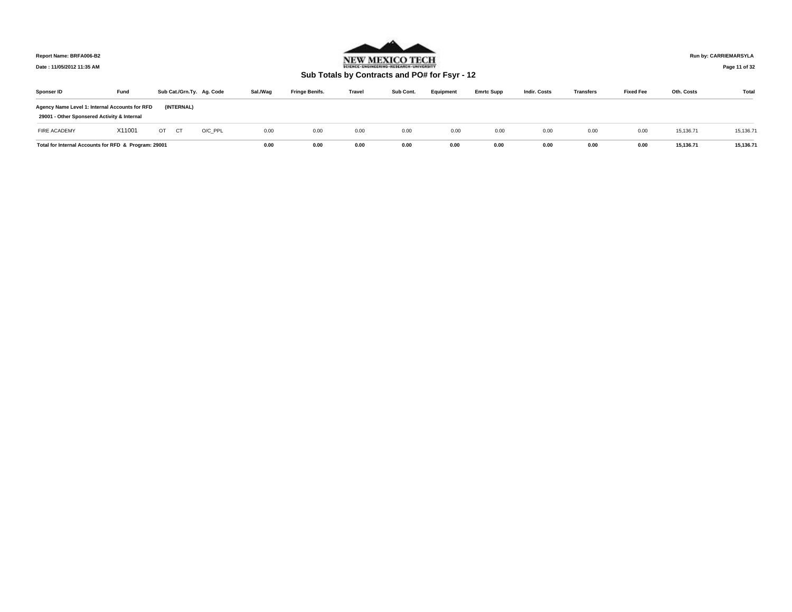

**Run by: CARRIEMARSYLA**

**Date : 11/05/2012 11:35 AM**

**Sub Totals by Contracts and PO# for Fsyr - 12**

**Page 11 of 32** 

| Sponser ID                                                                                    | Fund   |    |            | Sub Cat./Grn.Ty. Ag. Code | Sal./Wag | <b>Fringe Benifs.</b> | <b>Travel</b> | Sub Cont. | Equipment | <b>Emrtc Supp</b> | <b>Indir. Costs</b> | <b>Transfers</b> | <b>Fixed Fee</b> | Oth. Costs | Total     |
|-----------------------------------------------------------------------------------------------|--------|----|------------|---------------------------|----------|-----------------------|---------------|-----------|-----------|-------------------|---------------------|------------------|------------------|------------|-----------|
| Agency Name Level 1: Internal Accounts for RFD<br>29001 - Other Sponsered Activity & Internal |        |    | (INTERNAL) |                           |          |                       |               |           |           |                   |                     |                  |                  |            |           |
| FIRE ACADEMY                                                                                  | X11001 | OT | <b>CT</b>  | O/C PPL                   | 0.00     | 0.00                  | 0.00          | 0.00      | 0.00      | 0.00              | 0.00                | 0.00             | 0.00             | 15,136.71  | 15,136.71 |
| Total for Internal Accounts for RFD & Program: 29001                                          |        |    |            |                           | 0.00     | 0.00                  | 0.00          | 0.00      | 0.00      | 0.00              | 0.00                | 0.00             | 0.00             | 15.136.71  | 15.136.71 |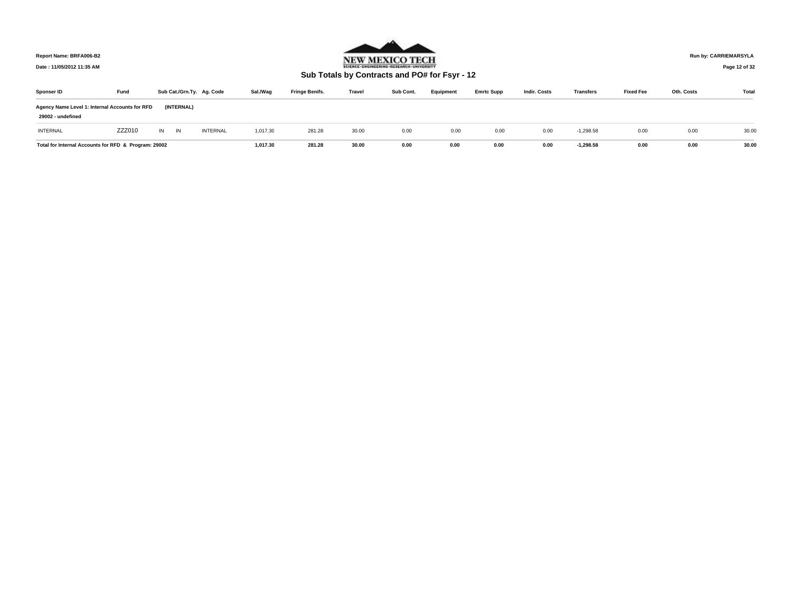

**Run by: CARRIEMARSYLA**

**Page 12 of 32** 

| Sponser ID                                                          | Fund   |    | Sub Cat./Grn.Ty. Ag. Code |                 | Sal./Wag | <b>Fringe Benifs.</b> | Travel | Sub Cont. | Equipment | <b>Emrtc Supp</b> | <b>Indir. Costs</b> | <b>Transfers</b> | <b>Fixed Fee</b> | Oth. Costs | Total |
|---------------------------------------------------------------------|--------|----|---------------------------|-----------------|----------|-----------------------|--------|-----------|-----------|-------------------|---------------------|------------------|------------------|------------|-------|
| Agency Name Level 1: Internal Accounts for RFD<br>29002 - undefined |        |    | (INTERNAL)                |                 |          |                       |        |           |           |                   |                     |                  |                  |            |       |
| <b>INTERNAL</b>                                                     | ZZZ010 | IN | IN                        | <b>INTERNAL</b> | 1,017.30 | 281.28                | 30.00  | 0.00      | 0.00      | 0.00              | 0.00                | $-1.298.58$      | 0.00             | 0.00       | 30.00 |
| Total for Internal Accounts for RFD & Program: 29002                |        |    |                           |                 | 1.017.30 | 281.28                | 30.00  | 0.00      | 0.00      | 0.00              | 0.00                | $-1,298.58$      | 0.00             | 0.00       | 30.00 |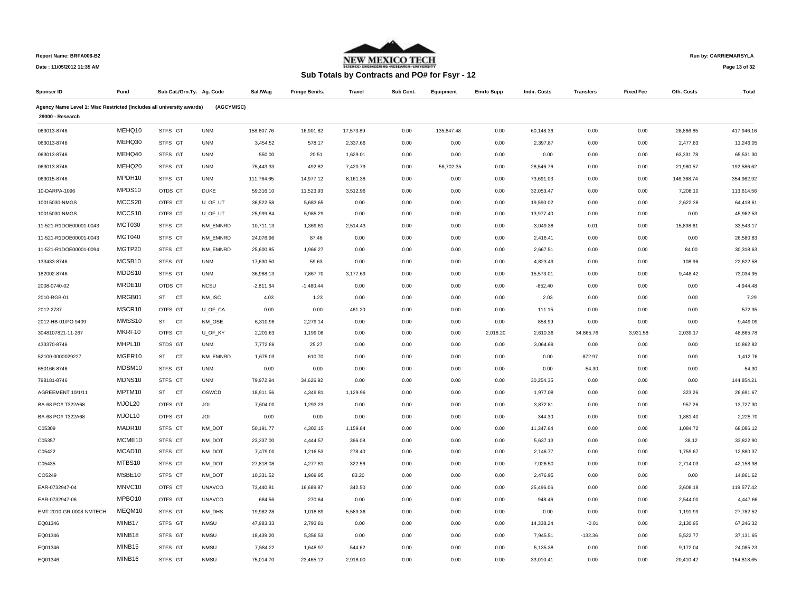

**Run by: CARRIEMARSYLA**

**Date : 11/05/2012 11:35 AM**

# **Sub Totals by Contracts and PO# for Fsyr - 12**

**Page 13 of 32** 

| Sponser ID                                                            | Fund          |                        | Sub Cat./Grn.Ty. Ag. Code | Sal./Wag    | <b>Fringe Benifs.</b> | <b>Travel</b> | Sub Cont. | Equipment  | <b>Emrtc Supp</b> | Indir. Costs | <b>Transfers</b> | <b>Fixed Fee</b> | Oth. Costs | <b>Total</b> |
|-----------------------------------------------------------------------|---------------|------------------------|---------------------------|-------------|-----------------------|---------------|-----------|------------|-------------------|--------------|------------------|------------------|------------|--------------|
| Agency Name Level 1: Misc Restricted (Includes all university awards) |               |                        | (AGCYMISC)                |             |                       |               |           |            |                   |              |                  |                  |            |              |
| 29000 - Research                                                      |               |                        |                           |             |                       |               |           |            |                   |              |                  |                  |            |              |
| 063013-8746                                                           | MEHQ10        | STFS GT                | <b>UNM</b>                | 158,607.76  | 16,901.82             | 17,573.89     | 0.00      | 135,847.48 | 0.00              | 60,148.36    | 0.00             | 0.00             | 28,866.85  | 417,946.16   |
| 063013-8746                                                           | MEHQ30        | STFS GT                | <b>UNM</b>                | 3,454.52    | 578.17                | 2,337.66      | 0.00      | 0.00       | 0.00              | 2,397.87     | 0.00             | 0.00             | 2,477.83   | 11,246.05    |
| 063013-8746                                                           | MEHQ40        | STFS GT                | <b>UNM</b>                | 550.00      | 20.51                 | 1,629.01      | 0.00      | 0.00       | 0.00              | 0.00         | 0.00             | 0.00             | 63,331.78  | 65,531.30    |
| 063013-8746                                                           | MEHQ20        | STFS GT                | <b>UNM</b>                | 75,443.33   | 492.82                | 7,420.79      | 0.00      | 58,702.35  | 0.00              | 28,546.76    | 0.00             | 0.00             | 21,980.57  | 192,586.62   |
| 063015-8746                                                           | MPDH10        | STFS GT                | <b>UNM</b>                | 111,764.65  | 14,977.12             | 8,161.38      | 0.00      | 0.00       | 0.00              | 73,691.03    | 0.00             | 0.00             | 146,368.74 | 354,962.92   |
| 10-DARPA-1096                                                         | MPDS10        | OTDS CT                | <b>DUKE</b>               | 59,316.10   | 11,523.93             | 3,512.96      | 0.00      | 0.00       | 0.00              | 32,053.47    | 0.00             | 0.00             | 7,208.10   | 113,614.56   |
| 10015030-NMGS                                                         | MCCS20        | OTFS CT                | U_OF_UT                   | 36,522.58   | 5,683.65              | 0.00          | 0.00      | 0.00       | 0.00              | 19,590.02    | 0.00             | 0.00             | 2,622.36   | 64,418.61    |
| 10015030-NMGS                                                         | MCCS10        | OTFS CT                | U OF UT                   | 25,999.84   | 5,985.29              | 0.00          | 0.00      | 0.00       | 0.00              | 13,977.40    | 0.00             | 0.00             | 0.00       | 45,962.53    |
| 11-521-R1DOE00001-0043                                                | <b>MGT030</b> | STFS CT                | NM_EMNRD                  | 10,711.13   | 1,369.61              | 2,514.43      | 0.00      | 0.00       | 0.00              | 3,049.38     | 0.01             | 0.00             | 15,898.61  | 33,543.17    |
| 11-521-R1DOE00001-0043                                                | <b>MGT040</b> | STFS CT                | NM EMNRD                  | 24,076.96   | 87.46                 | 0.00          | 0.00      | 0.00       | 0.00              | 2,416.41     | 0.00             | 0.00             | 0.00       | 26,580.83    |
| 11-521-R1DOE00001-0094                                                | MGTP20        | STFS CT                | NM EMNRD                  | 25,600.85   | 1,966.27              | 0.00          | 0.00      | 0.00       | 0.00              | 2,667.51     | 0.00             | 0.00             | 84.00      | 30,318.63    |
| 133433-8746                                                           | MCSB10        | STFS GT                | <b>UNM</b>                | 17,630.50   | 59.63                 | 0.00          | 0.00      | 0.00       | 0.00              | 4,823.49     | 0.00             | 0.00             | 108.96     | 22,622.58    |
| 182002-8746                                                           | MDDS10        | STFS GT                | <b>UNM</b>                | 36,968.13   | 7,867.70              | 3,177.69      | 0.00      | 0.00       | 0.00              | 15,573.01    | 0.00             | 0.00             | 9,448.42   | 73,034.95    |
| 2008-0740-02                                                          | MRDE10        | OTDS CT                | <b>NCSU</b>               | $-2,811.64$ | $-1,480.44$           | 0.00          | 0.00      | 0.00       | 0.00              | $-652.40$    | 0.00             | 0.00             | 0.00       | $-4,944.48$  |
| 2010-RGB-01                                                           | MRGB01        | <b>ST</b><br>CT        | NM_ISC                    | 4.03        | 1.23                  | 0.00          | 0.00      | 0.00       | 0.00              | 2.03         | 0.00             | 0.00             | 0.00       | 7.29         |
| 2012-2737                                                             | MSCR10        | OTFS GT                | U_OF_CA                   | 0.00        | 0.00                  | 461.20        | 0.00      | 0.00       | 0.00              | 111.15       | 0.00             | 0.00             | 0.00       | 572.35       |
| 2012-HB-01/PO 9409                                                    | MMSS10        | <b>CT</b><br><b>ST</b> | NM_OSE                    | 6,310.96    | 2,279.14              | 0.00          | 0.00      | 0.00       | 0.00              | 858.99       | 0.00             | 0.00             | 0.00       | 9,449.09     |
| 3048107821-11-267                                                     | MKRF10        | OTFS CT                | U_OF_KY                   | 2,201.63    | 1,199.08              | 0.00          | 0.00      | 0.00       | 2,018.20          | 2,610.36     | 34,865.76        | 3,931.58         | 2,039.17   | 48,865.78    |
| 433370-8746                                                           | MHPL10        | STDS GT                | <b>UNM</b>                | 7,772.86    | 25.27                 | 0.00          | 0.00      | 0.00       | 0.00              | 3,064.69     | 0.00             | 0.00             | 0.00       | 10,862.82    |
| 52100-0000029227                                                      | MGER10        | CT<br><b>ST</b>        | NM_EMNRD                  | 1,675.03    | 610.70                | 0.00          | 0.00      | 0.00       | 0.00              | 0.00         | $-872.97$        | 0.00             | 0.00       | 1,412.76     |
| 650166-8746                                                           | MDSM10        | STFS GT                | <b>UNM</b>                | 0.00        | 0.00                  | 0.00          | 0.00      | 0.00       | 0.00              | 0.00         | $-54.30$         | 0.00             | 0.00       | $-54.30$     |
| 798181-8746                                                           | MDNS10        | STFS CT                | <b>UNM</b>                | 79,972.94   | 34,626.92             | 0.00          | 0.00      | 0.00       | 0.00              | 30,254.35    | 0.00             | 0.00             | 0.00       | 144,854.21   |
| AGREEMENT 10/1/11                                                     | MPTM10        | <b>ST</b><br><b>CT</b> | OSWCD                     | 18,911.56   | 4,349.81              | 1,129.96      | 0.00      | 0.00       | 0.00              | 1,977.08     | 0.00             | 0.00             | 323.26     | 26,691.67    |
| BA-68 PO# T322A68                                                     | MJOL20        | OTFS GT                | JOI                       | 7,604.00    | 1,293.23              | 0.00          | 0.00      | 0.00       | 0.00              | 3,872.81     | 0.00             | 0.00             | 957.26     | 13,727.30    |
| BA-68 PO# T322A68                                                     | MJOL10        | OTFS GT                | JOI                       | 0.00        | 0.00                  | 0.00          | 0.00      | 0.00       | 0.00              | 344.30       | 0.00             | 0.00             | 1,881.40   | 2,225.70     |
| C05309                                                                | MADR10        | STFS CT                | NM DOT                    | 50,191.77   | 4,302.15              | 1,159.84      | 0.00      | 0.00       | 0.00              | 11,347.64    | 0.00             | 0.00             | 1,084.72   | 68,086.12    |
| C05357                                                                | MCME10        | STFS CT                | NM_DOT                    | 23,337.00   | 4,444.57              | 366.08        | 0.00      | 0.00       | 0.00              | 5,637.13     | 0.00             | 0.00             | 38.12      | 33,822.90    |
| C05422                                                                | MCAD10        | STFS CT                | NM DOT                    | 7,479.00    | 1,216.53              | 278.40        | 0.00      | 0.00       | 0.00              | 2,146.77     | 0.00             | 0.00             | 1,759.67   | 12,880.37    |
| C05435                                                                | MTBS10        | STFS CT                | NM DOT                    | 27,818.08   | 4,277.81              | 322.56        | 0.00      | 0.00       | 0.00              | 7,026.50     | 0.00             | 0.00             | 2,714.03   | 42,158.98    |
| CO5249                                                                | MSBE10        | STFS CT                | NM_DOT                    | 10,331.52   | 1,969.95              | 83.20         | 0.00      | 0.00       | 0.00              | 2,476.95     | 0.00             | 0.00             | 0.00       | 14,861.62    |
| EAR-0732947-04                                                        | MNVC10        | OTFS CT                | <b>UNAVCO</b>             | 73,440.81   | 16,689.87             | 342.50        | 0.00      | 0.00       | 0.00              | 25,496.06    | 0.00             | 0.00             | 3,608.18   | 119,577.42   |
| EAR-0732947-06                                                        | MPBO10        | OTFS GT                | <b>UNAVCO</b>             | 684.56      | 270.64                | 0.00          | 0.00      | 0.00       | 0.00              | 948.46       | 0.00             | 0.00             | 2,544.00   | 4,447.66     |
| EMT-2010-GR-0008-NMTECH                                               | MEQM10        | STFS GT                | NM_DHS                    | 19,982.28   | 1,018.89              | 5,589.36      | 0.00      | 0.00       | 0.00              | 0.00         | 0.00             | 0.00             | 1,191.99   | 27,782.52    |
| EQ01346                                                               | MINB17        | STFS GT                | <b>NMSU</b>               | 47,983.33   | 2,793.81              | 0.00          | 0.00      | 0.00       | 0.00              | 14,338.24    | $-0.01$          | 0.00             | 2,130.95   | 67,246.32    |
| EQ01346                                                               | MINB18        | STFS GT                | <b>NMSU</b>               | 18,439.20   | 5,356.53              | 0.00          | 0.00      | 0.00       | 0.00              | 7,945.51     | $-132.36$        | 0.00             | 5,522.77   | 37,131.65    |
| EQ01346                                                               | MINB15        | STFS GT                | <b>NMSU</b>               | 7,584.22    | 1,648.97              | 544.62        | 0.00      | 0.00       | 0.00              | 5,135.38     | 0.00             | 0.00             | 9,172.04   | 24,085.23    |
| EQ01346                                                               | MINB16        | STFS GT                | <b>NMSU</b>               | 75,014.70   | 23,465.12             | 2,918.00      | 0.00      | 0.00       | 0.00              | 33,010.41    | 0.00             | 0.00             | 20,410.42  | 154,818.65   |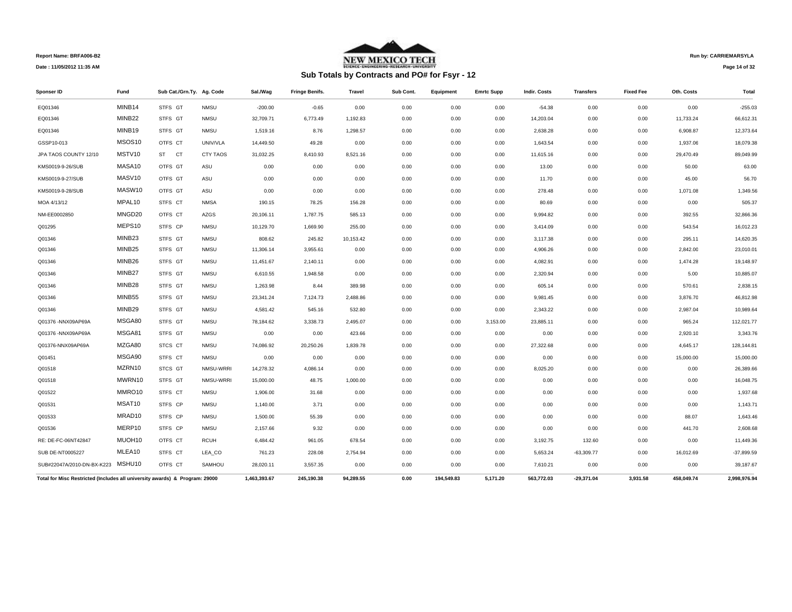

## **Run by: CARRIEMARSYLA**

**Page 14 of 32** 

| Sponser ID                                                                  | Fund               | Sub Cat./Grn.Ty. Ag. Code |                 | Sal /Wag     | <b>Fringe Benifs.</b> | Travel    | Sub Cont. | Equipment  | <b>Emrtc Supp</b> | <b>Indir. Costs</b> | Transfers    | <b>Fixed Fee</b> | Oth. Costs | Total        |
|-----------------------------------------------------------------------------|--------------------|---------------------------|-----------------|--------------|-----------------------|-----------|-----------|------------|-------------------|---------------------|--------------|------------------|------------|--------------|
| EQ01346                                                                     | MINB14             | STFS GT                   | <b>NMSU</b>     | $-200.00$    | $-0.65$               | 0.00      | 0.00      | 0.00       | 0.00              | $-54.38$            | 0.00         | 0.00             | 0.00       | $-255.03$    |
| EQ01346                                                                     | MINB22             | STFS GT                   | <b>NMSU</b>     | 32,709.71    | 6,773.49              | 1,192.83  | 0.00      | 0.00       | 0.00              | 14,203.04           | 0.00         | 0.00             | 11,733.24  | 66,612.31    |
| EQ01346                                                                     | MINB19             | STFS GT                   | <b>NMSU</b>     | 1,519.16     | 8.76                  | 1,298.57  | 0.00      | 0.00       | 0.00              | 2,638.28            | 0.00         | 0.00             | 6,908.87   | 12,373.64    |
| GSSP10-013                                                                  | MSOS10             | OTFS CT                   | UNIV/VLA        | 14,449.50    | 49.28                 | 0.00      | 0.00      | 0.00       | 0.00              | 1,643.54            | 0.00         | 0.00             | 1,937.06   | 18,079.38    |
| JPA TAOS COUNTY 12/10                                                       | MSTV10             | ST CT                     | <b>CTY TAOS</b> | 31,032.25    | 8,410.93              | 8,521.16  | 0.00      | 0.00       | 0.00              | 11,615.16           | 0.00         | 0.00             | 29,470.49  | 89,049.99    |
| KMS0019-9-26/SUB                                                            | MASA10             | OTFS GT                   | ASU             | 0.00         | 0.00                  | 0.00      | 0.00      | 0.00       | 0.00              | 13.00               | 0.00         | 0.00             | 50.00      | 63.00        |
| KMS0019-9-27/SUB                                                            | MASV10             | OTFS GT                   | ASU             | 0.00         | 0.00                  | 0.00      | 0.00      | 0.00       | 0.00              | 11.70               | 0.00         | 0.00             | 45.00      | 56.70        |
| KMS0019-9-28/SUB                                                            | MASW10             | OTFS GT                   | ASU             | 0.00         | 0.00                  | 0.00      | 0.00      | 0.00       | 0.00              | 278.48              | 0.00         | 0.00             | 1,071.08   | 1,349.56     |
| MOA 4/13/12                                                                 | MPAL10             | STFS CT                   | <b>NMSA</b>     | 190.15       | 78.25                 | 156.28    | 0.00      | 0.00       | 0.00              | 80.69               | 0.00         | 0.00             | 0.00       | 505.37       |
| NM-EE0002850                                                                | MNGD20             | OTFS CT                   | <b>AZGS</b>     | 20,106.11    | 1,787.75              | 585.13    | 0.00      | 0.00       | 0.00              | 9,994.82            | 0.00         | 0.00             | 392.55     | 32,866.36    |
| Q01295                                                                      | MEPS10             | STFS CP                   | <b>NMSU</b>     | 10,129.70    | 1,669.90              | 255.00    | 0.00      | 0.00       | 0.00              | 3,414.09            | 0.00         | 0.00             | 543.54     | 16,012.23    |
| Q01346                                                                      | MINB <sub>23</sub> | STFS GT                   | <b>NMSU</b>     | 808.62       | 245.82                | 10,153.42 | 0.00      | 0.00       | 0.00              | 3,117.38            | 0.00         | 0.00             | 295.11     | 14,620.35    |
| Q01346                                                                      | MINB25             | STFS GT                   | <b>NMSU</b>     | 11,306.14    | 3,955.61              | 0.00      | 0.00      | 0.00       | 0.00              | 4,906.26            | 0.00         | 0.00             | 2,842.00   | 23,010.01    |
| Q01346                                                                      | MINB26             | STFS GT                   | <b>NMSU</b>     | 11,451.67    | 2,140.11              | 0.00      | 0.00      | 0.00       | 0.00              | 4,082.91            | 0.00         | 0.00             | 1,474.28   | 19,148.97    |
| Q01346                                                                      | MINB27             | STFS GT                   | <b>NMSU</b>     | 6,610.55     | 1,948.58              | 0.00      | 0.00      | 0.00       | 0.00              | 2,320.94            | 0.00         | 0.00             | 5.00       | 10,885.07    |
| Q01346                                                                      | MINB28             | STFS GT                   | <b>NMSU</b>     | 1,263.98     | 8.44                  | 389.98    | 0.00      | 0.00       | 0.00              | 605.14              | 0.00         | 0.00             | 570.61     | 2,838.15     |
| Q01346                                                                      | MINB <sub>55</sub> | STFS GT                   | <b>NMSU</b>     | 23,341.24    | 7,124.73              | 2.488.86  | 0.00      | 0.00       | 0.00              | 9.981.45            | 0.00         | 0.00             | 3,876.70   | 46,812.98    |
| Q01346                                                                      | MINB29             | STFS GT                   | <b>NMSU</b>     | 4,581.42     | 545.16                | 532.80    | 0.00      | 0.00       | 0.00              | 2,343.22            | 0.00         | 0.00             | 2,987.04   | 10,989.64    |
| Q01376 - NNX09AP69A                                                         | MSGA80             | STFS GT                   | <b>NMSU</b>     | 78,184.62    | 3,338.73              | 2,495.07  | 0.00      | 0.00       | 3,153.00          | 23,885.11           | 0.00         | 0.00             | 965.24     | 112,021.77   |
| Q01376 - NNX09AP69A                                                         | MSGA81             | STFS GT                   | <b>NMSU</b>     | 0.00         | 0.00                  | 423.66    | 0.00      | 0.00       | 0.00              | 0.00                | 0.00         | 0.00             | 2,920.10   | 3,343.76     |
| Q01376-NNX09AP69A                                                           | MZGA80             | STCS CT                   | <b>NMSU</b>     | 74,086.92    | 20,250.26             | 1,839.78  | 0.00      | 0.00       | 0.00              | 27,322.68           | 0.00         | 0.00             | 4,645.17   | 128,144.81   |
| Q01451                                                                      | MSGA90             | STFS CT                   | <b>NMSU</b>     | 0.00         | 0.00                  | 0.00      | 0.00      | 0.00       | 0.00              | 0.00                | 0.00         | 0.00             | 15,000.00  | 15,000.00    |
| Q01518                                                                      | MZRN10             | STCS GT                   | NMSU-WRRI       | 14,278.32    | 4,086.14              | 0.00      | 0.00      | 0.00       | 0.00              | 8,025.20            | 0.00         | 0.00             | 0.00       | 26,389.66    |
| Q01518                                                                      | MWRN10             | STFS GT                   | NMSU-WRRI       | 15,000.00    | 48.75                 | 1,000.00  | 0.00      | 0.00       | 0.00              | 0.00                | 0.00         | 0.00             | 0.00       | 16,048.75    |
| Q01522                                                                      | MMRO10             | STFS CT                   | <b>NMSU</b>     | 1,906.00     | 31.68                 | 0.00      | 0.00      | 0.00       | 0.00              | 0.00                | 0.00         | 0.00             | 0.00       | 1,937.68     |
| Q01531                                                                      | MSAT10             | STFS CP                   | <b>NMSU</b>     | 1,140.00     | 3.71                  | 0.00      | 0.00      | 0.00       | 0.00              | 0.00                | 0.00         | 0.00             | 0.00       | 1,143.71     |
| Q01533                                                                      | MRAD10             | STFS CP                   | <b>NMSU</b>     | 1,500.00     | 55.39                 | 0.00      | 0.00      | 0.00       | 0.00              | 0.00                | 0.00         | 0.00             | 88.07      | 1,643.46     |
| Q01536                                                                      | MERP10             | STFS CP                   | <b>NMSU</b>     | 2,157.66     | 9.32                  | 0.00      | 0.00      | 0.00       | 0.00              | 0.00                | 0.00         | 0.00             | 441.70     | 2,608.68     |
| RE: DE-FC-06NT42847                                                         | MUOH10             | OTFS CT                   | <b>RCUH</b>     | 6,484.42     | 961.05                | 678.54    | 0.00      | 0.00       | 0.00              | 3,192.75            | 132.60       | 0.00             | 0.00       | 11,449.36    |
| SUB DE-NT0005227                                                            | MLEA10             | STFS CT                   | LEA_CO          | 761.23       | 228.08                | 2,754.94  | 0.00      | 0.00       | 0.00              | 5,653.24            | $-63,309.77$ | 0.00             | 16,012.69  | $-37,899.59$ |
| SUB#22047A/2010-DN-BX-K223 MSHU10                                           |                    | OTFS CT                   | SAMHOU          | 28,020.11    | 3,557.35              | 0.00      | 0.00      | 0.00       | 0.00              | 7,610.21            | 0.00         | 0.00             | 0.00       | 39,187.67    |
| Total for Misc Restricted (Includes all university awards) & Program: 29000 |                    |                           |                 | 1,463,393.67 | 245,190.38            | 94.289.55 | 0.00      | 194,549.83 | 5,171.20          | 563,772.03          | $-29,371.04$ | 3,931.58         | 458,049.74 | 2,998,976.94 |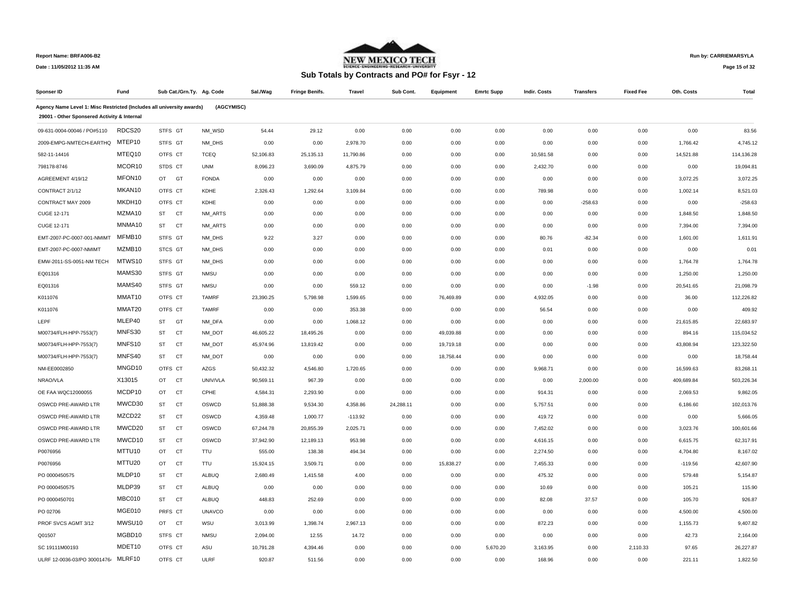

## **Run by: CARRIEMARSYLA**

**Date : 11/05/2012 11:35 AM**

# **Sub Totals by Contracts and PO# for Fsyr - 12**

**Page 15 of 32** 

| Sponser ID                                                            | Fund   | Sub Cat./Grn.Ty. Ag. Code |               | Sal./Wag  | <b>Fringe Benifs.</b> | <b>Travel</b> | Sub Cont. | Equipment | <b>Emrtc Supp</b> | <b>Indir. Costs</b> | <b>Transfers</b> | <b>Fixed Fee</b> | Oth. Costs | Total      |
|-----------------------------------------------------------------------|--------|---------------------------|---------------|-----------|-----------------------|---------------|-----------|-----------|-------------------|---------------------|------------------|------------------|------------|------------|
| Agency Name Level 1: Misc Restricted (Includes all university awards) |        |                           | (AGCYMISC)    |           |                       |               |           |           |                   |                     |                  |                  |            |            |
| 29001 - Other Sponsered Activity & Internal                           |        |                           |               |           |                       |               |           |           |                   |                     |                  |                  |            |            |
| 09-631-0004-00046 / PO#5110                                           | RDCS20 | STFS GT                   | NM_WSD        | 54.44     | 29.12                 | 0.00          | 0.00      | 0.00      | 0.00              | 0.00                | 0.00             | 0.00             | 0.00       | 83.56      |
| 2009-EMPG-NMTECH-EARTHQ                                               | MTEP10 | STFS GT                   | NM_DHS        | 0.00      | 0.00                  | 2,978.70      | 0.00      | 0.00      | 0.00              | 0.00                | 0.00             | 0.00             | 1,766.42   | 4,745.12   |
| 582-11-14416                                                          | MTEQ10 | OTFS CT                   | <b>TCEQ</b>   | 52,106.83 | 25,135.13             | 11,790.86     | 0.00      | 0.00      | 0.00              | 10,581.58           | 0.00             | 0.00             | 14,521.88  | 114,136.28 |
| 798178-8746                                                           | MCOR10 | STDS CT                   | <b>UNM</b>    | 8,096.23  | 3,690.09              | 4,875.79      | 0.00      | 0.00      | 0.00              | 2,432.70            | 0.00             | 0.00             | 0.00       | 19,094.81  |
| AGREEMENT 4/19/12                                                     | MFON10 | OT GT                     | <b>FONDA</b>  | 0.00      | 0.00                  | 0.00          | 0.00      | 0.00      | 0.00              | 0.00                | 0.00             | 0.00             | 3,072.25   | 3,072.25   |
| CONTRACT 2/1/12                                                       | MKAN10 | OTFS CT                   | KDHE          | 2,326.43  | 1,292.64              | 3,109.84      | 0.00      | 0.00      | 0.00              | 789.98              | 0.00             | 0.00             | 1,002.14   | 8.521.03   |
| CONTRACT MAY 2009                                                     | MKDH10 | OTFS CT                   | KDHE          | 0.00      | 0.00                  | 0.00          | 0.00      | 0.00      | 0.00              | 0.00                | $-258.63$        | 0.00             | 0.00       | $-258.63$  |
| CUGE 12-171                                                           | MZMA10 | <b>ST</b><br><b>CT</b>    | NM_ARTS       | 0.00      | 0.00                  | 0.00          | 0.00      | 0.00      | 0.00              | 0.00                | 0.00             | 0.00             | 1,848.50   | 1,848.50   |
| CUGE 12-171                                                           | MNMA10 | ST<br><b>CT</b>           | NM_ARTS       | 0.00      | 0.00                  | 0.00          | 0.00      | 0.00      | 0.00              | 0.00                | 0.00             | 0.00             | 7,394.00   | 7,394.00   |
| EMT-2007-PC-0007-001-NMIMT                                            | MFMB10 | STFS GT                   | NM_DHS        | 9.22      | 3.27                  | 0.00          | 0.00      | 0.00      | 0.00              | 80.76               | $-82.34$         | 0.00             | 1,601.00   | 1,611.91   |
| EMT-2007-PC-0007-NMIMT                                                | MZMB10 | STCS GT                   | NM DHS        | 0.00      | 0.00                  | 0.00          | 0.00      | 0.00      | 0.00              | 0.01                | 0.00             | 0.00             | 0.00       | 0.01       |
| EMW-2011-SS-0051-NM TECH                                              | MTWS10 | STFS GT                   | NM DHS        | 0.00      | 0.00                  | 0.00          | 0.00      | 0.00      | 0.00              | 0.00                | 0.00             | 0.00             | 1,764.78   | 1,764.78   |
| EQ01316                                                               | MAMS30 | STFS GT                   | <b>NMSU</b>   | 0.00      | 0.00                  | 0.00          | 0.00      | 0.00      | 0.00              | 0.00                | 0.00             | 0.00             | 1,250.00   | 1,250.00   |
| EQ01316                                                               | MAMS40 | STFS GT                   | <b>NMSU</b>   | 0.00      | 0.00                  | 559.12        | 0.00      | 0.00      | 0.00              | 0.00                | $-1.98$          | 0.00             | 20,541.65  | 21,098.79  |
| K011076                                                               | MMAT10 | OTFS CT                   | <b>TAMRF</b>  | 23,390.25 | 5,798.98              | 1,599.65      | 0.00      | 76,469.89 | 0.00              | 4,932.05            | 0.00             | 0.00             | 36.00      | 112,226.82 |
| K011076                                                               | MMAT20 | OTFS CT                   | <b>TAMRF</b>  | 0.00      | 0.00                  | 353.38        | 0.00      | 0.00      | 0.00              | 56.54               | 0.00             | 0.00             | 0.00       | 409.92     |
| LEPF                                                                  | MLEP40 | <b>ST</b><br>GT           | NM_DFA        | 0.00      | 0.00                  | 1,068.12      | 0.00      | 0.00      | 0.00              | 0.00                | 0.00             | 0.00             | 21,615.85  | 22,683.97  |
| M00734/FLH-HPP-7553(7)                                                | MNFS30 | <b>CT</b><br>ST           | NM DOT        | 46,605.22 | 18,495.26             | 0.00          | 0.00      | 49,039.88 | 0.00              | 0.00                | 0.00             | 0.00             | 894.16     | 115,034.52 |
| M00734/FLH-HPP-7553(7)                                                | MNFS10 | ST<br><b>CT</b>           | NM_DOT        | 45,974.96 | 13,819.42             | 0.00          | 0.00      | 19,719.18 | 0.00              | 0.00                | 0.00             | 0.00             | 43,808.94  | 123,322.50 |
| M00734/FLH-HPP-7553(7)                                                | MNFS40 | <b>ST</b><br><b>CT</b>    | NM_DOT        | 0.00      | 0.00                  | 0.00          | 0.00      | 18,758.44 | 0.00              | 0.00                | 0.00             | 0.00             | 0.00       | 18,758.44  |
| NM-EE0002850                                                          | MNGD10 | OTFS CT                   | AZGS          | 50,432.32 | 4,546.80              | 1,720.65      | 0.00      | 0.00      | 0.00              | 9,968.71            | 0.00             | 0.00             | 16,599.63  | 83,268.11  |
| NRAO/VLA                                                              | X13015 | <b>CT</b><br>OT           | UNIV/VLA      | 90,569.11 | 967.39                | 0.00          | 0.00      | 0.00      | 0.00              | 0.00                | 2,000.00         | 0.00             | 409,689.84 | 503,226.34 |
| OE FAA WQC12000055                                                    | MCDP10 | OT<br>CT                  | CPHE          | 4,584.31  | 2,293.90              | 0.00          | 0.00      | 0.00      | 0.00              | 914.31              | 0.00             | 0.00             | 2,069.53   | 9,862.05   |
| OSWCD PRE-AWARD LTR                                                   | MWCD30 | ST<br><b>CT</b>           | OSWCD         | 51,888.38 | 9,534.30              | 4,358.86      | 24,288.11 | 0.00      | 0.00              | 5,757.51            | 0.00             | 0.00             | 6,186.60   | 102,013.76 |
| OSWCD PRE-AWARD LTR                                                   | MZCD22 | <b>CT</b><br>ST           | OSWCD         | 4,359.48  | 1,000.77              | $-113.92$     | 0.00      | 0.00      | 0.00              | 419.72              | 0.00             | 0.00             | 0.00       | 5,666.05   |
| OSWCD PRE-AWARD LTR                                                   | MWCD20 | ST<br><b>CT</b>           | OSWCD         | 67,244.78 | 20,855.39             | 2,025.71      | 0.00      | 0.00      | 0.00              | 7,452.02            | 0.00             | 0.00             | 3,023.76   | 100,601.66 |
| OSWCD PRE-AWARD LTR                                                   | MWCD10 | ST<br><b>CT</b>           | OSWCD         | 37,942.90 | 12,189.13             | 953.98        | 0.00      | 0.00      | 0.00              | 4,616.15            | 0.00             | 0.00             | 6,615.75   | 62,317.91  |
| P0076956                                                              | MTTU10 | <b>CT</b><br>OT           | TTU           | 555.00    | 138.38                | 494.34        | 0.00      | 0.00      | 0.00              | 2,274.50            | 0.00             | 0.00             | 4,704.80   | 8,167.02   |
| P0076956                                                              | MTTU20 | <b>CT</b><br>OT           | TTU           | 15,924.15 | 3,509.71              | 0.00          | 0.00      | 15,838.27 | 0.00              | 7,455.33            | 0.00             | 0.00             | $-119.56$  | 42,607.90  |
| PO 0000450575                                                         | MLDP10 | ST<br><b>CT</b>           | <b>ALBUQ</b>  | 2,680.49  | 1,415.58              | 4.00          | 0.00      | 0.00      | 0.00              | 475.32              | 0.00             | 0.00             | 579.48     | 5,154.87   |
| PO 0000450575                                                         | MLDP39 | <b>CT</b><br>ST           | ALBUQ         | 0.00      | 0.00                  | 0.00          | 0.00      | 0.00      | 0.00              | 10.69               | 0.00             | 0.00             | 105.21     | 115.90     |
| PO 0000450701                                                         | MBC010 | <b>CT</b><br><b>ST</b>    | <b>ALBUQ</b>  | 448.83    | 252.69                | 0.00          | 0.00      | 0.00      | 0.00              | 82.08               | 37.57            | 0.00             | 105.70     | 926.87     |
| PO 02706                                                              | MGE010 | PRFS CT                   | <b>UNAVCO</b> | 0.00      | 0.00                  | 0.00          | 0.00      | 0.00      | 0.00              | 0.00                | 0.00             | 0.00             | 4,500.00   | 4,500.00   |
| PROF SVCS AGMT 3/12                                                   | MWSU10 | OT<br>CT                  | WSU           | 3,013.99  | 1,398.74              | 2,967.13      | 0.00      | 0.00      | 0.00              | 872.23              | 0.00             | 0.00             | 1,155.73   | 9,407.82   |
| Q01507                                                                | MGBD10 | STFS CT                   | <b>NMSU</b>   | 2,094.00  | 12.55                 | 14.72         | 0.00      | 0.00      | 0.00              | 0.00                | 0.00             | 0.00             | 42.73      | 2,164.00   |
| SC 19111M00193                                                        | MDET10 | OTFS CT                   | ASU           | 10,791.28 | 4,394.46              | 0.00          | 0.00      | 0.00      | 5,670.20          | 3,163.95            | 0.00             | 2,110.33         | 97.65      | 26,227.87  |
| ULRF 12-0036-03/PO 30001476 MLRF10                                    |        | OTFS CT                   | <b>ULRF</b>   | 920.87    | 511.56                | 0.00          | 0.00      | 0.00      | 0.00              | 168.96              | 0.00             | 0.00             | 221.11     | 1.822.50   |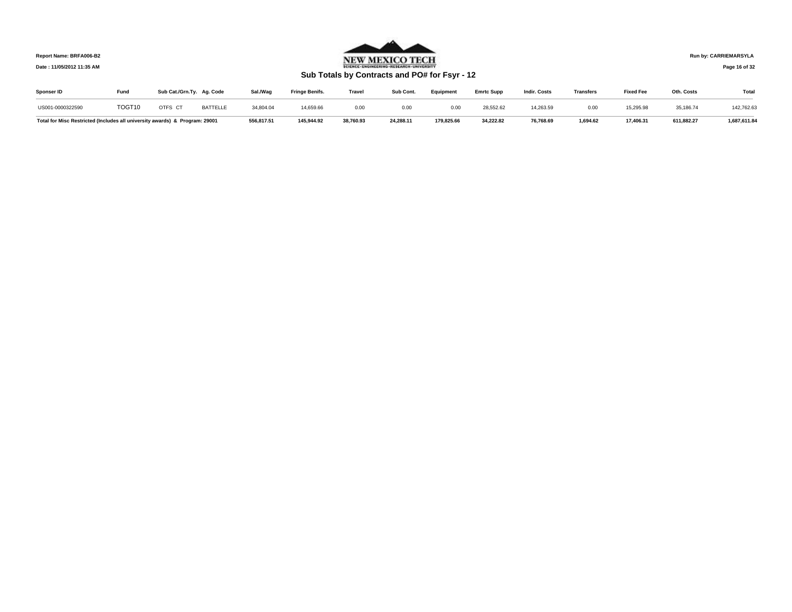**Date : 11/05/2012 11:35 AM**



**Run by: CARRIEMARSYLA**

**Page 16 of 32** 

# **Sub Totals by Contracts and PO# for Fsyr - 12**

| Sponser ID                                                                  | Fund   | Sub Cat./Grn.Ty. Ag. Code |                 | Sal./Wac   | <b>Fringe Benifs.</b> | <b>Travel</b> | Sub Cont. | Eauipment  | <b>Emrtc Supp</b> | <b>Indir, Costs</b> | <b>Transfers</b> | <b>Fixed Fee</b> | Oth. Costs | <b>Total</b> |
|-----------------------------------------------------------------------------|--------|---------------------------|-----------------|------------|-----------------------|---------------|-----------|------------|-------------------|---------------------|------------------|------------------|------------|--------------|
| US001-0000322590                                                            | TOGT10 | OTFS CT                   | <b>BATTELLE</b> | 34,804.04  | 14,659.66             | 0.00          | 0.00      | 0.00       | 28.552.62         | 14,263.59           | 0.00             | 15,295.98        | 35,186.74  | 142,762.63   |
| Total for Misc Restricted (Includes all university awards) & Program: 29001 |        |                           |                 | 556,817.51 | 145,944.92            | 38,760.93     | 24,288.11 | 179,825.66 | 34.222.82         | 76,768.69           | 1,694.62         | 17,406.31        | 611.882.27 | 1,687,611.84 |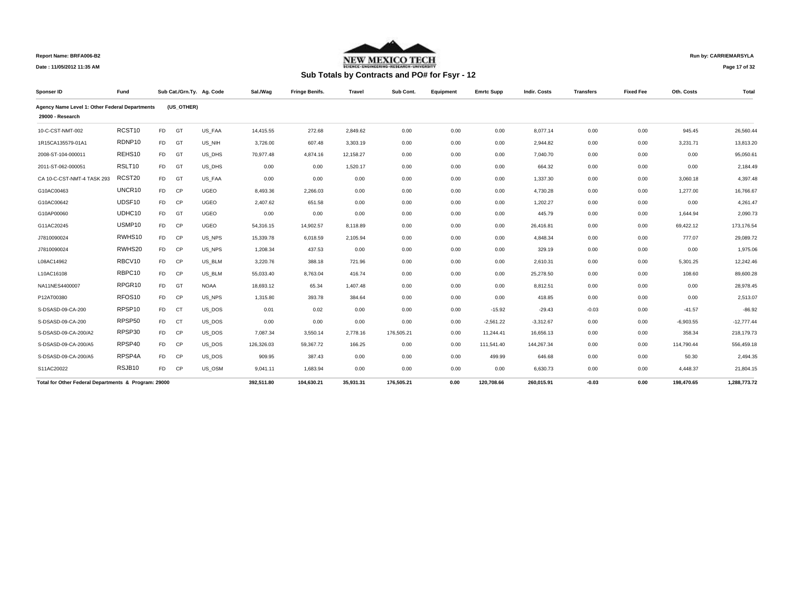

## **Run by: CARRIEMARSYLA**

**Page 17 of 32** 

| Sponser ID                                           | Fund               |                |            | Sub Cat./Grn.Ty. Ag. Code | Sal./Wag   | <b>Fringe Benifs.</b> | <b>Travel</b> | Sub Cont.  | Equipment | <b>Emrtc Supp</b> | <b>Indir. Costs</b> | <b>Transfers</b> | <b>Fixed Fee</b> | Oth. Costs  | Total        |
|------------------------------------------------------|--------------------|----------------|------------|---------------------------|------------|-----------------------|---------------|------------|-----------|-------------------|---------------------|------------------|------------------|-------------|--------------|
| Agency Name Level 1: Other Federal Departments       |                    |                | (US OTHER) |                           |            |                       |               |            |           |                   |                     |                  |                  |             |              |
| 29000 - Research                                     |                    |                |            |                           |            |                       |               |            |           |                   |                     |                  |                  |             |              |
| 10-C-CST-NMT-002                                     | RCST10             | F <sub>D</sub> | GT         | US FAA                    | 14.415.55  | 272.68                | 2.849.62      | 0.00       | 0.00      | 0.00              | 8,077.14            | 0.00             | 0.00             | 945.45      | 26,560.44    |
| 1R15CA135579-01A1                                    | RDNP10             | FD.            | GT         | US NIH                    | 3,726.00   | 607.48                | 3,303.19      | 0.00       | 0.00      | 0.00              | 2.944.82            | 0.00             | 0.00             | 3,231.71    | 13,813.20    |
| 2008-ST-104-000011                                   | REHS10             | FD.            | GT         | US DHS                    | 70,977.48  | 4,874.16              | 12,158.27     | 0.00       | 0.00      | 0.00              | 7,040.70            | 0.00             | 0.00             | 0.00        | 95,050.61    |
| 2011-ST-062-000051                                   | RSLT10             | FD.            | GT         | US DHS                    | 0.00       | 0.00                  | 1,520.17      | 0.00       | 0.00      | 0.00              | 664.32              | 0.00             | 0.00             | 0.00        | 2,184.49     |
| CA 10-C-CST-NMT-4 TASK 293                           | RCST20             | <b>FD</b>      | GT         | US FAA                    | 0.00       | 0.00                  | 0.00          | 0.00       | 0.00      | 0.00              | 1,337.30            | 0.00             | 0.00             | 3,060.18    | 4,397.48     |
| G10AC00463                                           | UNCR10             | F <sub>D</sub> | <b>CP</b>  | <b>UGEO</b>               | 8.493.36   | 2.266.03              | 0.00          | 0.00       | 0.00      | 0.00              | 4.730.28            | 0.00             | 0.00             | 1.277.00    | 16.766.67    |
| G10AC00642                                           | UDSF10             | F <sub>D</sub> | <b>CP</b>  | <b>UGEO</b>               | 2,407.62   | 651.58                | 0.00          | 0.00       | 0.00      | 0.00              | 1.202.27            | 0.00             | 0.00             | 0.00        | 4.261.47     |
| G10AP00060                                           | UDHC10             | <b>FD</b>      | GT         | <b>UGEO</b>               | 0.00       | 0.00                  | 0.00          | 0.00       | 0.00      | 0.00              | 445.79              | 0.00             | 0.00             | 1,644.94    | 2,090.73     |
| G11AC20245                                           | USMP10             | F <sub>D</sub> | <b>CP</b>  | <b>UGEO</b>               | 54.316.15  | 14.902.57             | 8.118.89      | 0.00       | 0.00      | 0.00              | 26.416.81           | 0.00             | 0.00             | 69,422.12   | 173,176.54   |
| J7810090024                                          | RWHS10             | F <sub>D</sub> | <b>CP</b>  | US NPS                    | 15,339.78  | 6.018.59              | 2,105.94      | 0.00       | 0.00      | 0.00              | 4.848.34            | 0.00             | 0.00             | 777.07      | 29,089.72    |
| J7810090024                                          | RWHS20             | F <sub>D</sub> | CP         | US NPS                    | 1,208.34   | 437.53                | 0.00          | 0.00       | 0.00      | 0.00              | 329.19              | 0.00             | 0.00             | 0.00        | 1,975.06     |
| L08AC14962                                           | RBCV10             | F <sub>D</sub> | CP         | US BLM                    | 3,220.76   | 388.18                | 721.96        | 0.00       | 0.00      | 0.00              | 2,610.31            | 0.00             | 0.00             | 5,301.25    | 12,242.46    |
| L10AC16108                                           | RBPC10             | FD.            | <b>CP</b>  | US BLM                    | 55,033.40  | 8,763.04              | 416.74        | 0.00       | 0.00      | 0.00              | 25,278.50           | 0.00             | 0.00             | 108.60      | 89,600.28    |
| NA11NES4400007                                       | RPGR <sub>10</sub> | F <sub>D</sub> | GT         | <b>NOAA</b>               | 18.693.12  | 65.34                 | 1.407.48      | 0.00       | 0.00      | 0.00              | 8.812.51            | 0.00             | 0.00             | 0.00        | 28,978.45    |
| P12AT00380                                           | RFOS10             | F <sub>D</sub> | <b>CP</b>  | US NPS                    | 1,315.80   | 393.78                | 384.64        | 0.00       | 0.00      | 0.00              | 418.85              | 0.00             | 0.00             | 0.00        | 2,513.07     |
| S-DSASD-09-CA-200                                    | RPSP10             | F <sub>D</sub> | <b>CT</b>  | US_DOS                    | 0.01       | 0.02                  | 0.00          | 0.00       | 0.00      | $-15.92$          | $-29.43$            | $-0.03$          | 0.00             | $-41.57$    | $-86.92$     |
| S-DSASD-09-CA-200                                    | RPSP50             | FD.            | <b>CT</b>  | US DOS                    | 0.00       | 0.00                  | 0.00          | 0.00       | 0.00      | $-2,561.22$       | $-3,312.67$         | 0.00             | 0.00             | $-6,903.55$ | $-12,777.44$ |
| S-DSASD-09-CA-200/A2                                 | RPSP30             | <b>FD</b>      | <b>CP</b>  | US DOS                    | 7,087.34   | 3,550.14              | 2,778.16      | 176,505.21 | 0.00      | 11,244.41         | 16,656.13           | 0.00             | 0.00             | 358.34      | 218,179.73   |
| S-DSASD-09-CA-200/A5                                 | RPSP40             | <b>FD</b>      | <b>CP</b>  | US DOS                    | 126,326.03 | 59,367.72             | 166.25        | 0.00       | 0.00      | 111,541.40        | 144,267.34          | 0.00             | 0.00             | 114,790.44  | 556,459.18   |
| S-DSASD-09-CA-200/A5                                 | RPSP4A             | FD.            | <b>CP</b>  | US DOS                    | 909.95     | 387.43                | 0.00          | 0.00       | 0.00      | 499.99            | 646.68              | 0.00             | 0.00             | 50.30       | 2,494.35     |
| S11AC20022                                           | RSJB10             | F <sub>D</sub> | <b>CP</b>  | US OSM                    | 9.041.11   | 1.683.94              | 0.00          | 0.00       | 0.00      | 0.00              | 6.630.73            | 0.00             | 0.00             | 4.448.37    | 21,804.15    |
| Total for Other Federal Departments & Program: 29000 |                    |                |            |                           | 392,511.80 | 104,630.21            | 35,931.31     | 176,505.21 | 0.00      | 120,708.66        | 260.015.91          | $-0.03$          | 0.00             | 198.470.65  | 1,288,773.72 |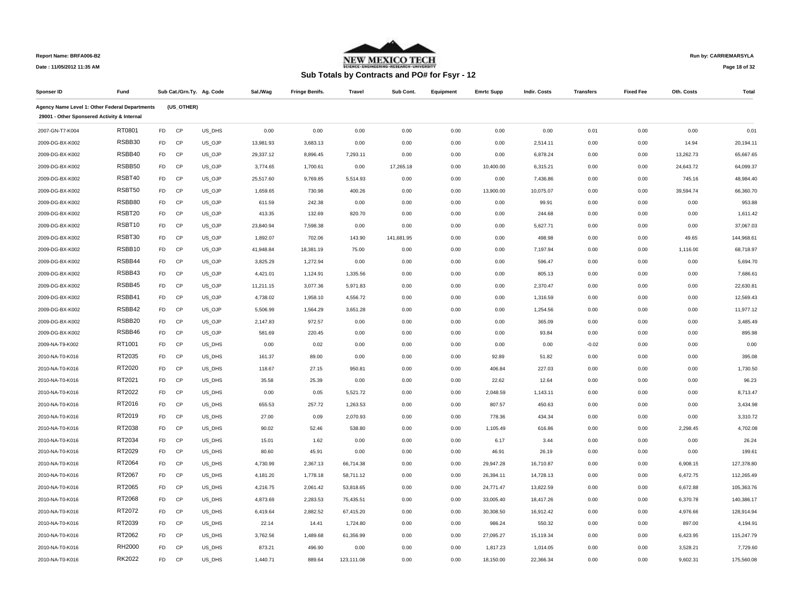

**Run by: CARRIEMARSYLA**

| Sub Totals by Contracts and PO# for Fsyr - 12 |  |  |  |
|-----------------------------------------------|--|--|--|
|-----------------------------------------------|--|--|--|

| Page 18 of 32 |  |  |  |
|---------------|--|--|--|
|---------------|--|--|--|

| Sponser ID                                                                                    | Fund               |                |            | Sub Cat./Grn.Ty. Ag. Code | Sal./Wag  | <b>Fringe Benifs.</b> | Travel     | Sub Cont.  | Equipment | <b>Emrtc Supp</b> | <b>Indir. Costs</b> | <b>Transfers</b> | <b>Fixed Fee</b> | Oth. Costs | Total      |
|-----------------------------------------------------------------------------------------------|--------------------|----------------|------------|---------------------------|-----------|-----------------------|------------|------------|-----------|-------------------|---------------------|------------------|------------------|------------|------------|
| Agency Name Level 1: Other Federal Departments<br>29001 - Other Sponsered Activity & Internal |                    |                | (US_OTHER) |                           |           |                       |            |            |           |                   |                     |                  |                  |            |            |
| 2007-GN-T7-K004                                                                               | RT0801             | FD             | CP         | US_DHS                    | 0.00      | 0.00                  | 0.00       | 0.00       | 0.00      | 0.00              | 0.00                | 0.01             | 0.00             | 0.00       | 0.01       |
| 2009-DG-BX-K002                                                                               | RSBB30             | <b>FD</b>      | CP         | US_OJP                    | 13,981.93 | 3,683.13              | 0.00       | 0.00       | 0.00      | 0.00              | 2,514.11            | 0.00             | 0.00             | 14.94      | 20,194.11  |
| 2009-DG-BX-K002                                                                               | RSBB40             | FD.            | CP         | US_OJP                    | 29,337.12 | 8,896.45              | 7,293.11   | 0.00       | 0.00      | 0.00              | 6,878.24            | 0.00             | 0.00             | 13,262.73  | 65,667.65  |
| 2009-DG-BX-K002                                                                               | RSBB50             | F <sub>D</sub> | CP         | US_OJP                    | 3,774.65  | 1,700.61              | 0.00       | 17,265.18  | 0.00      | 10,400.00         | 6,315.21            | 0.00             | 0.00             | 24,643.72  | 64,099.37  |
| 2009-DG-BX-K002                                                                               | RSBT40             | FD             | CP         | US_OJP                    | 25,517.60 | 9,769.85              | 5,514.93   | 0.00       | 0.00      | 0.00              | 7,436.86            | 0.00             | 0.00             | 745.16     | 48,984.40  |
| 2009-DG-BX-K002                                                                               | RSBT50             | FD             | CP         | US_OJP                    | 1,659.65  | 730.98                | 400.26     | 0.00       | 0.00      | 13,900.00         | 10,075.07           | 0.00             | 0.00             | 39,594.74  | 66,360.70  |
| 2009-DG-BX-K002                                                                               | RSBB80             | <b>FD</b>      | CP         | US_OJP                    | 611.59    | 242.38                | 0.00       | 0.00       | 0.00      | 0.00              | 99.91               | 0.00             | 0.00             | 0.00       | 953.88     |
| 2009-DG-BX-K002                                                                               | RSBT20             | <b>FD</b>      | CP         | US_OJP                    | 413.35    | 132.69                | 820.70     | 0.00       | 0.00      | 0.00              | 244.68              | 0.00             | 0.00             | 0.00       | 1,611.42   |
| 2009-DG-BX-K002                                                                               | RSBT10             | FD             | CP         | US_OJP                    | 23,840.94 | 7,598.38              | 0.00       | 0.00       | 0.00      | 0.00              | 5,627.71            | 0.00             | 0.00             | 0.00       | 37,067.03  |
| 2009-DG-BX-K002                                                                               | RSBT30             | <b>FD</b>      | CP         | US_OJP                    | 1,892.07  | 702.06                | 143.90     | 141,681.95 | 0.00      | 0.00              | 498.98              | 0.00             | 0.00             | 49.65      | 144,968.61 |
| 2009-DG-BX-K002                                                                               | RSBB10             | FD             | CP         | US_OJP                    | 41,948.84 | 18,381.19             | 75.00      | 0.00       | 0.00      | 0.00              | 7,197.94            | 0.00             | 0.00             | 1,116.00   | 68,718.97  |
| 2009-DG-BX-K002                                                                               | RSBB44             | FD             | CP         | US_OJP                    | 3,825.29  | 1,272.94              | 0.00       | 0.00       | 0.00      | 0.00              | 596.47              | 0.00             | 0.00             | 0.00       | 5,694.70   |
| 2009-DG-BX-K002                                                                               | RSBB43             | FD             | CP         | US_OJP                    | 4,421.01  | 1,124.91              | 1,335.56   | 0.00       | 0.00      | 0.00              | 805.13              | 0.00             | 0.00             | 0.00       | 7,686.61   |
| 2009-DG-BX-K002                                                                               | RSBB45             | <b>FD</b>      | CP         | US_OJP                    | 11,211.15 | 3,077.36              | 5,971.83   | 0.00       | 0.00      | 0.00              | 2,370.47            | 0.00             | 0.00             | 0.00       | 22,630.81  |
| 2009-DG-BX-K002                                                                               | RSBB41             | <b>FD</b>      | CP         | US_OJP                    | 4,738.02  | 1,958.10              | 4,556.72   | 0.00       | 0.00      | 0.00              | 1,316.59            | 0.00             | 0.00             | 0.00       | 12,569.43  |
| 2009-DG-BX-K002                                                                               | RSBB42             | FD             | CP         | US_OJP                    | 5,506.99  | 1,564.29              | 3,651.28   | 0.00       | 0.00      | 0.00              | 1,254.56            | 0.00             | 0.00             | 0.00       | 11,977.12  |
| 2009-DG-BX-K002                                                                               | RSBB <sub>20</sub> | FD             | CP         | US_OJP                    | 2,147.83  | 972.57                | 0.00       | 0.00       | 0.00      | 0.00              | 365.09              | 0.00             | 0.00             | 0.00       | 3,485.49   |
| 2009-DG-BX-K002                                                                               | RSBB46             | FD             | CP         | US_OJP                    | 581.69    | 220.45                | 0.00       | 0.00       | 0.00      | 0.00              | 93.84               | 0.00             | 0.00             | 0.00       | 895.98     |
| 2009-NA-T9-K002                                                                               | RT1001             | FD             | CP         | US_DHS                    | 0.00      | 0.02                  | 0.00       | 0.00       | 0.00      | 0.00              | 0.00                | $-0.02$          | 0.00             | 0.00       | 0.00       |
| 2010-NA-T0-K016                                                                               | RT2035             | FD             | CP         | US_DHS                    | 161.37    | 89.00                 | 0.00       | 0.00       | 0.00      | 92.89             | 51.82               | 0.00             | 0.00             | 0.00       | 395.08     |
| 2010-NA-T0-K016                                                                               | RT2020             | <b>FD</b>      | CP         | US_DHS                    | 118.67    | 27.15                 | 950.81     | 0.00       | 0.00      | 406.84            | 227.03              | 0.00             | 0.00             | 0.00       | 1,730.50   |
| 2010-NA-T0-K016                                                                               | RT2021             | FD.            | CP         | US_DHS                    | 35.58     | 25.39                 | 0.00       | 0.00       | 0.00      | 22.62             | 12.64               | 0.00             | 0.00             | 0.00       | 96.23      |
| 2010-NA-T0-K016                                                                               | RT2022             | FD             | CP         | US_DHS                    | 0.00      | 0.05                  | 5,521.72   | 0.00       | 0.00      | 2,048.59          | 1,143.11            | 0.00             | 0.00             | 0.00       | 8,713.47   |
| 2010-NA-T0-K016                                                                               | RT2016             | FD             | CP         | US_DHS                    | 655.53    | 257.72                | 1,263.53   | 0.00       | 0.00      | 807.57            | 450.63              | 0.00             | 0.00             | 0.00       | 3,434.98   |
| 2010-NA-T0-K016                                                                               | RT2019             | FD             | CP         | US_DHS                    | 27.00     | 0.09                  | 2,070.93   | 0.00       | 0.00      | 778.36            | 434.34              | 0.00             | 0.00             | 0.00       | 3,310.72   |
| 2010-NA-T0-K016                                                                               | RT2038             | FD             | CP         | US DHS                    | 90.02     | 52.46                 | 538.80     | 0.00       | 0.00      | 1,105.49          | 616.86              | 0.00             | 0.00             | 2,298.45   | 4,702.08   |
| 2010-NA-T0-K016                                                                               | RT2034             | FD             | CP         | US_DHS                    | 15.01     | 1.62                  | 0.00       | 0.00       | 0.00      | 6.17              | 3.44                | 0.00             | 0.00             | 0.00       | 26.24      |
| 2010-NA-T0-K016                                                                               | RT2029             | FD.            | CP         | US_DHS                    | 80.60     | 45.91                 | 0.00       | 0.00       | 0.00      | 46.91             | 26.19               | 0.00             | 0.00             | 0.00       | 199.61     |
| 2010-NA-T0-K016                                                                               | RT2064             | FD             | CP         | US_DHS                    | 4,730.99  | 2,367.13              | 66,714.38  | 0.00       | 0.00      | 29,947.28         | 16,710.87           | 0.00             | 0.00             | 6,908.15   | 127,378.80 |
| 2010-NA-T0-K016                                                                               | RT2067             | FD             | CP         | US_DHS                    | 4,181.20  | 1,778.18              | 58,711.12  | 0.00       | 0.00      | 26,394.11         | 14,728.13           | 0.00             | 0.00             | 6,472.75   | 112,265.49 |
| 2010-NA-T0-K016                                                                               | RT2065             | FD.            | CP         | US_DHS                    | 4,216.75  | 2,061.42              | 53,818.65  | 0.00       | 0.00      | 24,771.47         | 13,822.59           | 0.00             | 0.00             | 6,672.88   | 105,363.76 |
| 2010-NA-T0-K016                                                                               | RT2068             | F <sub>D</sub> | CP         | US_DHS                    | 4,873.69  | 2,283.53              | 75,435.51  | 0.00       | 0.00      | 33,005.40         | 18,417.26           | 0.00             | 0.00             | 6,370.78   | 140,386.17 |
| 2010-NA-T0-K016                                                                               | RT2072             | FD             | CP         | US_DHS                    | 6,419.64  | 2,882.52              | 67,415.20  | 0.00       | 0.00      | 30,308.50         | 16,912.42           | 0.00             | 0.00             | 4,976.66   | 128,914.94 |
| 2010-NA-T0-K016                                                                               | RT2039             | FD             | CP         | US_DHS                    | 22.14     | 14.41                 | 1,724.80   | 0.00       | 0.00      | 986.24            | 550.32              | 0.00             | 0.00             | 897.00     | 4,194.91   |
| 2010-NA-T0-K016                                                                               | RT2062             | FD             | CP         | US_DHS                    | 3,762.56  | 1,489.68              | 61,356.99  | 0.00       | 0.00      | 27,095.27         | 15,119.34           | 0.00             | 0.00             | 6,423.95   | 115,247.79 |
| 2010-NA-T0-K016                                                                               | RH2000             | FD             | CP         | US DHS                    | 873.21    | 496.90                | 0.00       | 0.00       | 0.00      | 1,817.23          | 1,014.05            | 0.00             | 0.00             | 3,528.21   | 7,729.60   |
| 2010-NA-T0-K016                                                                               | <b>RK2022</b>      | FD             | CP         | US DHS                    | 1,440.71  | 889.64                | 123,111.08 | 0.00       | 0.00      | 18,150.00         | 22,366.34           | 0.00             | 0.00             | 9,602.31   | 175,560.08 |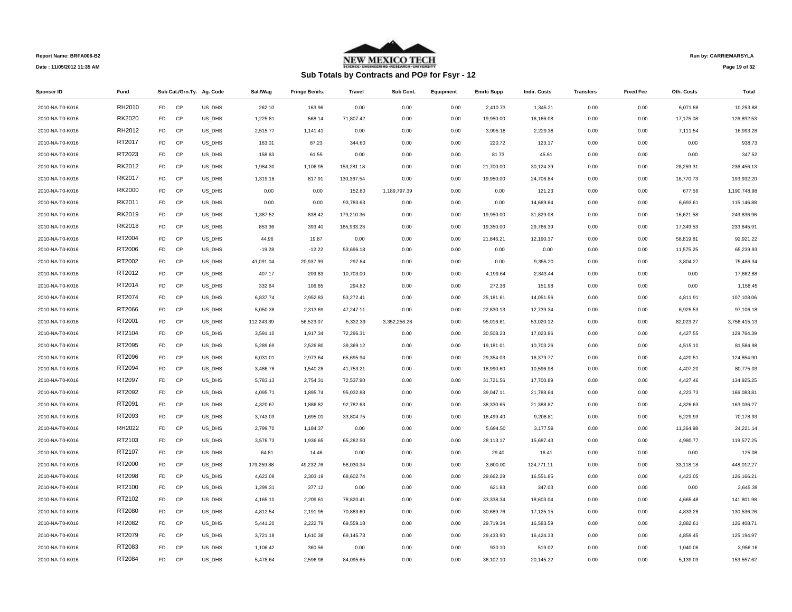

## **Sub Totals by Contracts and PO# for Fsyr - 12**

**Run by: CARRIEMARSYLA**

**Page 19 of 32** 

| Sponser ID      | Fund          |                |           | Sub Cat./Grn.Ty. Ag. Code | Sal./Wag   | <b>Fringe Benifs.</b> | <b>Travel</b> | Sub Cont.    | Equipment | <b>Emrtc Supp</b> | <b>Indir. Costs</b> | <b>Transfers</b> | <b>Fixed Fee</b> | Oth. Costs | Total        |
|-----------------|---------------|----------------|-----------|---------------------------|------------|-----------------------|---------------|--------------|-----------|-------------------|---------------------|------------------|------------------|------------|--------------|
| 2010-NA-T0-K016 | RH2010        | F <sub>D</sub> | <b>CP</b> | US DHS                    | 262.10     | 163.96                | 0.00          | 0.00         | 0.00      | 2,410.73          | 1.345.21            | 0.00             | 0.00             | 6,071.88   | 10.253.88    |
| 2010-NA-T0-K016 | RK2020        | FD.            | CP        | US_DHS                    | 1,225.81   | 568.14                | 71,807.42     | 0.00         | 0.00      | 19,950.00         | 16,166.08           | 0.00             | 0.00             | 17,175.08  | 126,892.53   |
| 2010-NA-T0-K016 | RH2012        | <b>FD</b>      | CP        | US DHS                    | 2,515.77   | 1,141.41              | 0.00          | 0.00         | 0.00      | 3,995.18          | 2,229.38            | 0.00             | 0.00             | 7,111.54   | 16,993.28    |
| 2010-NA-T0-K016 | RT2017        | FD             | <b>CP</b> | US_DHS                    | 163.01     | 87.23                 | 344.60        | 0.00         | 0.00      | 220.72            | 123.17              | 0.00             | 0.00             | 0.00       | 938.73       |
| 2010-NA-T0-K016 | RT2023        | <b>FD</b>      | <b>CP</b> | US_DHS                    | 158.63     | 61.55                 | 0.00          | 0.00         | 0.00      | 81.73             | 45.61               | 0.00             | 0.00             | 0.00       | 347.52       |
| 2010-NA-T0-K016 | RK2012        | FD.            | CP        | US_DHS                    | 1,984.30   | 1,106.95              | 153,281.18    | 0.00         | 0.00      | 21,700.00         | 30,124.39           | 0.00             | 0.00             | 28,259.31  | 236,456.13   |
| 2010-NA-T0-K016 | RK2017        | FD.            | CP        | US_DHS                    | 1,319.18   | 817.91                | 130,367.54    | 0.00         | 0.00      | 19,950.00         | 24,706.84           | 0.00             | 0.00             | 16,770.73  | 193,932.20   |
| 2010-NA-T0-K016 | <b>RK2000</b> | FD.            | CP        | US DHS                    | 0.00       | 0.00                  | 152.80        | 1,189,797.39 | 0.00      | 0.00              | 121.23              | 0.00             | 0.00             | 677.56     | 1,190,748.98 |
| 2010-NA-T0-K016 | RK2011        | <b>FD</b>      | CP        | US_DHS                    | 0.00       | 0.00                  | 93,783.63     | 0.00         | 0.00      | 0.00              | 14,669.64           | 0.00             | 0.00             | 6,693.61   | 115,146.88   |
| 2010-NA-T0-K016 | RK2019        | <b>FD</b>      | <b>CP</b> | US_DHS                    | 1,387.52   | 838.42                | 179,210.36    | 0.00         | 0.00      | 19,950.00         | 31,829.08           | 0.00             | 0.00             | 16,621.58  | 249,836.96   |
| 2010-NA-T0-K016 | RK2018        | <b>FD</b>      | CP        | US_DHS                    | 853.36     | 393.40                | 165,933.23    | 0.00         | 0.00      | 19,350.00         | 29,766.39           | 0.00             | 0.00             | 17,349.53  | 233,645.91   |
| 2010-NA-T0-K016 | RT2004        | FD.            | CP        | US_DHS                    | 44.96      | 19.87                 | 0.00          | 0.00         | 0.00      | 21,846.21         | 12,190.37           | 0.00             | 0.00             | 58,819.81  | 92,921.22    |
| 2010-NA-T0-K016 | RT2006        | <b>FD</b>      | <b>CP</b> | US_DHS                    | $-19.28$   | $-12.22$              | 53,696.18     | 0.00         | 0.00      | 0.00              | 0.00                | 0.00             | 0.00             | 11,575.25  | 65,239.93    |
| 2010-NA-T0-K016 | RT2002        | <b>FD</b>      | CP        | US_DHS                    | 41,091.04  | 20,937.99             | 297.84        | 0.00         | 0.00      | 0.00              | 9,355.20            | 0.00             | 0.00             | 3,804.27   | 75,486.34    |
| 2010-NA-T0-K016 | RT2012        | FD.            | <b>CP</b> | US_DHS                    | 407.17     | 209.63                | 10,703.00     | 0.00         | 0.00      | 4,199.64          | 2,343.44            | 0.00             | 0.00             | 0.00       | 17,862.88    |
| 2010-NA-T0-K016 | RT2014        | <b>FD</b>      | CP        | US_DHS                    | 332.64     | 106.65                | 294.82        | 0.00         | 0.00      | 272.36            | 151.98              | 0.00             | 0.00             | 0.00       | 1,158.45     |
| 2010-NA-T0-K016 | RT2074        | FD.            | CP        | US_DHS                    | 6,837.74   | 2,952.83              | 53,272.41     | 0.00         | 0.00      | 25,181.61         | 14,051.56           | 0.00             | 0.00             | 4,811.91   | 107,108.06   |
| 2010-NA-T0-K016 | RT2066        | <b>FD</b>      | <b>CP</b> | US DHS                    | 5,050.38   | 2,313.69              | 47,247.11     | 0.00         | 0.00      | 22,830.13         | 12,739.34           | 0.00             | 0.00             | 6,925.53   | 97,106.18    |
| 2010-NA-T0-K016 | RT2001        | <b>FD</b>      | CP        | US_DHS                    | 112,243.39 | 56,523.07             | 5,332.39      | 3,352,256.28 | 0.00      | 95,016.61         | 53,020.12           | 0.00             | 0.00             | 82,023.27  | 3,756,415.13 |
| 2010-NA-T0-K016 | RT2104        | <b>FD</b>      | <b>CP</b> | US DHS                    | 3,591.10   | 1,917.34              | 72,296.31     | 0.00         | 0.00      | 30,508.23         | 17,023.86           | 0.00             | 0.00             | 4,427.55   | 129,764.39   |
| 2010-NA-T0-K016 | RT2095        | <b>FD</b>      | CP        | US_DHS                    | 5,289.69   | 2,526.80              | 39,369.12     | 0.00         | 0.00      | 19,181.01         | 10,703.26           | 0.00             | 0.00             | 4,515.10   | 81,584.98    |
| 2010-NA-T0-K016 | RT2096        | FD             | CP        | US_DHS                    | 6,031.01   | 2,973.64              | 65,695.94     | 0.00         | 0.00      | 29,354.03         | 16,379.77           | 0.00             | 0.00             | 4,420.51   | 124,854.90   |
| 2010-NA-T0-K016 | RT2094        | FD             | CP        | US_DHS                    | 3,486.76   | 1,540.28              | 41,753.21     | 0.00         | 0.00      | 18,990.60         | 10,596.98           | 0.00             | 0.00             | 4,407.20   | 80,775.03    |
| 2010-NA-T0-K016 | RT2097        | FD.            | CP        | US_DHS                    | 5,783.13   | 2,754.31              | 72,537.90     | 0.00         | 0.00      | 31,721.56         | 17,700.89           | 0.00             | 0.00             | 4,427.46   | 134,925.25   |
| 2010-NA-T0-K016 | RT2092        | FD.            | CP        | US_DHS                    | 4,095.71   | 1,895.74              | 95,032.88     | 0.00         | 0.00      | 39,047.11         | 21,788.64           | 0.00             | 0.00             | 4,223.73   | 166,083.81   |
| 2010-NA-T0-K016 | RT2091        | <b>FD</b>      | CP        | US_DHS                    | 4,320.67   | 1,886.82              | 92,782.63     | 0.00         | 0.00      | 38,330.65         | 21,388.87           | 0.00             | 0.00             | 4,326.63   | 163,036.27   |
| 2010-NA-T0-K016 | RT2093        | FD.            | <b>CP</b> | US DHS                    | 3,743.03   | 1,695.01              | 33,804.75     | 0.00         | 0.00      | 16,499.40         | 9,206.81            | 0.00             | 0.00             | 5,229.93   | 70,178.93    |
| 2010-NA-T0-K016 | RH2022        | <b>FD</b>      | CP        | US_DHS                    | 2,799.70   | 1,184.37              | 0.00          | 0.00         | 0.00      | 5,694.50          | 3,177.59            | 0.00             | 0.00             | 11,364.98  | 24,221.14    |
| 2010-NA-T0-K016 | RT2103        | FD.            | CP        | US_DHS                    | 3,576.73   | 1,936.65              | 65,282.50     | 0.00         | 0.00      | 28,113.17         | 15,687.43           | 0.00             | 0.00             | 4,980.77   | 119,577.25   |
| 2010-NA-T0-K016 | RT2107        | <b>FD</b>      | CP        | US_DHS                    | 64.81      | 14.46                 | 0.00          | 0.00         | 0.00      | 29.40             | 16.41               | 0.00             | 0.00             | 0.00       | 125.08       |
| 2010-NA-T0-K016 | RT2000        | <b>FD</b>      | <b>CP</b> | US_DHS                    | 179,259.88 | 49,232.76             | 58,030.34     | 0.00         | 0.00      | 3,600.00          | 124,771.11          | 0.00             | 0.00             | 33,118.18  | 448,012.27   |
| 2010-NA-T0-K016 | RT2098        | <b>FD</b>      | <b>CP</b> | US DHS                    | 4,623.09   | 2,303.19              | 68,602.74     | 0.00         | 0.00      | 29,662.29         | 16,551.85           | 0.00             | 0.00             | 4,423.05   | 126,166.21   |
| 2010-NA-T0-K016 | RT2100        | <b>FD</b>      | CP        | US_DHS                    | 1,299.31   | 377.12                | 0.00          | 0.00         | 0.00      | 621.93            | 347.03              | 0.00             | 0.00             | 0.00       | 2,645.39     |
| 2010-NA-T0-K016 | RT2102        | F <sub>D</sub> | <b>CP</b> | US_DHS                    | 4,165.10   | 2,209.61              | 78,820.41     | 0.00         | 0.00      | 33,338.34         | 18,603.04           | 0.00             | 0.00             | 4,665.48   | 141,801.98   |
| 2010-NA-T0-K016 | RT2080        | FD.            | <b>CP</b> | US DHS                    | 4,812.54   | 2,191.95              | 70,883.60     | 0.00         | 0.00      | 30,689.76         | 17,125.15           | 0.00             | 0.00             | 4,833.26   | 130,536.26   |
| 2010-NA-T0-K016 | RT2082        | <b>FD</b>      | CP        | US_DHS                    | 5,441.20   | 2,222.79              | 69,559.18     | 0.00         | 0.00      | 29,719.34         | 16,583.59           | 0.00             | 0.00             | 2,882.61   | 126,408.71   |
| 2010-NA-T0-K016 | RT2079        | F <sub>D</sub> | <b>CP</b> | US DHS                    | 3,721.18   | 1,610.38              | 69,145.73     | 0.00         | 0.00      | 29,433.90         | 16,424.33           | 0.00             | 0.00             | 4,859.45   | 125,194.97   |
| 2010-NA-T0-K016 | RT2083        | FD             | CP        | US_DHS                    | 1,106.42   | 360.56                | 0.00          | 0.00         | 0.00      | 930.10            | 519.02              | 0.00             | 0.00             | 1,040.06   | 3,956.16     |
| 2010-NA-T0-K016 | RT2084        | FD.            | CP        | US DHS                    | 5.478.64   | 2.596.98              | 84.095.65     | 0.00         | 0.00      | 36,102.10         | 20.145.22           | 0.00             | 0.00             | 5.139.03   | 153.557.62   |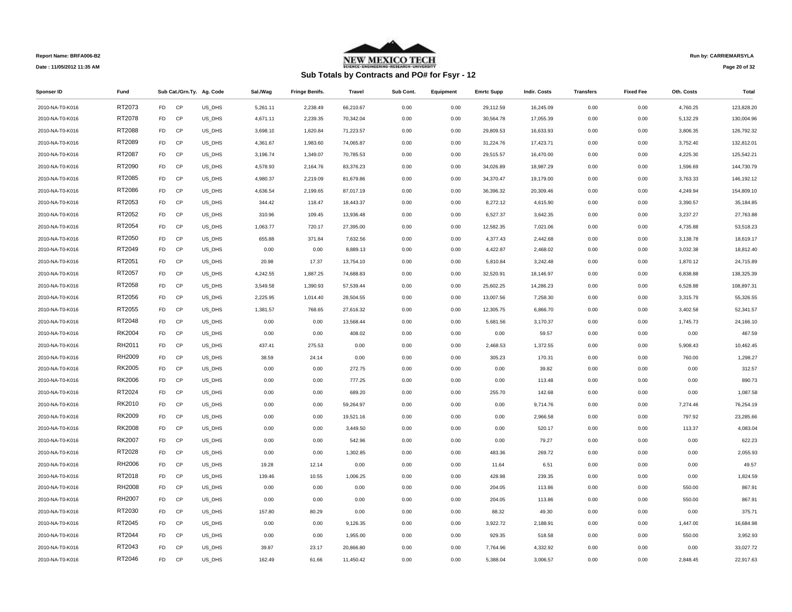

# **Sub Totals by Contracts and PO# for Fsyr - 12**

**Run by: CARRIEMARSYLA**

**Page 20 of 32** 

| Sponser ID      | Fund          |                |           | Sub Cat./Grn.Ty. Ag. Code | Sal./Wag | <b>Fringe Benifs.</b> | <b>Travel</b> | Sub Cont. | Equipment | <b>Emrtc Supp</b> | Indir. Costs | <b>Transfers</b> | <b>Fixed Fee</b> | Oth. Costs | Total      |
|-----------------|---------------|----------------|-----------|---------------------------|----------|-----------------------|---------------|-----------|-----------|-------------------|--------------|------------------|------------------|------------|------------|
| 2010-NA-T0-K016 | RT2073        | <b>FD</b>      | CP        | US_DHS                    | 5,261.11 | 2,238.49              | 66,210.67     | 0.00      | 0.00      | 29,112.59         | 16,245.09    | 0.00             | 0.00             | 4,760.25   | 123,828.20 |
| 2010-NA-T0-K016 | RT2078        | FD             | CP        | US_DHS                    | 4,671.11 | 2,239.35              | 70,342.04     | 0.00      | 0.00      | 30,564.78         | 17,055.39    | 0.00             | 0.00             | 5,132.29   | 130,004.96 |
| 2010-NA-T0-K016 | RT2088        | FD.            | CP        | US_DHS                    | 3,698.10 | 1,620.84              | 71,223.57     | 0.00      | 0.00      | 29,809.53         | 16,633.93    | 0.00             | 0.00             | 3,806.35   | 126,792.32 |
| 2010-NA-T0-K016 | RT2089        | FD.            | CP        | US_DHS                    | 4,361.67 | 1,983.60              | 74,065.87     | 0.00      | 0.00      | 31,224.76         | 17,423.71    | 0.00             | 0.00             | 3,752.40   | 132,812.01 |
| 2010-NA-T0-K016 | RT2087        | FD             | CP        | US_DHS                    | 3,196.74 | 1,349.07              | 70,785.53     | 0.00      | 0.00      | 29,515.57         | 16,470.00    | 0.00             | 0.00             | 4,225.30   | 125,542.21 |
| 2010-NA-T0-K016 | RT2090        | FD.            | CP        | US_DHS                    | 4,578.93 | 2,164.76              | 83,376.23     | 0.00      | 0.00      | 34,026.89         | 18,987.29    | 0.00             | 0.00             | 1,596.69   | 144,730.79 |
| 2010-NA-T0-K016 | RT2085        | FD.            | CP        | US_DHS                    | 4,980.37 | 2,219.09              | 81,679.86     | 0.00      | 0.00      | 34,370.47         | 19,179.00    | 0.00             | 0.00             | 3,763.33   | 146,192.12 |
| 2010-NA-T0-K016 | RT2086        | FD             | CP        | US_DHS                    | 4,636.54 | 2,199.65              | 87,017.19     | 0.00      | 0.00      | 36,396.32         | 20,309.46    | 0.00             | 0.00             | 4,249.94   | 154,809.10 |
| 2010-NA-T0-K016 | RT2053        | FD.            | CP        | US_DHS                    | 344.42   | 118.47                | 18,443.37     | 0.00      | 0.00      | 8,272.12          | 4,615.90     | 0.00             | 0.00             | 3,390.57   | 35,184.85  |
| 2010-NA-T0-K016 | RT2052        | FD.            | CP        | US_DHS                    | 310.96   | 109.45                | 13,936.48     | 0.00      | 0.00      | 6,527.37          | 3,642.35     | 0.00             | 0.00             | 3,237.27   | 27,763.88  |
| 2010-NA-T0-K016 | RT2054        | FD             | CP        | US DHS                    | 1,063.77 | 720.17                | 27,395.00     | 0.00      | 0.00      | 12,582.35         | 7,021.06     | 0.00             | 0.00             | 4,735.88   | 53,518.23  |
| 2010-NA-T0-K016 | RT2050        | FD             | CP        | US_DHS                    | 655.88   | 371.84                | 7,632.56      | 0.00      | 0.00      | 4,377.43          | 2,442.68     | 0.00             | 0.00             | 3,138.78   | 18,619.17  |
| 2010-NA-T0-K016 | RT2049        | FD.            | CP        | US_DHS                    | 0.00     | 0.00                  | 8,889.13      | 0.00      | 0.00      | 4,422.87          | 2,468.02     | 0.00             | 0.00             | 3,032.38   | 18,812.40  |
| 2010-NA-T0-K016 | RT2051        | FD             | <b>CP</b> | US_DHS                    | 20.98    | 17.37                 | 13,754.10     | 0.00      | 0.00      | 5,810.84          | 3,242.48     | 0.00             | 0.00             | 1,870.12   | 24,715.89  |
| 2010-NA-T0-K016 | RT2057        | FD.            | CP        | US_DHS                    | 4,242.55 | 1,887.25              | 74,688.83     | 0.00      | 0.00      | 32,520.91         | 18,146.97    | 0.00             | 0.00             | 6,838.88   | 138,325.39 |
| 2010-NA-T0-K016 | RT2058        | FD.            | CP        | US_DHS                    | 3,549.58 | 1,390.93              | 57,539.44     | 0.00      | 0.00      | 25,602.25         | 14,286.23    | 0.00             | 0.00             | 6,528.88   | 108,897.31 |
| 2010-NA-T0-K016 | RT2056        | FD.            | CP        | US_DHS                    | 2,225.95 | 1,014.40              | 28,504.55     | 0.00      | 0.00      | 13,007.56         | 7,258.30     | 0.00             | 0.00             | 3,315.79   | 55,326.55  |
| 2010-NA-T0-K016 | RT2055        | FD.            | CP        | US_DHS                    | 1,381.57 | 768.65                | 27,616.32     | 0.00      | 0.00      | 12,305.75         | 6,866.70     | 0.00             | 0.00             | 3,402.58   | 52,341.57  |
| 2010-NA-T0-K016 | RT2048        | FD.            | CP        | US_DHS                    | 0.00     | 0.00                  | 13,568.44     | 0.00      | 0.00      | 5,681.56          | 3,170.37     | 0.00             | 0.00             | 1,745.73   | 24,166.10  |
| 2010-NA-T0-K016 | <b>RK2004</b> | FD             | CP        | US_DHS                    | 0.00     | 0.00                  | 408.02        | 0.00      | 0.00      | 0.00              | 59.57        | 0.00             | 0.00             | 0.00       | 467.59     |
| 2010-NA-T0-K016 | RH2011        | FD.            | CP        | US_DHS                    | 437.41   | 275.53                | 0.00          | 0.00      | 0.00      | 2,468.53          | 1,372.55     | 0.00             | 0.00             | 5,908.43   | 10,462.45  |
| 2010-NA-T0-K016 | RH2009        | FD             | CP        | US_DHS                    | 38.59    | 24.14                 | 0.00          | 0.00      | 0.00      | 305.23            | 170.31       | 0.00             | 0.00             | 760.00     | 1,298.27   |
| 2010-NA-T0-K016 | RK2005        | FD.            | CP        | US_DHS                    | 0.00     | 0.00                  | 272.75        | 0.00      | 0.00      | 0.00              | 39.82        | 0.00             | 0.00             | 0.00       | 312.57     |
| 2010-NA-T0-K016 | <b>RK2006</b> | FD.            | CP        | US_DHS                    | 0.00     | 0.00                  | 777.25        | 0.00      | 0.00      | 0.00              | 113.48       | 0.00             | 0.00             | 0.00       | 890.73     |
| 2010-NA-T0-K016 | RT2024        | FD.            | CP        | US_DHS                    | 0.00     | 0.00                  | 689.20        | 0.00      | 0.00      | 255.70            | 142.68       | 0.00             | 0.00             | 0.00       | 1,087.58   |
| 2010-NA-T0-K016 | RK2010        | FD.            | CP        | US_DHS                    | 0.00     | 0.00                  | 59,264.97     | 0.00      | 0.00      | 0.00              | 9,714.76     | 0.00             | 0.00             | 7,274.46   | 76,254.19  |
| 2010-NA-T0-K016 | RK2009        | FD.            | CP        | US_DHS                    | 0.00     | 0.00                  | 19,521.16     | 0.00      | 0.00      | 0.00              | 2,966.58     | 0.00             | 0.00             | 797.92     | 23,285.66  |
| 2010-NA-T0-K016 | <b>RK2008</b> | FD             | CP        | US_DHS                    | 0.00     | 0.00                  | 3,449.50      | 0.00      | 0.00      | 0.00              | 520.17       | 0.00             | 0.00             | 113.37     | 4,083.04   |
| 2010-NA-T0-K016 | <b>RK2007</b> | FD             | CP        | US_DHS                    | 0.00     | 0.00                  | 542.96        | 0.00      | 0.00      | 0.00              | 79.27        | 0.00             | 0.00             | 0.00       | 622.23     |
| 2010-NA-T0-K016 | RT2028        | FD.            | CP        | US_DHS                    | 0.00     | 0.00                  | 1,302.85      | 0.00      | 0.00      | 483.36            | 269.72       | 0.00             | 0.00             | 0.00       | 2,055.93   |
| 2010-NA-T0-K016 | RH2006        | FD.            | <b>CP</b> | US_DHS                    | 19.28    | 12.14                 | 0.00          | 0.00      | 0.00      | 11.64             | 6.51         | 0.00             | 0.00             | 0.00       | 49.57      |
| 2010-NA-T0-K016 | RT2018        | FD             | CP        | US_DHS                    | 139.46   | 10.55                 | 1,006.25      | 0.00      | 0.00      | 428.98            | 239.35       | 0.00             | 0.00             | 0.00       | 1,824.59   |
| 2010-NA-T0-K016 | RH2008        | FD.            | CP        | US_DHS                    | 0.00     | 0.00                  | 0.00          | 0.00      | 0.00      | 204.05            | 113.86       | 0.00             | 0.00             | 550.00     | 867.91     |
| 2010-NA-T0-K016 | RH2007        | FD             | <b>CP</b> | US_DHS                    | 0.00     | 0.00                  | 0.00          | 0.00      | 0.00      | 204.05            | 113.86       | 0.00             | 0.00             | 550.00     | 867.91     |
| 2010-NA-T0-K016 | RT2030        | FD.            | CP        | US_DHS                    | 157.80   | 80.29                 | 0.00          | 0.00      | 0.00      | 88.32             | 49.30        | 0.00             | 0.00             | 0.00       | 375.71     |
| 2010-NA-T0-K016 | RT2045        | FD.            | CP        | US_DHS                    | 0.00     | 0.00                  | 9,126.35      | 0.00      | 0.00      | 3,922.72          | 2,188.91     | 0.00             | 0.00             | 1,447.00   | 16,684.98  |
| 2010-NA-T0-K016 | RT2044        | FD             | CP        | US_DHS                    | 0.00     | 0.00                  | 1,955.00      | 0.00      | 0.00      | 929.35            | 518.58       | 0.00             | 0.00             | 550.00     | 3,952.93   |
| 2010-NA-T0-K016 | RT2043        | FD.            | CP        | US_DHS                    | 39.87    | 23.17                 | 20,866.80     | 0.00      | 0.00      | 7,764.96          | 4,332.92     | 0.00             | 0.00             | 0.00       | 33,027.72  |
| 2010-NA-T0-K016 | RT2046        | F <sub>D</sub> | CP        | US DHS                    | 162.49   | 61.66                 | 11,450.42     | 0.00      | 0.00      | 5,388.04          | 3,006.57     | 0.00             | 0.00             | 2,848.45   | 22,917.63  |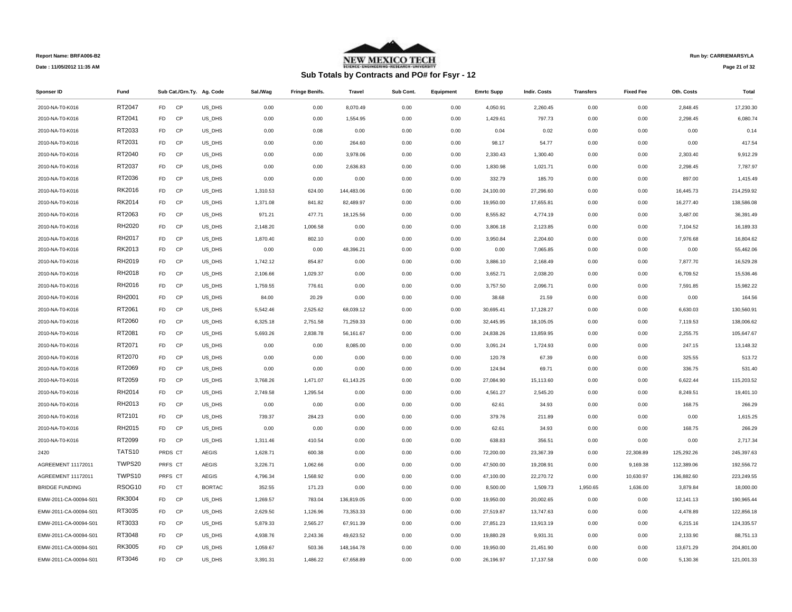

# **Sub Totals by Contracts and PO# for Fsyr - 12**

**Run by: CARRIEMARSYLA**

**Page 21 of 32** 

| Sponser ID            | Fund   |                |           | Sub Cat./Grn.Ty. Ag. Code | Sal./Wag | <b>Fringe Benifs.</b> | Travel     | Sub Cont. | Equipment | <b>Emrtc Supp</b> | Indir. Costs | <b>Transfers</b> | <b>Fixed Fee</b> | Oth. Costs | Total      |
|-----------------------|--------|----------------|-----------|---------------------------|----------|-----------------------|------------|-----------|-----------|-------------------|--------------|------------------|------------------|------------|------------|
| 2010-NA-T0-K016       | RT2047 | F <sub>D</sub> | CP        | US DHS                    | 0.00     | 0.00                  | 8,070.49   | 0.00      | 0.00      | 4,050.91          | 2,260.45     | 0.00             | 0.00             | 2,848.45   | 17,230.30  |
| 2010-NA-T0-K016       | RT2041 | <b>FD</b>      | CP        | US_DHS                    | 0.00     | 0.00                  | 1,554.95   | 0.00      | 0.00      | 1,429.61          | 797.73       | 0.00             | 0.00             | 2,298.45   | 6,080.74   |
| 2010-NA-T0-K016       | RT2033 | <b>FD</b>      | CP        | US_DHS                    | 0.00     | 0.08                  | 0.00       | 0.00      | 0.00      | 0.04              | 0.02         | 0.00             | 0.00             | 0.00       | 0.14       |
| 2010-NA-T0-K016       | RT2031 | <b>FD</b>      | CP        | US_DHS                    | 0.00     | 0.00                  | 264.60     | 0.00      | 0.00      | 98.17             | 54.77        | 0.00             | 0.00             | 0.00       | 417.54     |
| 2010-NA-T0-K016       | RT2040 | FD.            | CP        | US_DHS                    | 0.00     | 0.00                  | 3,978.06   | 0.00      | 0.00      | 2,330.43          | 1,300.40     | 0.00             | 0.00             | 2,303.40   | 9,912.29   |
| 2010-NA-T0-K016       | RT2037 | <b>FD</b>      | CP        | US_DHS                    | 0.00     | 0.00                  | 2,636.83   | 0.00      | 0.00      | 1,830.98          | 1,021.71     | 0.00             | 0.00             | 2,298.45   | 7,787.97   |
| 2010-NA-T0-K016       | RT2036 | <b>FD</b>      | CP        | US_DHS                    | 0.00     | 0.00                  | 0.00       | 0.00      | 0.00      | 332.79            | 185.70       | 0.00             | 0.00             | 897.00     | 1,415.49   |
| 2010-NA-T0-K016       | RK2016 | <b>FD</b>      | CP        | US_DHS                    | 1,310.53 | 624.00                | 144,483.06 | 0.00      | 0.00      | 24,100.00         | 27,296.60    | 0.00             | 0.00             | 16,445.73  | 214,259.92 |
| 2010-NA-T0-K016       | RK2014 | FD.            | CP        | US_DHS                    | 1,371.08 | 841.82                | 82,489.97  | 0.00      | 0.00      | 19,950.00         | 17,655.81    | 0.00             | 0.00             | 16,277.40  | 138,586.08 |
| 2010-NA-T0-K016       | RT2063 | FD.            | CP        | US_DHS                    | 971.21   | 477.71                | 18,125.56  | 0.00      | 0.00      | 8,555.82          | 4,774.19     | 0.00             | 0.00             | 3,487.00   | 36,391.49  |
| 2010-NA-T0-K016       | RH2020 | <b>FD</b>      | CP        | US_DHS                    | 2,148.20 | 1,006.58              | 0.00       | 0.00      | 0.00      | 3,806.18          | 2,123.85     | 0.00             | 0.00             | 7,104.52   | 16,189.33  |
| 2010-NA-T0-K016       | RH2017 | FD.            | CP        | US_DHS                    | 1,870.40 | 802.10                | 0.00       | 0.00      | 0.00      | 3,950.84          | 2,204.60     | 0.00             | 0.00             | 7,976.68   | 16,804.62  |
| 2010-NA-T0-K016       | RK2013 | FD.            | CP        | US_DHS                    | 0.00     | 0.00                  | 48,396.21  | 0.00      | 0.00      | 0.00              | 7,065.85     | 0.00             | 0.00             | 0.00       | 55,462.06  |
| 2010-NA-T0-K016       | RH2019 | <b>FD</b>      | <b>CP</b> | US_DHS                    | 1,742.12 | 854.87                | 0.00       | 0.00      | 0.00      | 3,886.10          | 2,168.49     | 0.00             | 0.00             | 7,877.70   | 16,529.28  |
| 2010-NA-T0-K016       | RH2018 | <b>FD</b>      | CP        | US_DHS                    | 2,106.66 | 1,029.37              | 0.00       | 0.00      | 0.00      | 3,652.71          | 2,038.20     | 0.00             | 0.00             | 6,709.52   | 15,536.46  |
| 2010-NA-T0-K016       | RH2016 | <b>FD</b>      | <b>CP</b> | US DHS                    | 1,759.55 | 776.61                | 0.00       | 0.00      | 0.00      | 3,757.50          | 2,096.71     | 0.00             | 0.00             | 7,591.85   | 15,982.22  |
| 2010-NA-T0-K016       | RH2001 | <b>FD</b>      | CP        | US_DHS                    | 84.00    | 20.29                 | 0.00       | 0.00      | 0.00      | 38.68             | 21.59        | 0.00             | 0.00             | 0.00       | 164.56     |
| 2010-NA-T0-K016       | RT2061 | FD.            | CP        | US_DHS                    | 5,542.46 | 2,525.62              | 68,039.12  | 0.00      | 0.00      | 30,695.41         | 17,128.27    | 0.00             | 0.00             | 6,630.03   | 130,560.91 |
| 2010-NA-T0-K016       | RT2060 | <b>FD</b>      | CP        | US_DHS                    | 6,325.18 | 2,751.58              | 71,259.33  | 0.00      | 0.00      | 32,445.95         | 18,105.05    | 0.00             | 0.00             | 7,119.53   | 138,006.62 |
| 2010-NA-T0-K016       | RT2081 | <b>FD</b>      | CP        | US_DHS                    | 5,693.26 | 2,838.78              | 56,161.67  | 0.00      | 0.00      | 24,838.26         | 13,859.95    | 0.00             | 0.00             | 2,255.75   | 105,647.67 |
| 2010-NA-T0-K016       | RT2071 | <b>FD</b>      | <b>CP</b> | US_DHS                    | 0.00     | 0.00                  | 8,085.00   | 0.00      | 0.00      | 3,091.24          | 1,724.93     | 0.00             | 0.00             | 247.15     | 13,148.32  |
| 2010-NA-T0-K016       | RT2070 | <b>FD</b>      | CP        | US_DHS                    | 0.00     | 0.00                  | 0.00       | 0.00      | 0.00      | 120.78            | 67.39        | 0.00             | 0.00             | 325.55     | 513.72     |
| 2010-NA-T0-K016       | RT2069 | FD             | CP        | US_DHS                    | 0.00     | 0.00                  | 0.00       | 0.00      | 0.00      | 124.94            | 69.71        | 0.00             | 0.00             | 336.75     | 531.40     |
| 2010-NA-T0-K016       | RT2059 | FD.            | <b>CP</b> | US_DHS                    | 3,768.26 | 1,471.07              | 61,143.25  | 0.00      | 0.00      | 27,084.90         | 15,113.60    | 0.00             | 0.00             | 6,622.44   | 115,203.52 |
| 2010-NA-T0-K016       | RH2014 | FD.            | CP        | US_DHS                    | 2,749.58 | 1,295.54              | 0.00       | 0.00      | 0.00      | 4,561.27          | 2,545.20     | 0.00             | 0.00             | 8,249.51   | 19,401.10  |
| 2010-NA-T0-K016       | RH2013 | FD.            | CP        | US_DHS                    | 0.00     | 0.00                  | 0.00       | 0.00      | 0.00      | 62.61             | 34.93        | 0.00             | 0.00             | 168.75     | 266.29     |
| 2010-NA-T0-K016       | RT2101 | FD             | <b>CP</b> | US_DHS                    | 739.37   | 284.23                | 0.00       | 0.00      | 0.00      | 379.76            | 211.89       | 0.00             | 0.00             | 0.00       | 1,615.25   |
| 2010-NA-T0-K016       | RH2015 | <b>FD</b>      | CP        | US_DHS                    | 0.00     | 0.00                  | 0.00       | 0.00      | 0.00      | 62.61             | 34.93        | 0.00             | 0.00             | 168.75     | 266.29     |
| 2010-NA-T0-K016       | RT2099 | F <sub>D</sub> | CP        | US_DHS                    | 1,311.46 | 410.54                | 0.00       | 0.00      | 0.00      | 638.83            | 356.51       | 0.00             | 0.00             | 0.00       | 2,717.34   |
| 2420                  | TATS10 | PRDS CT        |           | <b>AEGIS</b>              | 1,628.71 | 600.38                | 0.00       | 0.00      | 0.00      | 72,200.00         | 23,367.39    | 0.00             | 22,308.89        | 125,292.26 | 245,397.63 |
| AGREEMENT 11172011    | TWPS20 |                | PRFS CT   | <b>AEGIS</b>              | 3,226.71 | 1,062.66              | 0.00       | 0.00      | 0.00      | 47,500.00         | 19,208.91    | 0.00             | 9,169.38         | 112,389.06 | 192,556.72 |
| AGREEMENT 11172011    | TWPS10 |                | PRFS CT   | <b>AEGIS</b>              | 4,796.34 | 1,568.92              | 0.00       | 0.00      | 0.00      | 47,100.00         | 22,270.72    | 0.00             | 10,630.97        | 136,882.60 | 223,249.55 |
| <b>BRIDGE FUNDING</b> | RSOG10 | <b>FD</b>      | <b>CT</b> | <b>BORTAC</b>             | 352.55   | 171.23                | 0.00       | 0.00      | 0.00      | 8,500.00          | 1,509.73     | 1,950.65         | 1,636.00         | 3,879.84   | 18,000.00  |
| EMW-2011-CA-00094-S01 | RK3004 | FD             | <b>CP</b> | US DHS                    | 1,269.57 | 783.04                | 136,819.05 | 0.00      | 0.00      | 19,950.00         | 20,002.65    | 0.00             | 0.00             | 12,141.13  | 190,965.44 |
| EMW-2011-CA-00094-S01 | RT3035 | FD.            | CP        | US_DHS                    | 2,629.50 | 1,126.96              | 73,353.33  | 0.00      | 0.00      | 27,519.87         | 13,747.63    | 0.00             | 0.00             | 4,478.89   | 122,856.18 |
| EMW-2011-CA-00094-S01 | RT3033 | <b>FD</b>      | CP        | US_DHS                    | 5,879.33 | 2,565.27              | 67,911.39  | 0.00      | 0.00      | 27,851.23         | 13,913.19    | 0.00             | 0.00             | 6,215.16   | 124,335.57 |
| EMW-2011-CA-00094-S01 | RT3048 | FD.            | <b>CP</b> | US DHS                    | 4,938.76 | 2,243.36              | 49,623.52  | 0.00      | 0.00      | 19,880.28         | 9,931.31     | 0.00             | 0.00             | 2,133.90   | 88,751.13  |
| EMW-2011-CA-00094-S01 | RK3005 | FD             | CP        | US_DHS                    | 1,059.67 | 503.36                | 148,164.78 | 0.00      | 0.00      | 19,950.00         | 21,451.90    | 0.00             | 0.00             | 13,671.29  | 204,801.00 |
| EMW-2011-CA-00094-S01 | RT3046 | FD.            | CP        | US DHS                    | 3.391.31 | 1.486.22              | 67.658.89  | 0.00      | 0.00      | 26.196.97         | 17.137.58    | 0.00             | 0.00             | 5.130.36   | 121.001.33 |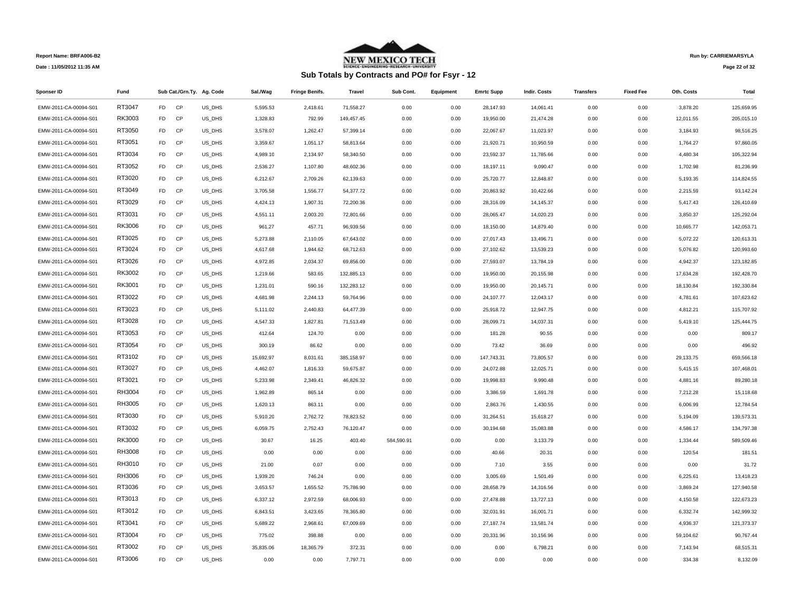

# **Sub Totals by Contracts and PO# for Fsyr - 12**

**Run by: CARRIEMARSYLA**

**Page 22 of 32** 

| Sponser ID            | Fund   |                |           | Sub Cat./Grn.Ty. Ag. Code | Sal./Wag  | <b>Fringe Benifs.</b> | <b>Travel</b> | Sub Cont.  | Equipment | <b>Emrtc Supp</b> | <b>Indir. Costs</b> | <b>Transfers</b> | <b>Fixed Fee</b> | Oth. Costs | Total      |
|-----------------------|--------|----------------|-----------|---------------------------|-----------|-----------------------|---------------|------------|-----------|-------------------|---------------------|------------------|------------------|------------|------------|
| EMW-2011-CA-00094-S01 | RT3047 | F <sub>D</sub> | CP        | US DHS                    | 5,595.53  | 2,418.61              | 71,558.27     | 0.00       | 0.00      | 28,147.93         | 14,061.41           | 0.00             | 0.00             | 3,878.20   | 125.659.95 |
| EMW-2011-CA-00094-S01 | RK3003 | <b>FD</b>      | CP        | US_DHS                    | 1,328.83  | 792.99                | 149,457.45    | 0.00       | 0.00      | 19,950.00         | 21,474.28           | 0.00             | 0.00             | 12,011.55  | 205,015.10 |
| EMW-2011-CA-00094-S01 | RT3050 | <b>FD</b>      | CP        | US_DHS                    | 3,578.07  | 1,262.47              | 57,399.14     | 0.00       | 0.00      | 22,067.67         | 11,023.97           | 0.00             | 0.00             | 3,184.93   | 98,516.25  |
| EMW-2011-CA-00094-S01 | RT3051 | FD             | CP        | US_DHS                    | 3,359.67  | 1,051.17              | 58,813.64     | 0.00       | 0.00      | 21,920.71         | 10,950.59           | 0.00             | 0.00             | 1,764.27   | 97,860.05  |
| EMW-2011-CA-00094-S01 | RT3034 | FD             | CP        | US_DHS                    | 4,989.10  | 2,134.97              | 58,340.50     | 0.00       | 0.00      | 23,592.37         | 11,785.66           | 0.00             | 0.00             | 4,480.34   | 105,322.94 |
| EMW-2011-CA-00094-S01 | RT3052 | <b>FD</b>      | CP        | US_DHS                    | 2,536.27  | 1,107.80              | 48,602.36     | 0.00       | 0.00      | 18,197.11         | 9,090.47            | 0.00             | 0.00             | 1,702.98   | 81,236.99  |
| EMW-2011-CA-00094-S01 | RT3020 | <b>FD</b>      | CP        | US_DHS                    | 6,212.67  | 2,709.26              | 62,139.63     | 0.00       | 0.00      | 25,720.77         | 12,848.87           | 0.00             | 0.00             | 5,193.35   | 114,824.55 |
| EMW-2011-CA-00094-S01 | RT3049 | FD             | CP        | US_DHS                    | 3,705.58  | 1,556.77              | 54,377.72     | 0.00       | 0.00      | 20,863.92         | 10,422.66           | 0.00             | 0.00             | 2,215.59   | 93,142.24  |
| EMW-2011-CA-00094-S01 | RT3029 | <b>FD</b>      | CP        | US_DHS                    | 4,424.13  | 1,907.31              | 72,200.36     | 0.00       | 0.00      | 28,316.09         | 14,145.37           | 0.00             | 0.00             | 5,417.43   | 126,410.69 |
| EMW-2011-CA-00094-S01 | RT3031 | <b>FD</b>      | CP        | US_DHS                    | 4,551.11  | 2,003.20              | 72,801.66     | 0.00       | 0.00      | 28,065.47         | 14,020.23           | 0.00             | 0.00             | 3,850.37   | 125,292.04 |
| EMW-2011-CA-00094-S01 | RK3006 | <b>FD</b>      | CP        | US_DHS                    | 961.27    | 457.71                | 96,939.56     | 0.00       | 0.00      | 18,150.00         | 14,879.40           | 0.00             | 0.00             | 10,665.77  | 142,053.71 |
| EMW-2011-CA-00094-S01 | RT3025 | <b>FD</b>      | CP        | US_DHS                    | 5,273.88  | 2,110.05              | 67,643.02     | 0.00       | 0.00      | 27,017.43         | 13,496.71           | 0.00             | 0.00             | 5,072.22   | 120,613.31 |
| EMW-2011-CA-00094-S01 | RT3024 | FD             | CP        | US_DHS                    | 4,617.68  | 1,944.62              | 68,712.63     | 0.00       | 0.00      | 27,102.62         | 13,539.23           | 0.00             | 0.00             | 5,076.82   | 120,993.60 |
| EMW-2011-CA-00094-S01 | RT3026 | FD             | CP        | US_DHS                    | 4,972.85  | 2,034.37              | 69,856.00     | 0.00       | 0.00      | 27,593.07         | 13,784.19           | 0.00             | 0.00             | 4,942.37   | 123,182.85 |
| EMW-2011-CA-00094-S01 | RK3002 | FD             | CP        | US_DHS                    | 1,219.66  | 583.65                | 132,885.13    | 0.00       | 0.00      | 19,950.00         | 20,155.98           | 0.00             | 0.00             | 17,634.28  | 192,428.70 |
| EMW-2011-CA-00094-S01 | RK3001 | <b>FD</b>      | CP        | US_DHS                    | 1,231.01  | 590.16                | 132,283.12    | 0.00       | 0.00      | 19,950.00         | 20,145.71           | 0.00             | 0.00             | 18,130.84  | 192,330.84 |
| EMW-2011-CA-00094-S01 | RT3022 | FD             | CP        | US_DHS                    | 4,681.98  | 2,244.13              | 59,764.96     | 0.00       | 0.00      | 24,107.77         | 12,043.17           | 0.00             | 0.00             | 4,781.61   | 107,623.62 |
| EMW-2011-CA-00094-S01 | RT3023 | FD             | CP        | US_DHS                    | 5,111.02  | 2,440.83              | 64,477.39     | 0.00       | 0.00      | 25,918.72         | 12,947.75           | 0.00             | 0.00             | 4,812.21   | 115,707.92 |
| EMW-2011-CA-00094-S01 | RT3028 | <b>FD</b>      | CP        | US_DHS                    | 4,547.33  | 1,827.81              | 71,513.49     | 0.00       | 0.00      | 28,099.71         | 14,037.31           | 0.00             | 0.00             | 5,419.10   | 125,444.75 |
| EMW-2011-CA-00094-S01 | RT3053 | <b>FD</b>      | CP        | US_DHS                    | 412.64    | 124.70                | 0.00          | 0.00       | 0.00      | 181.28            | 90.55               | 0.00             | 0.00             | 0.00       | 809.17     |
| EMW-2011-CA-00094-S01 | RT3054 | <b>FD</b>      | CP        | US_DHS                    | 300.19    | 86.62                 | 0.00          | 0.00       | 0.00      | 73.42             | 36.69               | 0.00             | 0.00             | 0.00       | 496.92     |
| EMW-2011-CA-00094-S01 | RT3102 | FD             | CP        | US_DHS                    | 15,692.97 | 8,031.61              | 385,158.97    | 0.00       | 0.00      | 147,743.31        | 73,805.57           | 0.00             | 0.00             | 29,133.75  | 659,566.18 |
| EMW-2011-CA-00094-S01 | RT3027 | FD             | CP        | US_DHS                    | 4,462.07  | 1,816.33              | 59,675.87     | 0.00       | 0.00      | 24,072.88         | 12,025.71           | 0.00             | 0.00             | 5,415.15   | 107,468.01 |
| EMW-2011-CA-00094-S01 | RT3021 | <b>FD</b>      | CP        | US_DHS                    | 5,233.98  | 2,349.41              | 46,826.32     | 0.00       | 0.00      | 19,998.83         | 9,990.48            | 0.00             | 0.00             | 4,881.16   | 89,280.18  |
| EMW-2011-CA-00094-S01 | RH3004 | FD             | CP        | US_DHS                    | 1,962.89  | 865.14                | 0.00          | 0.00       | 0.00      | 3,386.59          | 1,691.78            | 0.00             | 0.00             | 7,212.28   | 15,118.68  |
| EMW-2011-CA-00094-S01 | RH3005 | <b>FD</b>      | CP        | US_DHS                    | 1,620.13  | 863.11                | 0.00          | 0.00       | 0.00      | 2,863.76          | 1,430.55            | 0.00             | 0.00             | 6,006.99   | 12.784.54  |
| EMW-2011-CA-00094-S01 | RT3030 | FD             | CP        | US_DHS                    | 5,910.20  | 2,762.72              | 78,823.52     | 0.00       | 0.00      | 31,264.51         | 15,618.27           | 0.00             | 0.00             | 5,194.09   | 139,573.31 |
| EMW-2011-CA-00094-S01 | RT3032 | <b>FD</b>      | CP        | US_DHS                    | 6,059.75  | 2,752.43              | 76,120.47     | 0.00       | 0.00      | 30,194.68         | 15,083.88           | 0.00             | 0.00             | 4,586.17   | 134,797.38 |
| EMW-2011-CA-00094-S01 | RK3000 | FD             | <b>CP</b> | US_DHS                    | 30.67     | 16.25                 | 403.40        | 584,590.91 | 0.00      | 0.00              | 3,133.79            | 0.00             | 0.00             | 1,334.44   | 589,509.46 |
| EMW-2011-CA-00094-S01 | RH3008 | <b>FD</b>      | CP        | US_DHS                    | 0.00      | 0.00                  | 0.00          | 0.00       | 0.00      | 40.66             | 20.31               | 0.00             | 0.00             | 120.54     | 181.51     |
| EMW-2011-CA-00094-S01 | RH3010 | <b>FD</b>      | CP        | US_DHS                    | 21.00     | 0.07                  | 0.00          | 0.00       | 0.00      | 7.10              | 3.55                | 0.00             | 0.00             | 0.00       | 31.72      |
| EMW-2011-CA-00094-S01 | RH3006 | <b>FD</b>      | CP        | US_DHS                    | 1,939.20  | 746.24                | 0.00          | 0.00       | 0.00      | 3,005.69          | 1,501.49            | 0.00             | 0.00             | 6,225.61   | 13,418.23  |
| EMW-2011-CA-00094-S01 | RT3036 | FD             | CP        | US_DHS                    | 3,653.57  | 1,655.52              | 75,786.90     | 0.00       | 0.00      | 28,658.79         | 14,316.56           | 0.00             | 0.00             | 3,869.24   | 127,940.58 |
| EMW-2011-CA-00094-S01 | RT3013 | <b>FD</b>      | CP        | US_DHS                    | 6,337.12  | 2,972.59              | 68,006.93     | 0.00       | 0.00      | 27,478.88         | 13,727.13           | 0.00             | 0.00             | 4,150.58   | 122,673.23 |
| EMW-2011-CA-00094-S01 | RT3012 | FD             | CP        | US_DHS                    | 6,843.51  | 3,423.65              | 78,365.80     | 0.00       | 0.00      | 32,031.91         | 16,001.71           | 0.00             | 0.00             | 6,332.74   | 142,999.32 |
| EMW-2011-CA-00094-S01 | RT3041 | FD             | CP        | US_DHS                    | 5,689.22  | 2,968.61              | 67,009.69     | 0.00       | 0.00      | 27,187.74         | 13,581.74           | 0.00             | 0.00             | 4,936.37   | 121,373.37 |
| EMW-2011-CA-00094-S01 | RT3004 | FD             | CP        | US_DHS                    | 775.02    | 398.88                | 0.00          | 0.00       | 0.00      | 20,331.96         | 10,156.96           | 0.00             | 0.00             | 59,104.62  | 90,767.44  |
| EMW-2011-CA-00094-S01 | RT3002 | <b>FD</b>      | CP        | US_DHS                    | 35,835.06 | 18,365.79             | 372.31        | 0.00       | 0.00      | 0.00              | 6,798.21            | 0.00             | 0.00             | 7,143.94   | 68,515.31  |
| EMW-2011-CA-00094-S01 | RT3006 | F <sub>D</sub> | CP        | US DHS                    | 0.00      | 0.00                  | 7.797.71      | 0.00       | 0.00      | 0.00              | 0.00                | 0.00             | 0.00             | 334.38     | 8.132.09   |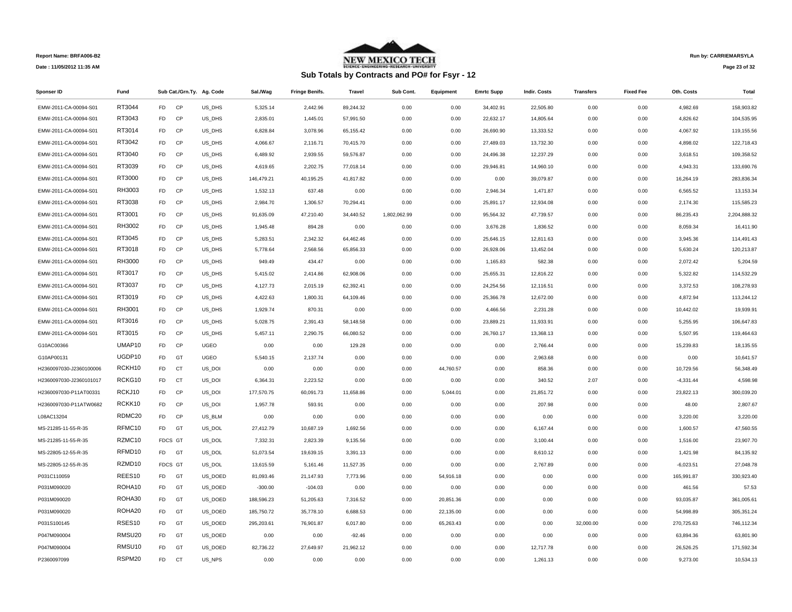

# **Sub Totals by Contracts and PO# for Fsyr - 12**

**Run by: CARRIEMARSYLA**

**Page 23 of 32** 

| <b>Sponser ID</b>       | Fund   |                |           | Sub Cat./Grn.Ty. Ag. Code | Sal./Wag   | <b>Fringe Benifs.</b> | Travel    | Sub Cont.    | Equipment | <b>Emrtc Supp</b> | <b>Indir. Costs</b> | <b>Transfers</b> | <b>Fixed Fee</b> | Oth. Costs  | Total        |
|-------------------------|--------|----------------|-----------|---------------------------|------------|-----------------------|-----------|--------------|-----------|-------------------|---------------------|------------------|------------------|-------------|--------------|
| EMW-2011-CA-00094-S01   | RT3044 | FD             | CP        | US DHS                    | 5,325.14   | 2,442.96              | 89,244.32 | 0.00         | 0.00      | 34,402.91         | 22,505.80           | 0.00             | 0.00             | 4,982.69    | 158,903.82   |
| EMW-2011-CA-00094-S01   | RT3043 | FD             | CP        | US_DHS                    | 2,835.01   | 1,445.01              | 57,991.50 | 0.00         | 0.00      | 22,632.17         | 14,805.64           | 0.00             | 0.00             | 4,826.62    | 104,535.95   |
| EMW-2011-CA-00094-S01   | RT3014 | FD             | <b>CP</b> | US_DHS                    | 6,828.84   | 3,078.96              | 65,155.42 | 0.00         | 0.00      | 26,690.90         | 13,333.52           | 0.00             | 0.00             | 4,067.92    | 119,155.56   |
| EMW-2011-CA-00094-S01   | RT3042 | FD             | CP        | US_DHS                    | 4,066.67   | 2,116.71              | 70,415.70 | 0.00         | 0.00      | 27,489.03         | 13,732.30           | 0.00             | 0.00             | 4,898.02    | 122,718.43   |
| EMW-2011-CA-00094-S01   | RT3040 | FD             | CP        | US_DHS                    | 6,489.92   | 2,939.55              | 59,576.87 | 0.00         | 0.00      | 24,496.38         | 12,237.29           | 0.00             | 0.00             | 3,618.51    | 109,358.52   |
| EMW-2011-CA-00094-S01   | RT3039 | FD             | CP        | US_DHS                    | 4,619.65   | 2,202.75              | 77,018.14 | 0.00         | 0.00      | 29,946.81         | 14,960.10           | 0.00             | 0.00             | 4,943.31    | 133,690.76   |
| EMW-2011-CA-00094-S01   | RT3000 | FD             | CP        | US_DHS                    | 146,479.21 | 40,195.25             | 41,817.82 | 0.00         | 0.00      | 0.00              | 39,079.87           | 0.00             | 0.00             | 16,264.19   | 283,836.34   |
| EMW-2011-CA-00094-S01   | RH3003 | FD             | CP        | US_DHS                    | 1,532.13   | 637.48                | 0.00      | 0.00         | 0.00      | 2,946.34          | 1,471.87            | 0.00             | 0.00             | 6,565.52    | 13,153.34    |
| EMW-2011-CA-00094-S01   | RT3038 | FD             | CP        | US_DHS                    | 2,984.70   | 1,306.57              | 70,294.41 | 0.00         | 0.00      | 25,891.17         | 12,934.08           | 0.00             | 0.00             | 2,174.30    | 115,585.23   |
| EMW-2011-CA-00094-S01   | RT3001 | FD             | CP        | US_DHS                    | 91,635.09  | 47,210.40             | 34,440.52 | 1,802,062.99 | 0.00      | 95,564.32         | 47,739.57           | 0.00             | 0.00             | 86,235.43   | 2,204,888.32 |
| EMW-2011-CA-00094-S01   | RH3002 | FD             | CP        | US_DHS                    | 1,945.48   | 894.28                | 0.00      | 0.00         | 0.00      | 3,676.28          | 1,836.52            | 0.00             | 0.00             | 8,059.34    | 16,411.90    |
| EMW-2011-CA-00094-S01   | RT3045 | FD             | CP        | US_DHS                    | 5,283.51   | 2,342.32              | 64,462.46 | 0.00         | 0.00      | 25,646.15         | 12,811.63           | 0.00             | 0.00             | 3,945.36    | 114,491.43   |
| EMW-2011-CA-00094-S01   | RT3018 | FD             | CP        | US_DHS                    | 5,778.64   | 2,568.56              | 65,856.33 | 0.00         | 0.00      | 26,928.06         | 13,452.04           | 0.00             | 0.00             | 5,630.24    | 120,213.87   |
| EMW-2011-CA-00094-S01   | RH3000 | FD             | CP        | US DHS                    | 949.49     | 434.47                | 0.00      | 0.00         | 0.00      | 1,165.83          | 582.38              | 0.00             | 0.00             | 2,072.42    | 5,204.59     |
| EMW-2011-CA-00094-S01   | RT3017 | FD             | CP        | US_DHS                    | 5,415.02   | 2,414.86              | 62,908.06 | 0.00         | 0.00      | 25,655.31         | 12,816.22           | 0.00             | 0.00             | 5,322.82    | 114,532.29   |
| EMW-2011-CA-00094-S01   | RT3037 | F <sub>D</sub> | CP        | US_DHS                    | 4,127.73   | 2,015.19              | 62,392.41 | 0.00         | 0.00      | 24,254.56         | 12,116.51           | 0.00             | 0.00             | 3,372.53    | 108,278.93   |
| EMW-2011-CA-00094-S01   | RT3019 | FD             | CP        | US_DHS                    | 4,422.63   | 1,800.31              | 64,109.46 | 0.00         | 0.00      | 25,366.78         | 12,672.00           | 0.00             | 0.00             | 4,872.94    | 113,244.12   |
| EMW-2011-CA-00094-S01   | RH3001 | FD             | CP        | US_DHS                    | 1,929.74   | 870.31                | 0.00      | 0.00         | 0.00      | 4,466.56          | 2,231.28            | 0.00             | 0.00             | 10,442.02   | 19,939.91    |
| EMW-2011-CA-00094-S01   | RT3016 | FD             | CP        | US_DHS                    | 5,028.75   | 2,391.43              | 58,148.58 | 0.00         | 0.00      | 23,889.21         | 11,933.91           | 0.00             | 0.00             | 5,255.95    | 106,647.83   |
| EMW-2011-CA-00094-S01   | RT3015 | FD.            | CP        | US_DHS                    | 5,457.11   | 2,290.75              | 66,080.52 | 0.00         | 0.00      | 26,760.17         | 13,368.13           | 0.00             | 0.00             | 5,507.95    | 119,464.63   |
| G10AC00366              | UMAP10 | FD             | CP        | <b>UGEO</b>               | 0.00       | 0.00                  | 129.28    | 0.00         | 0.00      | 0.00              | 2,766.44            | 0.00             | 0.00             | 15,239.83   | 18,135.55    |
| G10AP00131              | UGDP10 | FD             | GT        | <b>UGEO</b>               | 5,540.15   | 2,137.74              | 0.00      | 0.00         | 0.00      | 0.00              | 2,963.68            | 0.00             | 0.00             | 0.00        | 10,641.57    |
| H2360097030-J2360100006 | RCKH10 | FD             | CT        | US_DOI                    | 0.00       | 0.00                  | 0.00      | 0.00         | 44,760.57 | 0.00              | 858.36              | 0.00             | 0.00             | 10,729.56   | 56,348.49    |
| H2360097030-J2360101017 | RCKG10 | FD             | CT        | US_DOI                    | 6,364.31   | 2,223.52              | 0.00      | 0.00         | 0.00      | 0.00              | 340.52              | 2.07             | 0.00             | $-4,331.44$ | 4,598.98     |
| H2360097030-P11AT00331  | RCKJ10 | FD             | CP        | US_DOI                    | 177,570.75 | 60,091.73             | 11,658.86 | 0.00         | 5,044.01  | 0.00              | 21,851.72           | 0.00             | 0.00             | 23,822.13   | 300,039.20   |
| H2360097030-P11ATW0682  | RCKK10 | FD             | CP        | US_DOI                    | 1,957.78   | 593.91                | 0.00      | 0.00         | 0.00      | 0.00              | 207.98              | 0.00             | 0.00             | 48.00       | 2,807.67     |
| L08AC13204              | RDMC20 | FD             | CP        | US_BLM                    | 0.00       | 0.00                  | 0.00      | 0.00         | 0.00      | 0.00              | 0.00                | 0.00             | 0.00             | 3,220.00    | 3,220.00     |
| MS-21285-11-55-R-35     | RFMC10 | FD             | GT        | US_DOL                    | 27,412.79  | 10,687.19             | 1,692.56  | 0.00         | 0.00      | 0.00              | 6,167.44            | 0.00             | 0.00             | 1,600.57    | 47,560.55    |
| MS-21285-11-55-R-35     | RZMC10 | FDCS GT        |           | US_DOL                    | 7,332.31   | 2,823.39              | 9,135.56  | 0.00         | 0.00      | 0.00              | 3,100.44            | 0.00             | 0.00             | 1,516.00    | 23,907.70    |
| MS-22805-12-55-R-35     | RFMD10 | FD GT          |           | US_DOL                    | 51,073.54  | 19,639.15             | 3,391.13  | 0.00         | 0.00      | 0.00              | 8,610.12            | 0.00             | 0.00             | 1,421.98    | 84,135.92    |
| MS-22805-12-55-R-35     | RZMD10 | FDCS GT        |           | US_DOL                    | 13,615.59  | 5,161.46              | 11,527.35 | 0.00         | 0.00      | 0.00              | 2,767.89            | 0.00             | 0.00             | $-6,023.51$ | 27,048.78    |
| P031C110059             | REES10 | FD             | GT        | US_DOED                   | 81,093.46  | 21,147.93             | 7,773.96  | 0.00         | 54,916.18 | 0.00              | 0.00                | 0.00             | 0.00             | 165,991.87  | 330,923.40   |
| P031M090020             | ROHA10 | FD             | GT        | US_DOED                   | $-300.00$  | $-104.03$             | 0.00      | 0.00         | 0.00      | 0.00              | 0.00                | 0.00             | 0.00             | 461.56      | 57.53        |
| P031M090020             | ROHA30 | FD             | GT        | US_DOED                   | 188,596.23 | 51,205.63             | 7,316.52  | 0.00         | 20,851.36 | 0.00              | 0.00                | 0.00             | 0.00             | 93,035.87   | 361,005.61   |
| P031M090020             | ROHA20 | FD             | GT        | US_DOED                   | 185,750.72 | 35,778.10             | 6,688.53  | 0.00         | 22,135.00 | 0.00              | 0.00                | 0.00             | 0.00             | 54,998.89   | 305,351.24   |
| P031S100145             | RSES10 | FD             | GT        | US_DOED                   | 295,203.61 | 76,901.87             | 6,017.80  | 0.00         | 65,263.43 | 0.00              | 0.00                | 32,000.00        | 0.00             | 270,725.63  | 746,112.34   |
| P047M090004             | RMSU20 | FD             | GT        | US_DOED                   | 0.00       | 0.00                  | $-92.46$  | 0.00         | 0.00      | 0.00              | 0.00                | 0.00             | 0.00             | 63,894.36   | 63,801.90    |
| P047M090004             | RMSU10 | FD             | GT        | US_DOED                   | 82,736.22  | 27,649.97             | 21,962.12 | 0.00         | 0.00      | 0.00              | 12,717.78           | 0.00             | 0.00             | 26,526.25   | 171,592.34   |
| P2360097099             | RSPM20 | F <sub>D</sub> | <b>CT</b> | US NPS                    | 0.00       | 0.00                  | 0.00      | 0.00         | 0.00      | 0.00              | 1.261.13            | 0.00             | 0.00             | 9.273.00    | 10.534.13    |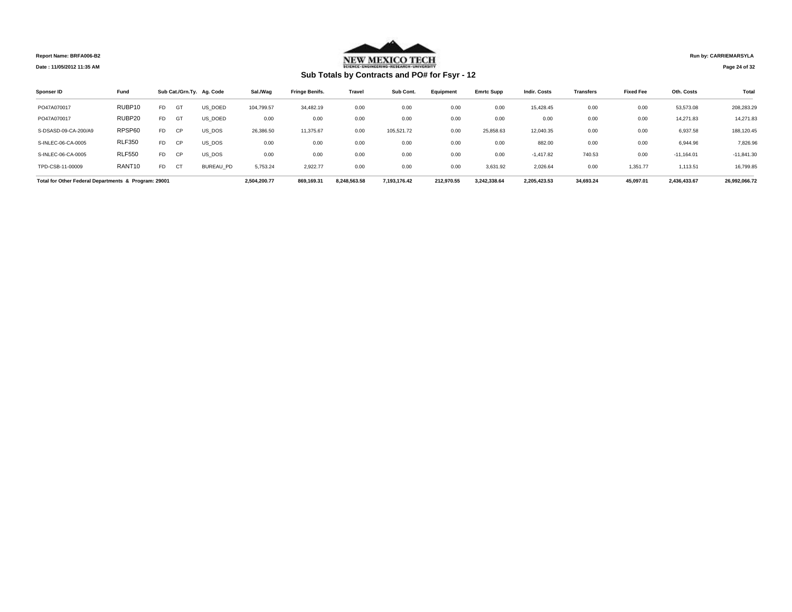**NEW MEXICO TECH** 

# **Sub Totals by Contracts and PO# for Fsyr - 12**

**Run by: CARRIEMARSYLA**

**Page 24 of 32** 

| Sponser ID                                           | Fund          |                |           | Sub Cat./Grn.Ty. Ag. Code | Sal./Wag     | <b>Fringe Benifs.</b> | <b>Travel</b> | Sub Cont.    | Equipment  | <b>Emrtc Supp</b> | <b>Indir, Costs</b> | <b>Transfers</b> | <b>Fixed Fee</b> | Oth. Costs   | Total         |
|------------------------------------------------------|---------------|----------------|-----------|---------------------------|--------------|-----------------------|---------------|--------------|------------|-------------------|---------------------|------------------|------------------|--------------|---------------|
| PO47A070017                                          | RUBP10        | FD.            | GT        | US DOED                   | 104,799.57   | 34,482.19             | 0.00          | 0.00         | 0.00       | 0.00              | 15,428.45           | 0.00             | 0.00             | 53,573.08    | 208,283.29    |
| PO47A070017                                          | RUBP20        | F <sub>D</sub> | GT        | US DOED                   | 0.00         | 0.00                  | 0.00          | 0.00         | 0.00       | 0.00              | 0.00                | 0.00             | 0.00             | 14,271.83    | 14,271.83     |
| S-DSASD-09-CA-200/A9                                 | RPSP60        | FD.            | <b>CP</b> | US DOS                    | 26,386.50    | 11,375.67             | 0.00          | 105,521.72   | 0.00       | 25,858.63         | 12,040.35           | 0.00             | 0.00             | 6,937.58     | 188,120.45    |
| S-INLEC-06-CA-0005                                   | <b>RLF350</b> | FD.            | <b>CP</b> | US DOS                    | 0.00         | 0.00                  | 0.00          | 0.00         | 0.00       | 0.00              | 882.00              | 0.00             | 0.00             | 6,944.96     | 7,826.96      |
| S-INLEC-06-CA-0005                                   | <b>RLF550</b> | FD.            | <b>CP</b> | US DOS                    | 0.00         | 0.00                  | 0.00          | 0.00         | 0.00       | 0.00              | $-1.417.82$         | 740.53           | 0.00             | $-11,164.01$ | $-11,841.30$  |
| TPD-CSB-11-00009                                     | RANT10        | FD.            | <b>CT</b> | <b>BUREAU PD</b>          | 5.753.24     | 2.922.77              | 0.00          | 0.00         | 0.00       | 3,631.92          | 2,026.64            | 0.00             | 1,351.77         | 1,113.51     | 16,799.85     |
| Total for Other Federal Departments & Program: 29001 |               |                |           |                           | 2.504.200.77 | 869.169.31            | 8.248.563.58  | 7.193.176.42 | 212.970.55 | 3.242.338.64      | 2.205.423.53        | 34,693.24        | 45.097.01        | 2,436,433.67 | 26.992.066.72 |

**Report Name: BRFA006-B2 Date : 11/05/2012 11:35 AM**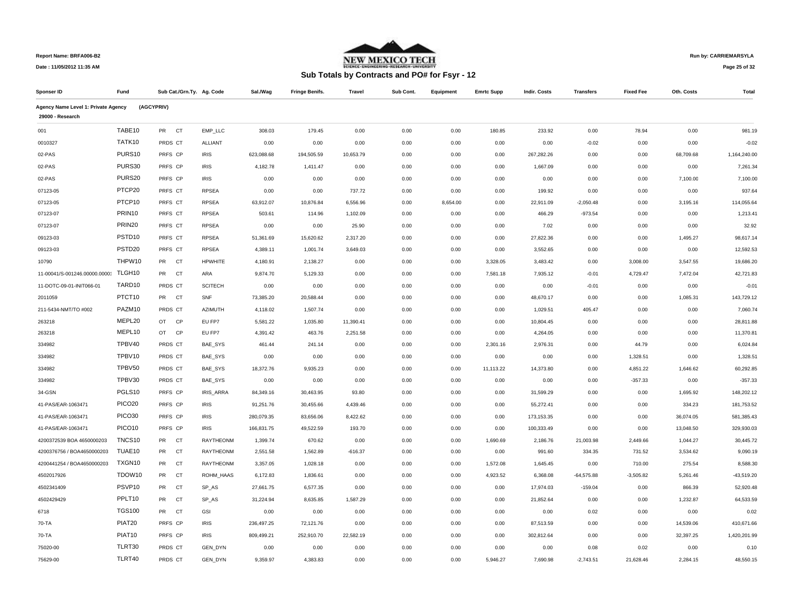

**Run by: CARRIEMARSYLA**

**Page 25 of 32** 

| Sponser ID                          | Fund               |                        | Sub Cat./Grn.Ty. Ag. Code | Sal./Wag   | <b>Fringe Benifs.</b> | <b>Travel</b> | Sub Cont. | Equipment | <b>Emrtc Supp</b> | <b>Indir. Costs</b> | <b>Transfers</b> | <b>Fixed Fee</b> | Oth. Costs | <b>Total</b> |
|-------------------------------------|--------------------|------------------------|---------------------------|------------|-----------------------|---------------|-----------|-----------|-------------------|---------------------|------------------|------------------|------------|--------------|
| Agency Name Level 1: Private Agency |                    | (AGCYPRIV)             |                           |            |                       |               |           |           |                   |                     |                  |                  |            |              |
| 29000 - Research                    |                    |                        |                           |            |                       |               |           |           |                   |                     |                  |                  |            |              |
| 001                                 | TABE10             | PR<br>CT               | EMP_LLC                   | 308.03     | 179.45                | 0.00          | 0.00      | 0.00      | 180.85            | 233.92              | 0.00             | 78.94            | 0.00       | 981.19       |
| 0010327                             | TATK10             | PRDS CT                | ALLIANT                   | 0.00       | 0.00                  | 0.00          | 0.00      | 0.00      | 0.00              | 0.00                | $-0.02$          | 0.00             | 0.00       | $-0.02$      |
| 02-PAS                              | PURS10             | PRFS CP                | <b>IRIS</b>               | 623,088.68 | 194,505.59            | 10,653.79     | 0.00      | 0.00      | 0.00              | 267,282.26          | 0.00             | 0.00             | 68,709.68  | 1,164,240.00 |
| 02-PAS                              | PURS30             | PRFS CP                | <b>IRIS</b>               | 4,182.78   | 1,411.47              | 0.00          | 0.00      | 0.00      | 0.00              | 1,667.09            | 0.00             | 0.00             | 0.00       | 7,261.34     |
| 02-PAS                              | PURS20             | PRFS CP                | <b>IRIS</b>               | 0.00       | 0.00                  | 0.00          | 0.00      | 0.00      | 0.00              | 0.00                | 0.00             | 0.00             | 7,100.00   | 7,100.00     |
| 07123-05                            | PTCP20             | PRFS CT                | <b>RPSEA</b>              | 0.00       | 0.00                  | 737.72        | 0.00      | 0.00      | 0.00              | 199.92              | 0.00             | 0.00             | 0.00       | 937.64       |
| 07123-05                            | PTCP10             | PRFS CT                | <b>RPSEA</b>              | 63,912.07  | 10,876.84             | 6,556.96      | 0.00      | 8,654.00  | 0.00              | 22,911.09           | $-2,050.48$      | 0.00             | 3,195.16   | 114,055.64   |
| 07123-07                            | PRIN10             | PRFS CT                | <b>RPSEA</b>              | 503.61     | 114.96                | 1,102.09      | 0.00      | 0.00      | 0.00              | 466.29              | $-973.54$        | 0.00             | 0.00       | 1,213.41     |
| 07123-07                            | PRIN20             | PRFS CT                | <b>RPSEA</b>              | 0.00       | 0.00                  | 25.90         | 0.00      | 0.00      | 0.00              | 7.02                | 0.00             | 0.00             | 0.00       | 32.92        |
| 09123-03                            | PSTD <sub>10</sub> | PRFS CT                | <b>RPSEA</b>              | 51,361.69  | 15,620.62             | 2,317.20      | 0.00      | 0.00      | 0.00              | 27,822.36           | 0.00             | 0.00             | 1,495.27   | 98,617.14    |
| 09123-03                            | PSTD <sub>20</sub> | PRFS CT                | <b>RPSEA</b>              | 4,389.11   | 1,001.74              | 3,649.03      | 0.00      | 0.00      | 0.00              | 3,552.65            | 0.00             | 0.00             | 0.00       | 12,592.53    |
| 10790                               | THPW10             | PR CT                  | <b>HPWHITE</b>            | 4,180.91   | 2,138.27              | 0.00          | 0.00      | 0.00      | 3,328.05          | 3,483.42            | 0.00             | 3,008.00         | 3,547.55   | 19,686.20    |
| 11-00041/S-001246.00000.0000        | TLGH10             | <b>PR</b><br><b>CT</b> | ARA                       | 9,874.70   | 5,129.33              | 0.00          | 0.00      | 0.00      | 7,581.18          | 7,935.12            | $-0.01$          | 4,729.47         | 7,472.04   | 42,721.83    |
| 11-DOTC-09-01-INIT066-01            | TARD10             | PRDS CT                | <b>SCITECH</b>            | 0.00       | 0.00                  | 0.00          | 0.00      | 0.00      | 0.00              | 0.00                | $-0.01$          | 0.00             | 0.00       | $-0.01$      |
| 2011059                             | PTCT10             | PR CT                  | SNF                       | 73,385.20  | 20,588.44             | 0.00          | 0.00      | 0.00      | 0.00              | 48,670.17           | 0.00             | 0.00             | 1,085.31   | 143,729.12   |
| 211-5434-NMT/TO #002                | PAZM10             | PRDS CT                | <b>AZIMUTH</b>            | 4,118.02   | 1,507.74              | 0.00          | 0.00      | 0.00      | 0.00              | 1,029.51            | 405.47           | 0.00             | 0.00       | 7.060.74     |
| 263218                              | MEPL20             | OT CP                  | EU FP7                    | 5,581.22   | 1,035.80              | 11,390.41     | 0.00      | 0.00      | 0.00              | 10,804.45           | 0.00             | 0.00             | 0.00       | 28,811.88    |
| 263218                              | MEPL10             | OT<br>CP               | EU FP7                    | 4,391.42   | 463.76                | 2,251.58      | 0.00      | 0.00      | 0.00              | 4,264.05            | 0.00             | 0.00             | 0.00       | 11,370.81    |
| 334982                              | TPBV40             | PRDS CT                | BAE_SYS                   | 461.44     | 241.14                | 0.00          | 0.00      | 0.00      | 2,301.16          | 2,976.31            | 0.00             | 44.79            | 0.00       | 6,024.84     |
| 334982                              | TPBV10             | PRDS CT                | BAE_SYS                   | 0.00       | 0.00                  | 0.00          | 0.00      | 0.00      | 0.00              | 0.00                | 0.00             | 1,328.51         | 0.00       | 1,328.51     |
| 334982                              | TPBV50             | PRDS CT                | BAE_SYS                   | 18,372.76  | 9,935.23              | 0.00          | 0.00      | 0.00      | 11,113.22         | 14,373.80           | 0.00             | 4,851.22         | 1,646.62   | 60,292.85    |
| 334982                              | TPBV30             | PRDS CT                | BAE_SYS                   | 0.00       | 0.00                  | 0.00          | 0.00      | 0.00      | 0.00              | 0.00                | 0.00             | $-357.33$        | 0.00       | $-357.33$    |
| 34-GSN                              | PGLS10             | PRFS CP                | IRIS_ARRA                 | 84,349.16  | 30,463.95             | 93.80         | 0.00      | 0.00      | 0.00              | 31,599.29           | 0.00             | 0.00             | 1,695.92   | 148,202.12   |
| 41-PAS/EAR-1063471                  | PICO <sub>20</sub> | PRFS CP                | <b>IRIS</b>               | 91,251.76  | 30,455.66             | 4,439.46      | 0.00      | 0.00      | 0.00              | 55,272.41           | 0.00             | 0.00             | 334.23     | 181,753.52   |
| 41-PAS/EAR-1063471                  | PICO30             | PRFS CP                | <b>IRIS</b>               | 280,079.35 | 83,656.06             | 8,422.62      | 0.00      | 0.00      | 0.00              | 173,153.35          | 0.00             | 0.00             | 36,074.05  | 581,385.43   |
| 41-PAS/EAR-1063471                  | PICO10             | PRFS CP                | <b>IRIS</b>               | 166,831.75 | 49,522.59             | 193.70        | 0.00      | 0.00      | 0.00              | 100,333.49          | 0.00             | 0.00             | 13,048.50  | 329,930.03   |
| 4200372539 BOA 4650000203           | TNCS10             | PR<br>CT               | RAYTHEONM                 | 1,399.74   | 670.62                | 0.00          | 0.00      | 0.00      | 1,690.69          | 2,186.76            | 21,003.98        | 2,449.66         | 1,044.27   | 30,445.72    |
| 4200376756 / BOA4650000203          | TUAE10             | CT<br><b>PR</b>        | <b>RAYTHEONM</b>          | 2,551.58   | 1,562.89              | $-616.37$     | 0.00      | 0.00      | 0.00              | 991.60              | 334.35           | 731.52           | 3,534.62   | 9,090.19     |
| 4200441254 / BOA4650000203          | TXGN10             | PR<br><b>CT</b>        | RAYTHEONM                 | 3,357.05   | 1,028.18              | 0.00          | 0.00      | 0.00      | 1,572.08          | 1,645.45            | 0.00             | 710.00           | 275.54     | 8,588.30     |
| 4502017926                          | TDOW10             | PR<br>CT               | ROHM_HAAS                 | 6,172.83   | 1,836.61              | 0.00          | 0.00      | 0.00      | 4,923.52          | 6,368.08            | $-64,575.88$     | $-3,505.82$      | 5,261.46   | $-43,519.20$ |
| 4502341409                          | PSVP <sub>10</sub> | PR<br>CT               | SP_AS                     | 27,661.75  | 6,577.35              | 0.00          | 0.00      | 0.00      | 0.00              | 17,974.03           | $-159.04$        | 0.00             | 866.39     | 52,920.48    |
| 4502429429                          | PPLT10             | PR<br><b>CT</b>        | SP_AS                     | 31,224.94  | 8,635.85              | 1,587.29      | 0.00      | 0.00      | 0.00              | 21,852.64           | 0.00             | 0.00             | 1,232.87   | 64,533.59    |
| 6718                                | <b>TGS100</b>      | PR CT                  | GSI                       | 0.00       | 0.00                  | 0.00          | 0.00      | 0.00      | 0.00              | 0.00                | 0.02             | 0.00             | 0.00       | 0.02         |
| 70-TA                               | PIAT20             | PRFS CP                | <b>IRIS</b>               | 236,497.25 | 72,121.76             | 0.00          | 0.00      | 0.00      | 0.00              | 87,513.59           | 0.00             | 0.00             | 14,539.06  | 410,671.66   |
| 70-TA                               | PIAT10             | PRFS CP                | <b>IRIS</b>               | 809,499.21 | 252,910.70            | 22,582.19     | 0.00      | 0.00      | 0.00              | 302,812.64          | 0.00             | 0.00             | 32,397.25  | 1,420,201.99 |
| 75020-00                            | TLRT30             | PRDS CT                | GEN_DYN                   | 0.00       | 0.00                  | 0.00          | 0.00      | 0.00      | 0.00              | 0.00                | 0.08             | 0.02             | 0.00       | 0.10         |
| 75629-00                            | TLRT40             | PRDS CT                | <b>GEN DYN</b>            | 9.359.97   | 4.383.83              | 0.00          | 0.00      | 0.00      | 5.946.27          | 7.690.98            | $-2.743.51$      | 21.628.46        | 2.284.15   | 48.550.15    |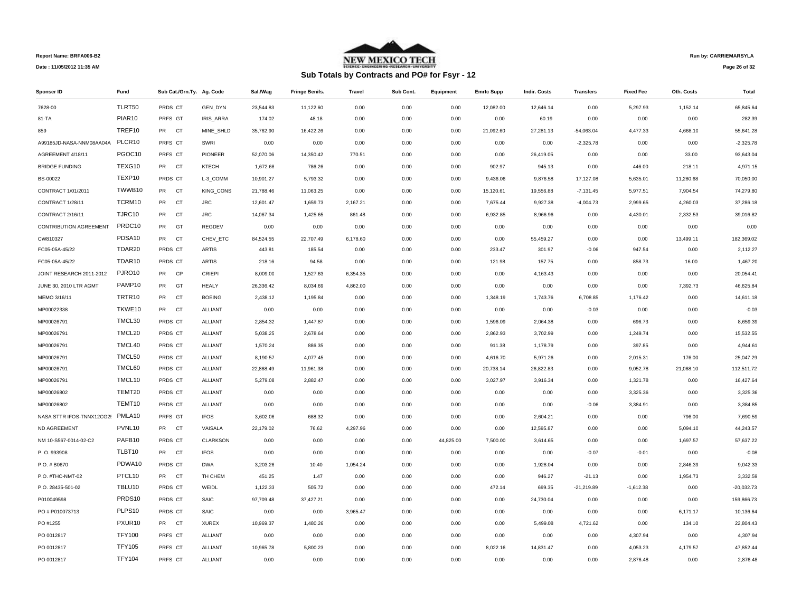

# **Sub Totals by Contracts and PO# for Fsyr - 12**

**Run by: CARRIEMARSYLA**

**Page 26 of 32** 

| Sponser ID                    | Fund               | Sub Cat./Grn.Ty. Ag. Code |                  | Sal./Wag  | <b>Fringe Benifs.</b> | Travel   | Sub Cont. | Equipment | <b>Emrtc Supp</b> | <b>Indir. Costs</b> | <b>Transfers</b> | <b>Fixed Fee</b> | Oth. Costs | Total        |
|-------------------------------|--------------------|---------------------------|------------------|-----------|-----------------------|----------|-----------|-----------|-------------------|---------------------|------------------|------------------|------------|--------------|
| 7628-00                       | TLRT50             | PRDS CT                   | <b>GEN DYN</b>   | 23.544.83 | 11.122.60             | 0.00     | 0.00      | 0.00      | 12.082.00         | 12.646.14           | 0.00             | 5.297.93         | 1,152.14   | 65.845.64    |
| 81-TA                         | PIAR10             | PRFS GT                   | IRIS_ARRA        | 174.02    | 48.18                 | 0.00     | 0.00      | 0.00      | 0.00              | 60.19               | 0.00             | 0.00             | 0.00       | 282.39       |
| 859                           | TREF10             | PR CT                     | MINE SHLD        | 35,762.90 | 16,422.26             | 0.00     | 0.00      | 0.00      | 21,092.60         | 27,281.13           | $-54,063.04$     | 4,477.33         | 4,668.10   | 55,641.28    |
| A99185JD-NASA-NNM08AA04A      | PLCR10             | PRFS CT                   | SWRI             | 0.00      | 0.00                  | 0.00     | 0.00      | 0.00      | 0.00              | 0.00                | $-2,325.78$      | 0.00             | 0.00       | $-2,325.78$  |
| AGREEMENT 4/18/11             | PGOC10             | PRFS CT                   | PIONEER          | 52,070.06 | 14,350.42             | 770.51   | 0.00      | 0.00      | 0.00              | 26,419.05           | 0.00             | 0.00             | 33.00      | 93,643.04    |
| <b>BRIDGE FUNDING</b>         | TEXG10             | PR CT                     | <b>KTECH</b>     | 1,672.68  | 786.26                | 0.00     | 0.00      | 0.00      | 902.97            | 945.13              | 0.00             | 446.00           | 218.11     | 4,971.15     |
| BS-00022                      | TEXP10             | PRDS CT                   | L-3_COMM         | 10,901.27 | 5,793.32              | 0.00     | 0.00      | 0.00      | 9,436.06          | 9,876.58            | 17,127.08        | 5,635.01         | 11,280.68  | 70,050.00    |
| CONTRACT 1/01/2011            | TWWB10             | PR CT                     | <b>KING CONS</b> | 21,788.46 | 11,063.25             | 0.00     | 0.00      | 0.00      | 15,120.61         | 19,556.88           | $-7,131.45$      | 5,977.51         | 7,904.54   | 74,279.80    |
| CONTRACT 1/28/11              | TCRM10             | <b>PR</b><br><b>CT</b>    | <b>JRC</b>       | 12,601.47 | 1,659.73              | 2,167.21 | 0.00      | 0.00      | 7,675.44          | 9,927.38            | $-4,004.73$      | 2,999.65         | 4,260.03   | 37,286.18    |
| CONTRACT 2/16/11              | TJRC10             | PR<br>CT                  | <b>JRC</b>       | 14,067.34 | 1,425.65              | 861.48   | 0.00      | 0.00      | 6,932.85          | 8,966.96            | 0.00             | 4,430.01         | 2,332.53   | 39,016.82    |
| <b>CONTRIBUTION AGREEMENT</b> | PRDC10             | <b>PR</b><br>GT           | REGDEV           | 0.00      | 0.00                  | 0.00     | 0.00      | 0.00      | 0.00              | 0.00                | 0.00             | 0.00             | 0.00       | 0.00         |
| CW810327                      | PDSA10             | PR<br>CT                  | CHEV_ETC         | 84,524.55 | 22,707.49             | 6,178.60 | 0.00      | 0.00      | 0.00              | 55,459.27           | 0.00             | 0.00             | 13,499.11  | 182,369.02   |
| FC05-05A-45/22                | TDAR20             | PRDS CT                   | ARTIS            | 443.81    | 185.54                | 0.00     | 0.00      | 0.00      | 233.47            | 301.97              | $-0.06$          | 947.54           | 0.00       | 2,112.27     |
| FC05-05A-45/22                | TDAR10             | PRDS CT                   | <b>ARTIS</b>     | 218.16    | 94.58                 | 0.00     | 0.00      | 0.00      | 121.98            | 157.75              | 0.00             | 858.73           | 16.00      | 1,467.20     |
| JOINT RESEARCH 2011-2012      | PJRO10             | <b>PR</b><br><b>CP</b>    | CRIEPI           | 8,009.00  | 1,527.63              | 6,354.35 | 0.00      | 0.00      | 0.00              | 4,163.43            | 0.00             | 0.00             | 0.00       | 20.054.41    |
| JUNE 30, 2010 LTR AGMT        | PAMP10             | PR<br>GT                  | <b>HEALY</b>     | 26,336.42 | 8,034.69              | 4,862.00 | 0.00      | 0.00      | 0.00              | 0.00                | 0.00             | 0.00             | 7,392.73   | 46,625.84    |
| MEMO 3/16/11                  | TRTR10             | PR<br>CT                  | <b>BOEING</b>    | 2,438.12  | 1,195.84              | 0.00     | 0.00      | 0.00      | 1,348.19          | 1,743.76            | 6,708.85         | 1,176.42         | 0.00       | 14,611.18    |
| MP00022338                    | TKWE10             | <b>PR</b><br>CT           | ALLIANT          | 0.00      | 0.00                  | 0.00     | 0.00      | 0.00      | 0.00              | 0.00                | $-0.03$          | 0.00             | 0.00       | $-0.03$      |
| MP00026791                    | TMCL30             | PRDS CT                   | <b>ALLIANT</b>   | 2,854.32  | 1,447.87              | 0.00     | 0.00      | 0.00      | 1,596.09          | 2,064.38            | 0.00             | 696.73           | 0.00       | 8,659.39     |
| MP00026791                    | TMCL20             | PRDS CT                   | <b>ALLIANT</b>   | 5,038.25  | 2,678.64              | 0.00     | 0.00      | 0.00      | 2,862.93          | 3,702.99            | 0.00             | 1,249.74         | 0.00       | 15,532.55    |
| MP00026791                    | TMCL40             | PRDS CT                   | ALLIANT          | 1,570.24  | 886.35                | 0.00     | 0.00      | 0.00      | 911.38            | 1,178.79            | 0.00             | 397.85           | 0.00       | 4,944.61     |
| MP00026791                    | TMCL50             | PRDS CT                   | ALLIANT          | 8,190.57  | 4,077.45              | 0.00     | 0.00      | 0.00      | 4,616.70          | 5,971.26            | 0.00             | 2,015.31         | 176.00     | 25,047.29    |
| MP00026791                    | TMCL60             | PRDS CT                   | <b>ALLIANT</b>   | 22,868.49 | 11,961.38             | 0.00     | 0.00      | 0.00      | 20,738.14         | 26,822.83           | 0.00             | 9,052.78         | 21,068.10  | 112,511.72   |
| MP00026791                    | TMCL10             | PRDS CT                   | <b>ALLIANT</b>   | 5,279.08  | 2,882.47              | 0.00     | 0.00      | 0.00      | 3,027.97          | 3,916.34            | 0.00             | 1,321.78         | 0.00       | 16,427.64    |
| MP00026802                    | TEMT20             | PRDS CT                   | <b>ALLIANT</b>   | 0.00      | 0.00                  | 0.00     | 0.00      | 0.00      | 0.00              | 0.00                | 0.00             | 3,325.36         | 0.00       | 3,325.36     |
| MP00026802                    | TEMT10             | PRDS CT                   | ALLIANT          | 0.00      | 0.00                  | 0.00     | 0.00      | 0.00      | 0.00              | 0.00                | $-0.06$          | 3,384.91         | 0.00       | 3,384.85     |
| NASA STTR IFOS-TNNX12CG2!     | PMLA10             | PRFS GT                   | <b>IFOS</b>      | 3,602.06  | 688.32                | 0.00     | 0.00      | 0.00      | 0.00              | 2,604.21            | 0.00             | 0.00             | 796.00     | 7,690.59     |
| ND AGREEMENT                  | PVNL <sub>10</sub> | PR CT                     | VAISALA          | 22,179.02 | 76.62                 | 4,297.96 | 0.00      | 0.00      | 0.00              | 12,595.87           | 0.00             | 0.00             | 5,094.10   | 44,243.57    |
| NM 10-S567-0014-02-C2         | PAFB10             | PRDS CT                   | CLARKSON         | 0.00      | 0.00                  | 0.00     | 0.00      | 44,825.00 | 7,500.00          | 3,614.65            | 0.00             | 0.00             | 1,697.57   | 57,637.22    |
| P.O. 993908                   | TLBT10             | PR CT                     | <b>IFOS</b>      | 0.00      | 0.00                  | 0.00     | 0.00      | 0.00      | 0.00              | 0.00                | $-0.07$          | $-0.01$          | 0.00       | $-0.08$      |
| P.O. # B0670                  | PDWA10             | PRDS CT                   | <b>DWA</b>       | 3,203.26  | 10.40                 | 1,054.24 | 0.00      | 0.00      | 0.00              | 1,928.04            | 0.00             | 0.00             | 2,846.39   | 9,042.33     |
| P.O. #THC-NMT-02              | PTCL10             | PR CT                     | TH CHEM          | 451.25    | 1.47                  | 0.00     | 0.00      | 0.00      | 0.00              | 946.27              | $-21.13$         | 0.00             | 1,954.73   | 3,332.59     |
| P.O. 28435-501-02             | TBLU10             | PRDS CT                   | WEIDL            | 1,122.33  | 505.72                | 0.00     | 0.00      | 0.00      | 472.14            | 699.35              | $-21,219.89$     | $-1,612.38$      | 0.00       | $-20,032.73$ |
| P010049598                    | PRDS10             | PRDS CT                   | SAIC             | 97,709.48 | 37,427.21             | 0.00     | 0.00      | 0.00      | 0.00              | 24,730.04           | 0.00             | 0.00             | 0.00       | 159,866.73   |
| PO # P010073713               | PLPS10             | PRDS CT                   | SAIC             | 0.00      | 0.00                  | 3,965.47 | 0.00      | 0.00      | 0.00              | 0.00                | 0.00             | 0.00             | 6,171.17   | 10,136.64    |
| PO #1255                      | PXUR10             | PR CT                     | <b>XUREX</b>     | 10,969.37 | 1,480.26              | 0.00     | 0.00      | 0.00      | 0.00              | 5,499.08            | 4,721.62         | 0.00             | 134.10     | 22,804.43    |
| PO 0012817                    | <b>TFY100</b>      | PRFS CT                   | <b>ALLIANT</b>   | 0.00      | 0.00                  | 0.00     | 0.00      | 0.00      | 0.00              | 0.00                | 0.00             | 4.307.94         | 0.00       | 4,307.94     |
| PO 0012817                    | <b>TFY105</b>      | PRFS CT                   | <b>ALLIANT</b>   | 10,965.78 | 5,800.23              | 0.00     | 0.00      | 0.00      | 8,022.16          | 14,831.47           | 0.00             | 4,053.23         | 4,179.57   | 47,852.44    |
| PO 0012817                    | <b>TFY104</b>      | PRFS CT                   | ALLIANT          | 0.00      | 0.00                  | 0.00     | 0.00      | 0.00      | 0.00              | 0.00                | 0.00             | 2.876.48         | 0.00       | 2.876.48     |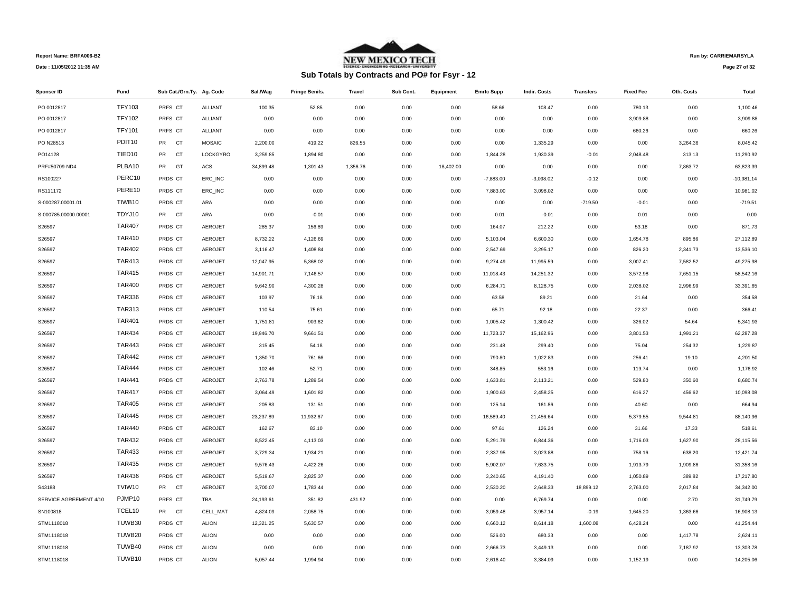

# **Sub Totals by Contracts and PO# for Fsyr - 12**

**Run by: CARRIEMARSYLA**

**Page 27 of 32** 

| Sponser ID             | Fund               | Sub Cat./Grn.Ty. Ag. Code |                | Sal./Wag  | <b>Fringe Benifs.</b> | <b>Travel</b> | Sub Cont. | Equipment | <b>Emrtc Supp</b> | Indir. Costs | <b>Transfers</b> | <b>Fixed Fee</b> | Oth. Costs | Total        |
|------------------------|--------------------|---------------------------|----------------|-----------|-----------------------|---------------|-----------|-----------|-------------------|--------------|------------------|------------------|------------|--------------|
| PO 0012817             | <b>TFY103</b>      | PRFS CT                   | <b>ALLIANT</b> | 100.35    | 52.85                 | 0.00          | 0.00      | 0.00      | 58.66             | 108.47       | 0.00             | 780.13           | 0.00       | 1,100.46     |
| PO 0012817             | <b>TFY102</b>      | PRFS CT                   | <b>ALLIANT</b> | 0.00      | 0.00                  | 0.00          | 0.00      | 0.00      | 0.00              | 0.00         | 0.00             | 3,909.88         | 0.00       | 3,909.88     |
| PO 0012817             | <b>TFY101</b>      | PRFS CT                   | ALLIANT        | 0.00      | 0.00                  | 0.00          | 0.00      | 0.00      | 0.00              | 0.00         | 0.00             | 660.26           | 0.00       | 660.26       |
| PO N28513              | PDIT <sub>10</sub> | PR CT                     | <b>MOSAIC</b>  | 2,200.00  | 419.22                | 826.55        | 0.00      | 0.00      | 0.00              | 1,335.29     | 0.00             | 0.00             | 3,264.36   | 8,045.42     |
| PO14128                | TIED <sub>10</sub> | CT<br>PR                  | LOCKGYRO       | 3,259.85  | 1,894.80              | 0.00          | 0.00      | 0.00      | 1,844.28          | 1,930.39     | $-0.01$          | 2,048.48         | 313.13     | 11,290.92    |
| PRF#50709-ND4          | PLBA10             | PR GT                     | ACS            | 34,899.48 | 1,301.43              | 1,356.76      | 0.00      | 18,402.00 | 0.00              | 0.00         | 0.00             | 0.00             | 7,863.72   | 63,823.39    |
| RS100227               | PERC10             | PRDS CT                   | ERC_INC        | 0.00      | 0.00                  | 0.00          | 0.00      | 0.00      | $-7,883.00$       | $-3,098.02$  | $-0.12$          | 0.00             | 0.00       | $-10,981.14$ |
| RS111172               | PERE10             | PRDS CT                   | ERC_INC        | 0.00      | 0.00                  | 0.00          | 0.00      | 0.00      | 7,883.00          | 3,098.02     | 0.00             | 0.00             | 0.00       | 10,981.02    |
| S-000287.00001.01      | TIWB10             | PRDS CT                   | ARA            | 0.00      | 0.00                  | 0.00          | 0.00      | 0.00      | 0.00              | 0.00         | $-719.50$        | $-0.01$          | 0.00       | $-719.51$    |
| S-000785.00000.00001   | TDYJ10             | PR CT                     | ARA            | 0.00      | $-0.01$               | 0.00          | 0.00      | 0.00      | 0.01              | $-0.01$      | 0.00             | 0.01             | 0.00       | 0.00         |
| S26597                 | <b>TAR407</b>      | PRDS CT                   | <b>AEROJET</b> | 285.37    | 156.89                | 0.00          | 0.00      | 0.00      | 164.07            | 212.22       | 0.00             | 53.18            | 0.00       | 871.73       |
| S26597                 | <b>TAR410</b>      | PRDS CT                   | <b>AEROJET</b> | 8,732.22  | 4,126.69              | 0.00          | 0.00      | 0.00      | 5,103.04          | 6,600.30     | 0.00             | 1,654.78         | 895.86     | 27,112.89    |
| S26597                 | <b>TAR402</b>      | PRDS CT                   | <b>AEROJET</b> | 3,116.47  | 1,408.84              | 0.00          | 0.00      | 0.00      | 2,547.69          | 3,295.17     | 0.00             | 826.20           | 2,341.73   | 13,536.10    |
| S26597                 | <b>TAR413</b>      | PRDS CT                   | <b>AEROJET</b> | 12,047.95 | 5,368.02              | 0.00          | 0.00      | 0.00      | 9,274.49          | 11,995.59    | 0.00             | 3,007.41         | 7,582.52   | 49,275.98    |
| S26597                 | <b>TAR415</b>      | PRDS CT                   | AEROJET        | 14,901.71 | 7,146.57              | 0.00          | 0.00      | 0.00      | 11,018.43         | 14,251.32    | 0.00             | 3,572.98         | 7,651.15   | 58,542.16    |
| S26597                 | <b>TAR400</b>      | PRDS CT                   | <b>AEROJET</b> | 9,642.90  | 4,300.28              | 0.00          | 0.00      | 0.00      | 6,284.71          | 8,128.75     | 0.00             | 2,038.02         | 2,996.99   | 33,391.65    |
| S26597                 | <b>TAR336</b>      | PRDS CT                   | <b>AEROJET</b> | 103.97    | 76.18                 | 0.00          | 0.00      | 0.00      | 63.58             | 89.21        | 0.00             | 21.64            | 0.00       | 354.58       |
| S26597                 | <b>TAR313</b>      | PRDS CT                   | <b>AEROJET</b> | 110.54    | 75.61                 | 0.00          | 0.00      | 0.00      | 65.71             | 92.18        | 0.00             | 22.37            | 0.00       | 366.41       |
| S26597                 | <b>TAR401</b>      | PRDS CT                   | <b>AEROJET</b> | 1,751.81  | 903.62                | 0.00          | 0.00      | 0.00      | 1,005.42          | 1,300.42     | 0.00             | 326.02           | 54.64      | 5,341.93     |
| S26597                 | <b>TAR434</b>      | PRDS CT                   | <b>AEROJET</b> | 19,946.70 | 9,661.51              | 0.00          | 0.00      | 0.00      | 11,723.37         | 15,162.96    | 0.00             | 3,801.53         | 1,991.21   | 62,287.28    |
| S26597                 | <b>TAR443</b>      | PRDS CT                   | <b>AEROJET</b> | 315.45    | 54.18                 | 0.00          | 0.00      | 0.00      | 231.48            | 299.40       | 0.00             | 75.04            | 254.32     | 1,229.87     |
| S26597                 | <b>TAR442</b>      | PRDS CT                   | <b>AEROJET</b> | 1,350.70  | 761.66                | 0.00          | 0.00      | 0.00      | 790.80            | 1,022.83     | 0.00             | 256.41           | 19.10      | 4,201.50     |
| S26597                 | <b>TAR444</b>      | PRDS CT                   | <b>AEROJET</b> | 102.46    | 52.71                 | 0.00          | 0.00      | 0.00      | 348.85            | 553.16       | 0.00             | 119.74           | 0.00       | 1,176.92     |
| S26597                 | <b>TAR441</b>      | PRDS CT                   | <b>AEROJET</b> | 2,763.78  | 1,289.54              | 0.00          | 0.00      | 0.00      | 1,633.81          | 2,113.21     | 0.00             | 529.80           | 350.60     | 8,680.74     |
| S26597                 | <b>TAR417</b>      | PRDS CT                   | <b>AEROJET</b> | 3,064.49  | 1,601.82              | 0.00          | 0.00      | 0.00      | 1,900.63          | 2,458.25     | 0.00             | 616.27           | 456.62     | 10,098.08    |
| S26597                 | <b>TAR405</b>      | PRDS CT                   | AEROJET        | 205.83    | 131.51                | 0.00          | 0.00      | 0.00      | 125.14            | 161.86       | 0.00             | 40.60            | 0.00       | 664.94       |
| S26597                 | <b>TAR445</b>      | PRDS CT                   | AEROJET        | 23,237.89 | 11,932.67             | 0.00          | 0.00      | 0.00      | 16,589.40         | 21,456.64    | 0.00             | 5,379.55         | 9,544.81   | 88,140.96    |
| S26597                 | <b>TAR440</b>      | PRDS CT                   | <b>AEROJET</b> | 162.67    | 83.10                 | 0.00          | 0.00      | 0.00      | 97.61             | 126.24       | 0.00             | 31.66            | 17.33      | 518.61       |
| S26597                 | <b>TAR432</b>      | PRDS CT                   | <b>AEROJET</b> | 8,522.45  | 4,113.03              | 0.00          | 0.00      | 0.00      | 5,291.79          | 6,844.36     | 0.00             | 1,716.03         | 1,627.90   | 28,115.56    |
| S26597                 | <b>TAR433</b>      | PRDS CT                   | <b>AEROJET</b> | 3,729.34  | 1,934.21              | 0.00          | 0.00      | 0.00      | 2,337.95          | 3,023.88     | 0.00             | 758.16           | 638.20     | 12,421.74    |
| S26597                 | <b>TAR435</b>      | PRDS CT                   | <b>AEROJET</b> | 9,576.43  | 4,422.26              | 0.00          | 0.00      | 0.00      | 5,902.07          | 7,633.75     | 0.00             | 1,913.79         | 1,909.86   | 31,358.16    |
| S26597                 | <b>TAR436</b>      | PRDS CT                   | <b>AEROJET</b> | 5,519.67  | 2,825.37              | 0.00          | 0.00      | 0.00      | 3,240.65          | 4,191.40     | 0.00             | 1,050.89         | 389.82     | 17,217.80    |
| S43188                 | TVIW10             | PR CT                     | <b>AEROJET</b> | 3,700.07  | 1,783.44              | 0.00          | 0.00      | 0.00      | 2,530.20          | 2,648.33     | 18,899.12        | 2,763.00         | 2,017.84   | 34,342.00    |
| SERVICE AGREEMENT 4/10 | PJMP10             | PRFS CT                   | TBA            | 24,193.61 | 351.82                | 431.92        | 0.00      | 0.00      | 0.00              | 6,769.74     | 0.00             | 0.00             | 2.70       | 31,749.79    |
| SN100818               | TCEL10             | PR CT                     | CELL_MAT       | 4,824.09  | 2,058.75              | 0.00          | 0.00      | 0.00      | 3,059.48          | 3,957.14     | $-0.19$          | 1,645.20         | 1,363.66   | 16,908.13    |
| STM1118018             | TUWB30             | PRDS CT                   | <b>ALION</b>   | 12,321.25 | 5,630.57              | 0.00          | 0.00      | 0.00      | 6,660.12          | 8,614.18     | 1,600.08         | 6,428.24         | 0.00       | 41,254.44    |
| STM1118018             | TUWB20             | PRDS CT                   | <b>ALION</b>   | 0.00      | 0.00                  | 0.00          | 0.00      | 0.00      | 526.00            | 680.33       | 0.00             | 0.00             | 1,417.78   | 2,624.11     |
| STM1118018             | TUWB40             | PRDS CT                   | <b>ALION</b>   | 0.00      | 0.00                  | 0.00          | 0.00      | 0.00      | 2,666.73          | 3,449.13     | 0.00             | 0.00             | 7,187.92   | 13,303.78    |
| STM1118018             | TUWB10             | PRDS CT                   | <b>ALION</b>   | 5,057.44  | 1.994.94              | 0.00          | 0.00      | 0.00      | 2,616.40          | 3,384.09     | 0.00             | 1,152.19         | 0.00       | 14,205.06    |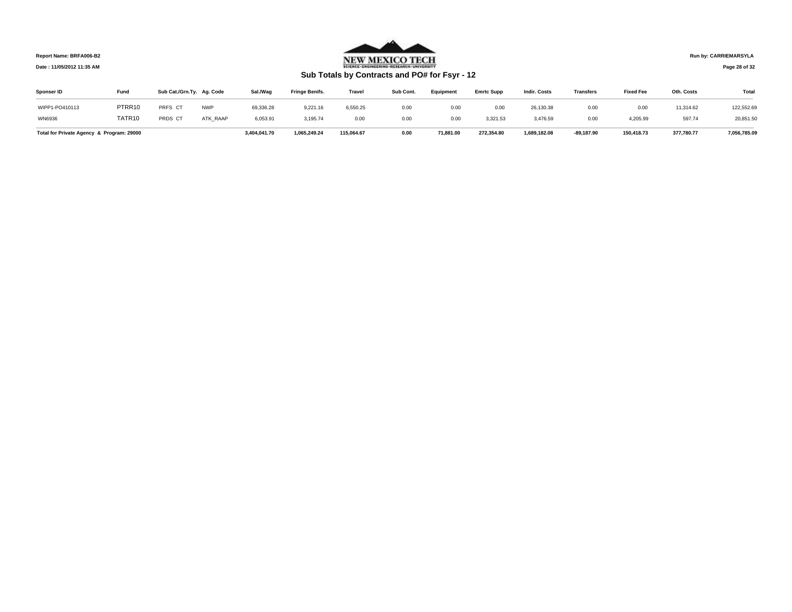

**Run by: CARRIEMARSYLA**

## **Page 28 of 32**

# **Sub Totals by Contracts and PO# for Fsyr - 12**

| Sponser ID     | Fund                                      | Sub Cat./Grn.Ty. Ag. Code |                 | Sal./Wag     | <b>Fringe Benifs.</b> | <b>Travel</b> | Sub Cont. | Equipment | <b>Emrtc Supp</b> | <b>Indir. Costs</b> | <b>Transfers</b> | <b>Fixed Fee</b> | Oth. Costs | Total        |
|----------------|-------------------------------------------|---------------------------|-----------------|--------------|-----------------------|---------------|-----------|-----------|-------------------|---------------------|------------------|------------------|------------|--------------|
| WIPP1-PO410113 | PTRR10                                    | PRFS CT                   | <b>NWP</b>      | 69,336.28    | 9,221.16              | 6,550.25      | 0.00      | 0.00      | 0.00              | 26,130.38           | 0.00             | 0.00             | 11,314.62  | 122,552.69   |
| WN6936         | TATR10                                    | PRDS CT                   | <b>ATK RAAP</b> | 6,053.91     | 3,195.74              | 0.00          | 0.00      | 0.00      | 3,321.53          | 3,476.59            | 0.00             | 4,205.99         | 597.74     | 20,851.50    |
|                | Total for Private Agency & Program: 29000 |                           |                 | 3.404.041.70 | 1.065.249.24          | 115.064.67    | 0.00      | 71.881.00 | 272.354.80        | 1.689.182.08        | $-89.187.90$     | 150.418.73       | 377.780.77 | 7.056.785.09 |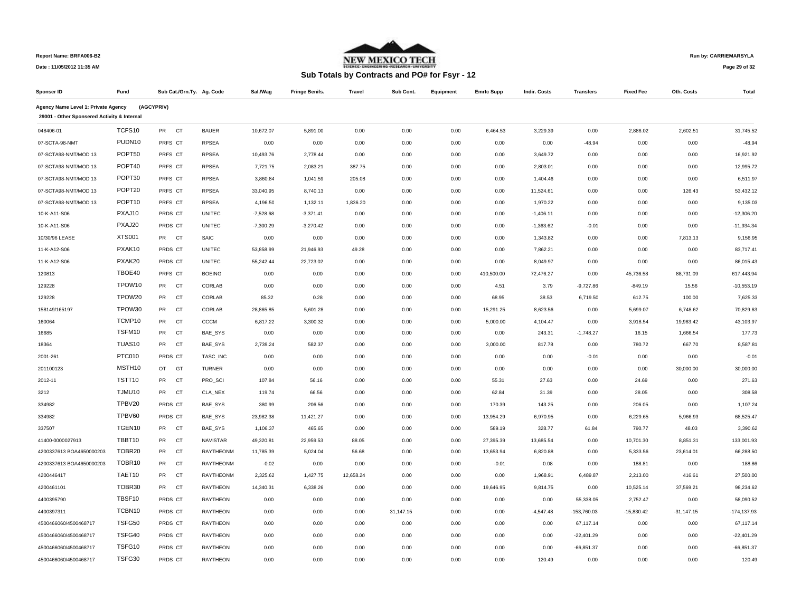

## **Run by: CARRIEMARSYLA**

**Page 29 of 32** 

| Sponser ID                                                                         | Fund               | Sub Cat./Grn.Ty. Ag. Code |                  | Sal./Wag    | <b>Fringe Benifs.</b> | <b>Travel</b> | Sub Cont. | Equipment | <b>Emrtc Supp</b> | <b>Indir. Costs</b> | <b>Transfers</b> | <b>Fixed Fee</b> | Oth. Costs   | <b>Total</b>   |
|------------------------------------------------------------------------------------|--------------------|---------------------------|------------------|-------------|-----------------------|---------------|-----------|-----------|-------------------|---------------------|------------------|------------------|--------------|----------------|
| Agency Name Level 1: Private Agency<br>29001 - Other Sponsered Activity & Internal |                    | (AGCYPRIV)                |                  |             |                       |               |           |           |                   |                     |                  |                  |              |                |
| 048406-01                                                                          | TCFS10             | PR<br>CT                  | <b>BAUER</b>     | 10,672.07   | 5,891.00              | 0.00          | 0.00      | 0.00      | 6,464.53          | 3,229.39            | 0.00             | 2,886.02         | 2,602.51     | 31,745.52      |
| 07-SCTA-98-NMT                                                                     | PUDN10             | PRFS CT                   | <b>RPSEA</b>     | 0.00        | 0.00                  | 0.00          | 0.00      | 0.00      | 0.00              | 0.00                | $-48.94$         | 0.00             | 0.00         | $-48.94$       |
| 07-SCTA98-NMT/MOD 13                                                               | POPT50             | PRFS CT                   | <b>RPSEA</b>     | 10,493.76   | 2.778.44              | 0.00          | 0.00      | 0.00      | 0.00              | 3,649.72            | 0.00             | 0.00             | 0.00         | 16.921.92      |
| 07-SCTA98-NMT/MOD 13                                                               | POPT40             | PRFS CT                   | <b>RPSEA</b>     | 7,721.75    | 2,083.21              | 387.75        | 0.00      | 0.00      | 0.00              | 2,803.01            | 0.00             | 0.00             | 0.00         | 12,995.72      |
| 07-SCTA98-NMT/MOD 13                                                               | POPT30             | PRFS CT                   | <b>RPSEA</b>     | 3,860.84    | 1,041.59              | 205.08        | 0.00      | 0.00      | 0.00              | 1,404.46            | 0.00             | 0.00             | 0.00         | 6,511.97       |
| 07-SCTA98-NMT/MOD 13                                                               | POPT20             | PRFS CT                   | <b>RPSEA</b>     | 33,040.95   | 8,740.13              | 0.00          | 0.00      | 0.00      | 0.00              | 11,524.61           | 0.00             | 0.00             | 126.43       | 53,432.12      |
| 07-SCTA98-NMT/MOD 13                                                               | POPT <sub>10</sub> | PRFS CT                   | <b>RPSEA</b>     | 4,196.50    | 1,132.11              | 1,836.20      | 0.00      | 0.00      | 0.00              | 1,970.22            | 0.00             | 0.00             | 0.00         | 9,135.03       |
| 10-K-A11-S06                                                                       | PXAJ10             | PRDS CT                   | <b>UNITEC</b>    | $-7,528.68$ | $-3,371.41$           | 0.00          | 0.00      | 0.00      | 0.00              | $-1,406.11$         | 0.00             | 0.00             | 0.00         | $-12,306.20$   |
| 10-K-A11-S06                                                                       | PXAJ20             | PRDS CT                   | <b>UNITEC</b>    | $-7,300.29$ | $-3,270.42$           | 0.00          | 0.00      | 0.00      | 0.00              | $-1,363.62$         | $-0.01$          | 0.00             | 0.00         | $-11,934.34$   |
| 10/30/96 LEASE                                                                     | <b>XTS001</b>      | PR CT                     | SAIC             | 0.00        | 0.00                  | 0.00          | 0.00      | 0.00      | 0.00              | 1,343.82            | 0.00             | 0.00             | 7,813.13     | 9,156.95       |
| 11-K-A12-S06                                                                       | PXAK10             | PRDS CT                   | <b>UNITEC</b>    | 53,858.99   | 21,946.93             | 49.28         | 0.00      | 0.00      | 0.00              | 7,862.21            | 0.00             | 0.00             | 0.00         | 83,717.41      |
| 11-K-A12-S06                                                                       | PXAK20             | PRDS CT                   | <b>UNITEC</b>    | 55,242.44   | 22,723.02             | 0.00          | 0.00      | 0.00      | 0.00              | 8,049.97            | 0.00             | 0.00             | 0.00         | 86,015.43      |
| 120813                                                                             | TBOE40             | PRFS CT                   | <b>BOEING</b>    | 0.00        | 0.00                  | 0.00          | 0.00      | 0.00      | 410,500.00        | 72,476.27           | 0.00             | 45,736.58        | 88,731.09    | 617,443.94     |
| 129228                                                                             | TPOW10             | PR CT                     | CORLAB           | 0.00        | 0.00                  | 0.00          | 0.00      | 0.00      | 4.51              | 3.79                | $-9,727.86$      | $-849.19$        | 15.56        | $-10,553.19$   |
| 129228                                                                             | TPOW20             | PR<br>CT                  | CORLAB           | 85.32       | 0.28                  | 0.00          | 0.00      | 0.00      | 68.95             | 38.53               | 6,719.50         | 612.75           | 100.00       | 7,625.33       |
| 158149/165197                                                                      | TPOW30             | PR<br><b>CT</b>           | CORLAB           | 28,865.85   | 5,601.28              | 0.00          | 0.00      | 0.00      | 15,291.25         | 8,623.56            | 0.00             | 5,699.07         | 6,748.62     | 70,829.63      |
| 160064                                                                             | TCMP10             | PR<br><b>CT</b>           | CCCM             | 6,817.22    | 3,300.32              | 0.00          | 0.00      | 0.00      | 5,000.00          | 4,104.47            | 0.00             | 3,918.54         | 19,963.42    | 43,103.97      |
| 16685                                                                              | TSFM10             | PR<br><b>CT</b>           | BAE_SYS          | 0.00        | 0.00                  | 0.00          | 0.00      | 0.00      | 0.00              | 243.31              | $-1,748.27$      | 16.15            | 1,666.54     | 177.73         |
| 18364                                                                              | TUAS <sub>10</sub> | <b>PR</b><br><b>CT</b>    | BAE_SYS          | 2,739.24    | 582.37                | 0.00          | 0.00      | 0.00      | 3,000.00          | 817.78              | 0.00             | 780.72           | 667.70       | 8,587.81       |
| 2001-261                                                                           | PTC010             | PRDS CT                   | TASC_INC         | 0.00        | 0.00                  | 0.00          | 0.00      | 0.00      | 0.00              | 0.00                | $-0.01$          | 0.00             | 0.00         | $-0.01$        |
| 201100123                                                                          | MSTH10             | OT GT                     | <b>TURNER</b>    | 0.00        | 0.00                  | 0.00          | 0.00      | 0.00      | 0.00              | 0.00                | 0.00             | 0.00             | 30,000.00    | 30,000.00      |
| 2012-11                                                                            | TSTT10             | PR<br>CT                  | PRO_SCI          | 107.84      | 56.16                 | 0.00          | 0.00      | 0.00      | 55.31             | 27.63               | 0.00             | 24.69            | 0.00         | 271.63         |
| 3212                                                                               | TJMU10             | PR<br>CT                  | CLA_NEX          | 119.74      | 66.56                 | 0.00          | 0.00      | 0.00      | 62.84             | 31.39               | 0.00             | 28.05            | 0.00         | 308.58         |
| 334982                                                                             | TPBV20             | PRDS CT                   | BAE_SYS          | 380.99      | 206.56                | 0.00          | 0.00      | 0.00      | 170.39            | 143.25              | 0.00             | 206.05           | 0.00         | 1,107.24       |
| 334982                                                                             | TPBV60             | PRDS CT                   | <b>BAE SYS</b>   | 23,982.38   | 11,421.27             | 0.00          | 0.00      | 0.00      | 13,954.29         | 6,970.95            | 0.00             | 6,229.65         | 5,966.93     | 68,525.47      |
| 337507                                                                             | TGEN10             | PR<br>CT                  | BAE_SYS          | 1,106.37    | 465.65                | 0.00          | 0.00      | 0.00      | 589.19            | 328.77              | 61.84            | 790.77           | 48.03        | 3,390.62       |
| 41400-0000027913                                                                   | TBBT10             | PR<br>CT                  | <b>NAVISTAR</b>  | 49,320.81   | 22,959.53             | 88.05         | 0.00      | 0.00      | 27,395.39         | 13,685.54           | 0.00             | 10,701.30        | 8,851.31     | 133,001.93     |
| 4200337613 BOA4650000203                                                           | TOBR20             | PR<br>CT                  | RAYTHEONM        | 11,785.39   | 5,024.04              | 56.68         | 0.00      | 0.00      | 13,653.94         | 6,820.88            | 0.00             | 5,333.56         | 23,614.01    | 66,288.50      |
| 4200337613 BOA4650000203                                                           | TOBR10             | PR<br>CT                  | RAYTHEONM        | $-0.02$     | 0.00                  | 0.00          | 0.00      | 0.00      | $-0.01$           | 0.08                | 0.00             | 188.81           | 0.00         | 188.86         |
| 4200446417                                                                         | TAET10             | PR<br>CT                  | <b>RAYTHEONM</b> | 2,325.62    | 1,427.75              | 12,658.24     | 0.00      | 0.00      | 0.00              | 1,968.91            | 6,489.87         | 2,213.00         | 416.61       | 27,500.00      |
| 4200461101                                                                         | TOBR30             | PR CT                     | <b>RAYTHEON</b>  | 14,340.31   | 6,338.26              | 0.00          | 0.00      | 0.00      | 19,646.95         | 9,814.75            | 0.00             | 10,525.14        | 37,569.21    | 98,234.62      |
| 4400395790                                                                         | TBSF10             | PRDS CT                   | <b>RAYTHEON</b>  | 0.00        | 0.00                  | 0.00          | 0.00      | 0.00      | 0.00              | 0.00                | 55,338.05        | 2,752.47         | 0.00         | 58,090.52      |
| 4400397311                                                                         | TCBN10             | PRDS CT                   | <b>RAYTHEON</b>  | 0.00        | 0.00                  | 0.00          | 31,147.15 | 0.00      | 0.00              | $-4,547.48$         | -153,760.03      | $-15,830.42$     | $-31,147.15$ | $-174, 137.93$ |
| 4500466060/4500468717                                                              | TSFG50             | PRDS CT                   | <b>RAYTHEON</b>  | 0.00        | 0.00                  | 0.00          | 0.00      | 0.00      | 0.00              | 0.00                | 67,117.14        | 0.00             | 0.00         | 67,117.14      |
| 4500466060/4500468717                                                              | TSFG40             | PRDS CT                   | <b>RAYTHEON</b>  | 0.00        | 0.00                  | 0.00          | 0.00      | 0.00      | 0.00              | 0.00                | $-22,401.29$     | 0.00             | 0.00         | $-22,401.29$   |
| 4500466060/4500468717                                                              | TSFG10             | PRDS CT                   | <b>RAYTHEON</b>  | 0.00        | 0.00                  | 0.00          | 0.00      | 0.00      | 0.00              | 0.00                | $-66,851.37$     | 0.00             | 0.00         | $-66.851.37$   |
| 4500466060/4500468717                                                              | TSFG30             | PRDS CT                   | <b>RAYTHEON</b>  | 0.00        | 0.00                  | 0.00          | 0.00      | 0.00      | 0.00              | 120.49              | 0.00             | 0.00             | 0.00         | 120.49         |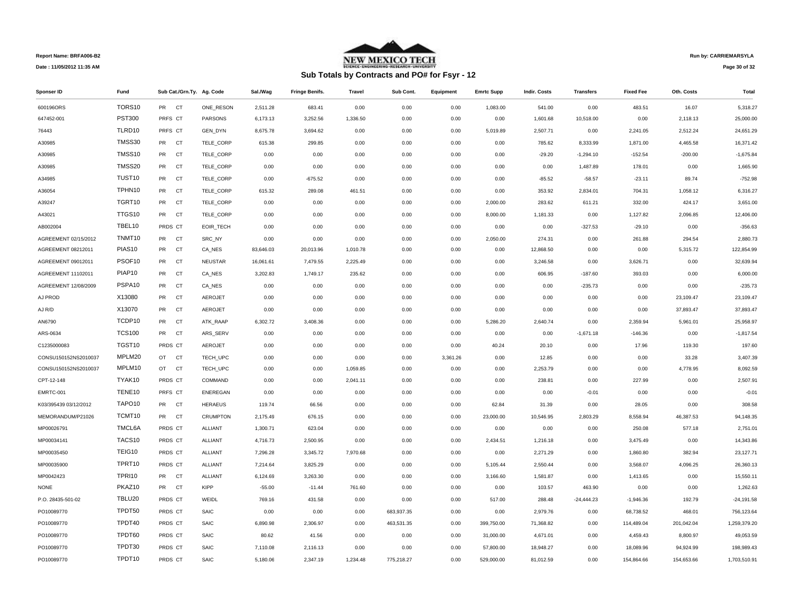

# **Sub Totals by Contracts and PO# for Fsyr - 12**

**Run by: CARRIEMARSYLA**

**Page 30 of 32** 

| Sponser ID            | Fund               | Sub Cat./Grn.Ty. Ag. Code |                 | Sal /Wag  | <b>Fringe Benifs.</b> | <b>Travel</b> | Sub Cont.  | Equipment | <b>Emrtc Supp</b> | Indir. Costs | <b>Transfers</b> | <b>Fixed Fee</b> | Oth. Costs | Total        |
|-----------------------|--------------------|---------------------------|-----------------|-----------|-----------------------|---------------|------------|-----------|-------------------|--------------|------------------|------------------|------------|--------------|
| 600196ORS             | TORS10             | PR CT                     | ONE RESON       | 2,511.28  | 683.41                | 0.00          | 0.00       | 0.00      | 1,083.00          | 541.00       | 0.00             | 483.51           | 16.07      | 5,318.27     |
| 647452-001            | <b>PST300</b>      | PRFS CT                   | PARSONS         | 6,173.13  | 3,252.56              | 1,336.50      | 0.00       | 0.00      | 0.00              | 1,601.68     | 10,518.00        | 0.00             | 2,118.13   | 25,000.00    |
| 76443                 | TLRD10             | PRFS CT                   | GEN_DYN         | 8,675.78  | 3,694.62              | 0.00          | 0.00       | 0.00      | 5,019.89          | 2,507.71     | 0.00             | 2,241.05         | 2,512.24   | 24,651.29    |
| A30985                | TMSS30             | PR CT                     | TELE CORP       | 615.38    | 299.85                | 0.00          | 0.00       | 0.00      | 0.00              | 785.62       | 8,333.99         | 1,871.00         | 4,465.58   | 16,371.42    |
| A30985                | TMSS10             | PR<br><b>CT</b>           | TELE CORP       | 0.00      | 0.00                  | 0.00          | 0.00       | 0.00      | 0.00              | $-29.20$     | $-1,294.10$      | $-152.54$        | $-200.00$  | $-1,675.84$  |
| A30985                | TMSS20             | PR<br><b>CT</b>           | TELE CORP       | 0.00      | 0.00                  | 0.00          | 0.00       | 0.00      | 0.00              | 0.00         | 1,487.89         | 178.01           | 0.00       | 1,665.90     |
| A34985                | TUST <sub>10</sub> | CT<br>PR                  | TELE_CORP       | 0.00      | $-675.52$             | 0.00          | 0.00       | 0.00      | 0.00              | $-85.52$     | $-58.57$         | $-23.11$         | 89.74      | $-752.98$    |
| A36054                | TPHN10             | PR<br><b>CT</b>           | TELE CORP       | 615.32    | 289.08                | 461.51        | 0.00       | 0.00      | 0.00              | 353.92       | 2,834.01         | 704.31           | 1,058.12   | 6,316.27     |
| A39247                | TGRT10             | PR<br><b>CT</b>           | TELE_CORP       | 0.00      | 0.00                  | 0.00          | 0.00       | 0.00      | 2,000.00          | 283.62       | 611.21           | 332.00           | 424.17     | 3,651.00     |
| A43021                | TTGS10             | PR<br><b>CT</b>           | TELE CORP       | 0.00      | 0.00                  | 0.00          | 0.00       | 0.00      | 8,000.00          | 1,181.33     | 0.00             | 1,127.82         | 2,096.85   | 12,406.00    |
| AB002004              | TBEL10             | PRDS CT                   | EOIR_TECH       | 0.00      | 0.00                  | 0.00          | 0.00       | 0.00      | 0.00              | 0.00         | $-327.53$        | $-29.10$         | 0.00       | $-356.63$    |
| AGREEMENT 02/15/2012  | TNMT10             | PR CT                     | SRC NY          | 0.00      | 0.00                  | 0.00          | 0.00       | 0.00      | 2,050.00          | 274.31       | 0.00             | 261.88           | 294.54     | 2,880.73     |
| AGREEMENT 08212011    | PIAS <sub>10</sub> | PR<br><b>CT</b>           | CA_NES          | 83,646.03 | 20,013.96             | 1,010.78      | 0.00       | 0.00      | 0.00              | 12,868.50    | 0.00             | 0.00             | 5,315.72   | 122,854.99   |
| AGREEMENT 09012011    | PSOF <sub>10</sub> | PR<br><b>CT</b>           | <b>NEUSTAR</b>  | 16,061.61 | 7,479.55              | 2,225.49      | 0.00       | 0.00      | 0.00              | 3,246.58     | 0.00             | 3,626.71         | 0.00       | 32,639.94    |
| AGREEMENT 11102011    | PIAP10             | PR<br>CT                  | CA NES          | 3,202.83  | 1,749.17              | 235.62        | 0.00       | 0.00      | 0.00              | 606.95       | $-187.60$        | 393.03           | 0.00       | 6,000.00     |
| AGREEMENT 12/08/2009  | PSPA10             | PR<br><b>CT</b>           | CA_NES          | 0.00      | 0.00                  | 0.00          | 0.00       | 0.00      | 0.00              | 0.00         | $-235.73$        | 0.00             | 0.00       | $-235.73$    |
| AJ PROD               | X13080             | PR<br>CT                  | <b>AEROJET</b>  | 0.00      | 0.00                  | 0.00          | 0.00       | 0.00      | 0.00              | 0.00         | 0.00             | 0.00             | 23,109.47  | 23,109.47    |
| AJ R/D                | X13070             | <b>CT</b><br>PR           | AEROJET         | 0.00      | 0.00                  | 0.00          | 0.00       | 0.00      | 0.00              | 0.00         | 0.00             | 0.00             | 37,893.47  | 37,893.47    |
| AN6790                | TCDP10             | PR<br><b>CT</b>           | ATK_RAAP        | 6,302.72  | 3,408.36              | 0.00          | 0.00       | 0.00      | 5,286.20          | 2,640.74     | 0.00             | 2,359.94         | 5,961.01   | 25,958.97    |
| ARS-0634              | <b>TCS100</b>      | <b>PR</b><br><b>CT</b>    | ARS_SERV        | 0.00      | 0.00                  | 0.00          | 0.00       | 0.00      | 0.00              | 0.00         | $-1,671.18$      | $-146.36$        | 0.00       | $-1,817.54$  |
| C1235000083           | TGST10             | PRDS CT                   | <b>AEROJET</b>  | 0.00      | 0.00                  | 0.00          | 0.00       | 0.00      | 40.24             | 20.10        | 0.00             | 17.96            | 119.30     | 197.60       |
| CONSU150152NS2010037  | MPLM20             | OT CT                     | TECH UPC        | 0.00      | 0.00                  | 0.00          | 0.00       | 3,361.26  | 0.00              | 12.85        | 0.00             | 0.00             | 33.28      | 3,407.39     |
| CONSU150152NS2010037  | MPLM10             | OT CT                     | TECH_UPC        | 0.00      | 0.00                  | 1,059.85      | 0.00       | 0.00      | 0.00              | 2,253.79     | 0.00             | 0.00             | 4,778.95   | 8,092.59     |
| CPT-12-148            | TYAK10             | PRDS CT                   | COMMAND         | 0.00      | 0.00                  | 2,041.11      | 0.00       | 0.00      | 0.00              | 238.81       | 0.00             | 227.99           | 0.00       | 2,507.91     |
| EMRTC-001             | TENE10             | PRFS CT                   | ENEREGAN        | 0.00      | 0.00                  | 0.00          | 0.00       | 0.00      | 0.00              | 0.00         | $-0.01$          | 0.00             | 0.00       | $-0.01$      |
| K03/395439 03/12/2012 | TAPO <sub>10</sub> | <b>PR</b><br><b>CT</b>    | <b>HERAEUS</b>  | 119.74    | 66.56                 | 0.00          | 0.00       | 0.00      | 62.84             | 31.39        | 0.00             | 28.05            | 0.00       | 308.58       |
| MEMORANDUM/P21026     | TCMT10             | <b>PR</b><br><b>CT</b>    | <b>CRUMPTON</b> | 2,175.49  | 676.15                | 0.00          | 0.00       | 0.00      | 23,000.00         | 10,546.95    | 2,803.29         | 8,558.94         | 46,387.53  | 94,148.35    |
| MP00026791            | TMCL6A             | PRDS CT                   | ALLIANT         | 1,300.71  | 623.04                | 0.00          | 0.00       | 0.00      | 0.00              | 0.00         | 0.00             | 250.08           | 577.18     | 2,751.01     |
| MP00034141            | TACS10             | PRDS CT                   | ALLIANT         | 4,716.73  | 2,500.95              | 0.00          | 0.00       | 0.00      | 2,434.51          | 1,216.18     | 0.00             | 3,475.49         | 0.00       | 14,343.86    |
| MP00035450            | TEIG10             | PRDS CT                   | ALLIANT         | 7,296.28  | 3,345.72              | 7,970.68      | 0.00       | 0.00      | 0.00              | 2,271.29     | 0.00             | 1,860.80         | 382.94     | 23,127.71    |
| MP00035900            | TPRT10             | PRDS CT                   | <b>ALLIANT</b>  | 7,214.64  | 3,825.29              | 0.00          | 0.00       | 0.00      | 5,105.44          | 2,550.44     | 0.00             | 3,568.07         | 4,096.25   | 26,360.13    |
| MP0042423             | <b>TPRI10</b>      | PR CT                     | <b>ALLIANT</b>  | 6,124.69  | 3,263.30              | 0.00          | 0.00       | 0.00      | 3,166.60          | 1,581.87     | 0.00             | 1,413.65         | 0.00       | 15,550.11    |
| <b>NONE</b>           | PKAZ10             | PR CT                     | <b>KIPP</b>     | $-55.00$  | $-11.44$              | 761.60        | 0.00       | 0.00      | 0.00              | 103.57       | 463.90           | 0.00             | 0.00       | 1,262.63     |
| P.O. 28435-501-02     | TBLU20             | PRDS CT                   | WEIDL           | 769.16    | 431.58                | 0.00          | 0.00       | 0.00      | 517.00            | 288.48       | $-24,444.23$     | $-1,946.36$      | 192.79     | $-24,191.58$ |
| PO10089770            | TPDT50             | PRDS CT                   | SAIC            | 0.00      | 0.00                  | 0.00          | 683,937.35 | 0.00      | 0.00              | 2,979.76     | 0.00             | 68,738.52        | 468.01     | 756,123.64   |
| PO10089770            | TPDT40             | PRDS CT                   | SAIC            | 6,890.98  | 2,306.97              | 0.00          | 463,531.35 | 0.00      | 399,750.00        | 71,368.82    | 0.00             | 114,489.04       | 201,042.04 | 1,259,379.20 |
| PO10089770            | TPDT60             | PRDS CT                   | SAIC            | 80.62     | 41.56                 | 0.00          | 0.00       | 0.00      | 31,000.00         | 4,671.01     | 0.00             | 4,459.43         | 8,800.97   | 49.053.59    |
| PO10089770            | TPDT30             | PRDS CT                   | SAIC            | 7,110.08  | 2,116.13              | 0.00          | 0.00       | 0.00      | 57,800.00         | 18,948.27    | 0.00             | 18,089.96        | 94,924.99  | 198,989.43   |
| PO10089770            | TPDT10             | PRDS CT                   | SAIC            | 5.180.06  | 2.347.19              | 1.234.48      | 775.218.27 | 0.00      | 529.000.00        | 81.012.59    | 0.00             | 154.864.66       | 154.653.66 | 1.703.510.91 |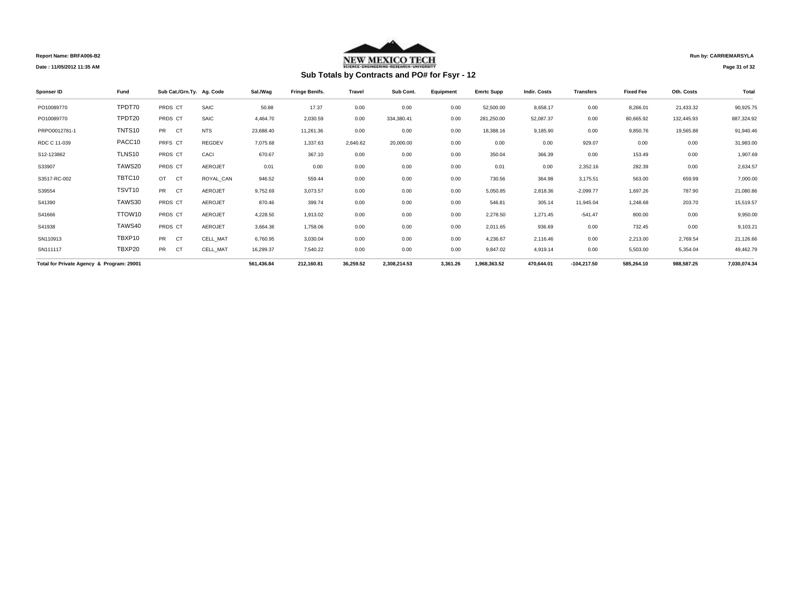

## **Run by: CARRIEMARSYLA**

**Page 31 of 32** 

| Sponser ID                                | Fund   | Sub Cat./Grn.Ty. Ag. Code |                | Sal./Wag   | <b>Fringe Benifs.</b> | <b>Travel</b> | Sub Cont.    | Equipment | <b>Emrtc Supp</b> | Indir. Costs | <b>Transfers</b> | <b>Fixed Fee</b> | Oth. Costs | Total        |
|-------------------------------------------|--------|---------------------------|----------------|------------|-----------------------|---------------|--------------|-----------|-------------------|--------------|------------------|------------------|------------|--------------|
| PO10089770                                | TPDT70 | PRDS CT                   | SAIC           | 50.88      | 17.37                 | 0.00          | 0.00         | 0.00      | 52,500.00         | 8.658.17     | 0.00             | 8,266.01         | 21,433.32  | 90,925.75    |
| PO10089770                                | TPDT20 | PRDS CT                   | SAIC           | 4,464.70   | 2.030.59              | 0.00          | 334.380.41   | 0.00      | 281,250.00        | 52,087.37    | 0.00             | 80.665.92        | 132.445.93 | 887,324.92   |
| PRPO0012781-1                             | TNTS10 | <b>PR</b><br><b>CT</b>    | <b>NTS</b>     | 23,688.40  | 11.261.36             | 0.00          | 0.00         | 0.00      | 18,388.16         | 9,185.90     | 0.00             | 9,850.76         | 19,565.88  | 91,940.46    |
| RDC C 11-039                              | PACC10 | PRFS CT                   | <b>REGDEV</b>  | 7,075.68   | 1.337.63              | 2.640.62      | 20,000.00    | 0.00      | 0.00              | 0.00         | 929.07           | 0.00             | 0.00       | 31,983.00    |
| S12-123862                                | TLNS10 | PRDS CT                   | CACI           | 670.67     | 367.10                | 0.00          | 0.00         | 0.00      | 350.04            | 366.39       | 0.00             | 153.49           | 0.00       | 1,907.69     |
| S33907                                    | TAWS20 | PRDS CT                   | <b>AEROJET</b> | 0.01       | 0.00                  | 0.00          | 0.00         | 0.00      | 0.01              | 0.00         | 2,352.16         | 282.39           | 0.00       | 2,634.57     |
| S3517-RC-002                              | TBTC10 | OT<br><b>CT</b>           | ROYAL_CAN      | 946.52     | 559.44                | 0.00          | 0.00         | 0.00      | 730.56            | 364.98       | 3,175.51         | 563.00           | 659.99     | 7,000.00     |
| S39554                                    | TSVT10 | <b>PR</b><br><b>CT</b>    | <b>AEROJET</b> | 9,752.69   | 3,073.57              | 0.00          | 0.00         | 0.00      | 5,050.85          | 2.818.36     | $-2,099.77$      | 1.697.26         | 787.90     | 21,080.86    |
| S41390                                    | TAWS30 | PRDS CT                   | <b>AEROJET</b> | 870.46     | 399.74                | 0.00          | 0.00         | 0.00      | 546.81            | 305.14       | 11,945.04        | 1,248.68         | 203.70     | 15,519.57    |
| S41666                                    | TTOW10 | PRDS CT                   | <b>AEROJET</b> | 4,228.50   | 1,913.02              | 0.00          | 0.00         | 0.00      | 2,278.50          | 1.271.45     | $-541.47$        | 800.00           | 0.00       | 9,950.00     |
| S41938                                    | TAWS40 | PRDS CT                   | <b>AEROJET</b> | 3,664.36   | 1,758.06              | 0.00          | 0.00         | 0.00      | 2,011.65          | 936.69       | 0.00             | 732.45           | 0.00       | 9,103.21     |
| SN110913                                  | TBXP10 | <b>PR</b><br><b>CT</b>    | CELL_MAT       | 6,760.95   | 3,030.04              | 0.00          | 0.00         | 0.00      | 4,236.67          | 2,116.46     | 0.00             | 2,213.00         | 2,769.54   | 21,126.66    |
| SN111117                                  | TBXP20 | <b>PR</b><br><b>CT</b>    | CELL_MAT       | 16,299.37  | 7,540.22              | 0.00          | 0.00         | 0.00      | 9,847.02          | 4,919.14     | 0.00             | 5,503.00         | 5,354.04   | 49,462.79    |
| Total for Private Agency & Program: 29001 |        |                           |                | 561,436.84 | 212,160.81            | 36,259.52     | 2,308,214.53 | 3,361.26  | 1,968,363.52      | 470,644.01   | $-104,217.50$    | 585,264.10       | 988,587.25 | 7,030,074.34 |